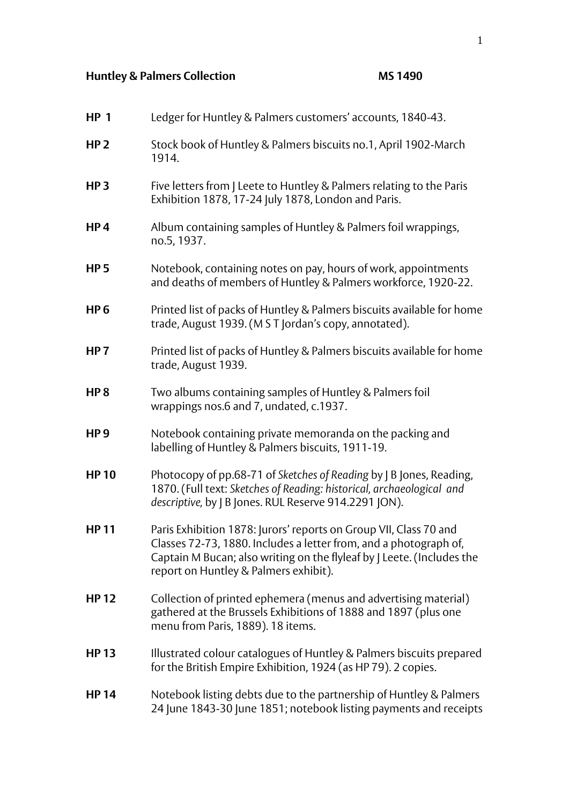## **Huntley & Palmers Collection MS 1490**

| <b>HP 1</b>     | Ledger for Huntley & Palmers customers' accounts, 1840-43.                                                                                                                                                                                                |
|-----------------|-----------------------------------------------------------------------------------------------------------------------------------------------------------------------------------------------------------------------------------------------------------|
| HP <sub>2</sub> | Stock book of Huntley & Palmers biscuits no.1, April 1902-March<br>1914.                                                                                                                                                                                  |
| HP <sub>3</sub> | Five letters from J Leete to Huntley & Palmers relating to the Paris<br>Exhibition 1878, 17-24 July 1878, London and Paris.                                                                                                                               |
| HP <sub>4</sub> | Album containing samples of Huntley & Palmers foil wrappings,<br>no.5, 1937.                                                                                                                                                                              |
| <b>HP5</b>      | Notebook, containing notes on pay, hours of work, appointments<br>and deaths of members of Huntley & Palmers workforce, 1920-22.                                                                                                                          |
| HP <sub>6</sub> | Printed list of packs of Huntley & Palmers biscuits available for home<br>trade, August 1939. (M S T Jordan's copy, annotated).                                                                                                                           |
| HP <sub>7</sub> | Printed list of packs of Huntley & Palmers biscuits available for home<br>trade, August 1939.                                                                                                                                                             |
| HP <sub>8</sub> | Two albums containing samples of Huntley & Palmers foil<br>wrappings nos.6 and 7, undated, c.1937.                                                                                                                                                        |
| HP <sub>9</sub> | Notebook containing private memoranda on the packing and<br>labelling of Huntley & Palmers biscuits, 1911-19.                                                                                                                                             |
| <b>HP10</b>     | Photocopy of pp.68-71 of Sketches of Reading by   B Jones, Reading,<br>1870. (Full text: Sketches of Reading: historical, archaeological and<br>descriptive, by J B Jones. RUL Reserve 914.2291 JON).                                                     |
| <b>HP11</b>     | Paris Exhibition 1878: Jurors' reports on Group VII, Class 70 and<br>Classes 72-73, 1880. Includes a letter from, and a photograph of,<br>Captain M Bucan; also writing on the flyleaf by   Leete. (Includes the<br>report on Huntley & Palmers exhibit). |
| <b>HP12</b>     | Collection of printed ephemera (menus and advertising material)<br>gathered at the Brussels Exhibitions of 1888 and 1897 (plus one<br>menu from Paris, 1889). 18 items.                                                                                   |
| <b>HP13</b>     | Illustrated colour catalogues of Huntley & Palmers biscuits prepared<br>for the British Empire Exhibition, 1924 (as HP 79). 2 copies.                                                                                                                     |
| <b>HP14</b>     | Notebook listing debts due to the partnership of Huntley & Palmers<br>24 June 1843-30 June 1851; notebook listing payments and receipts                                                                                                                   |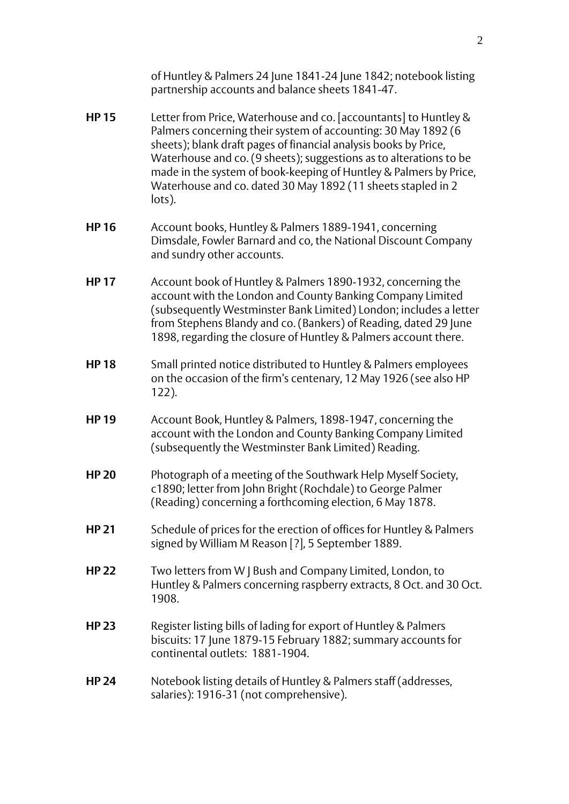of Huntley & Palmers 24 June 1841-24 June 1842; notebook listing partnership accounts and balance sheets 1841-47.

- **HP 15** Letter from Price, Waterhouse and co. [accountants] to Huntley & Palmers concerning their system of accounting: 30 May 1892 (6 sheets); blank draft pages of financial analysis books by Price, Waterhouse and co. (9 sheets); suggestions as to alterations to be made in the system of book-keeping of Huntley & Palmers by Price, Waterhouse and co. dated 30 May 1892 (11 sheets stapled in 2 lots).
- **HP 16** Account books, Huntley & Palmers 1889-1941, concerning Dimsdale, Fowler Barnard and co, the National Discount Company and sundry other accounts.
- **HP 17** Account book of Huntley & Palmers 1890-1932, concerning the account with the London and County Banking Company Limited (subsequently Westminster Bank Limited) London; includes a letter from Stephens Blandy and co. (Bankers) of Reading, dated 29 June 1898, regarding the closure of Huntley & Palmers account there.
- **HP 18** Small printed notice distributed to Huntley & Palmers employees on the occasion of the firm's centenary, 12 May 1926 (see also HP 122).
- **HP 19** Account Book, Huntley & Palmers, 1898-1947, concerning the account with the London and County Banking Company Limited (subsequently the Westminster Bank Limited) Reading.
- **HP 20** Photograph of a meeting of the Southwark Help Myself Society, c1890; letter from John Bright (Rochdale) to George Palmer (Reading) concerning a forthcoming election, 6 May 1878.
- **HP 21** Schedule of prices for the erection of offices for Huntley & Palmers signed by William M Reason [?], 5 September 1889.
- **HP 22** Two letters from W J Bush and Company Limited, London, to Huntley & Palmers concerning raspberry extracts, 8 Oct. and 30 Oct. 1908.
- **HP 23** Register listing bills of lading for export of Huntley & Palmers biscuits: 17 June 1879-15 February 1882; summary accounts for continental outlets: 1881-1904.
- **HP 24** Notebook listing details of Huntley & Palmers staff (addresses, salaries): 1916-31 (not comprehensive).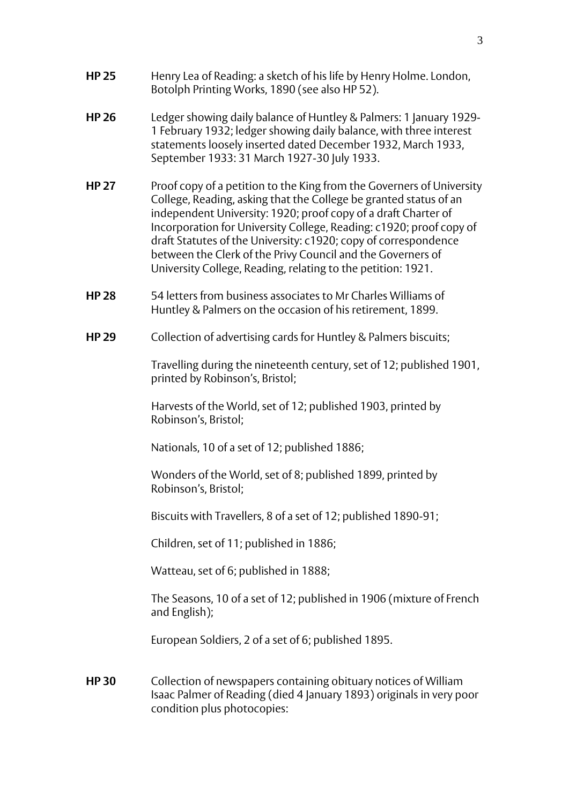- **HP 25** Henry Lea of Reading: a sketch of his life by Henry Holme. London, Botolph Printing Works, 1890 (see also HP 52).
- **HP 26** Ledger showing daily balance of Huntley & Palmers: 1 January 1929- 1 February 1932; ledger showing daily balance, with three interest statements loosely inserted dated December 1932, March 1933, September 1933: 31 March 1927-30 July 1933.
- **HP 27** Proof copy of a petition to the King from the Governers of University College, Reading, asking that the College be granted status of an independent University: 1920; proof copy of a draft Charter of Incorporation for University College, Reading: c1920; proof copy of draft Statutes of the University: c1920; copy of correspondence between the Clerk of the Privy Council and the Governers of University College, Reading, relating to the petition: 1921.
- **HP 28** 54 letters from business associates to Mr Charles Williams of Huntley & Palmers on the occasion of his retirement, 1899.
- **HP 29** Collection of advertising cards for Huntley & Palmers biscuits;

Travelling during the nineteenth century, set of 12; published 1901, printed by Robinson's, Bristol;

Harvests of the World, set of 12; published 1903, printed by Robinson's, Bristol;

Nationals, 10 of a set of 12; published 1886;

Wonders of the World, set of 8; published 1899, printed by Robinson's, Bristol;

Biscuits with Travellers, 8 of a set of 12; published 1890-91;

Children, set of 11; published in 1886;

Watteau, set of 6; published in 1888;

The Seasons, 10 of a set of 12; published in 1906 (mixture of French and English);

European Soldiers, 2 of a set of 6; published 1895.

**HP 30** Collection of newspapers containing obituary notices of William Isaac Palmer of Reading (died 4 January 1893) originals in very poor condition plus photocopies: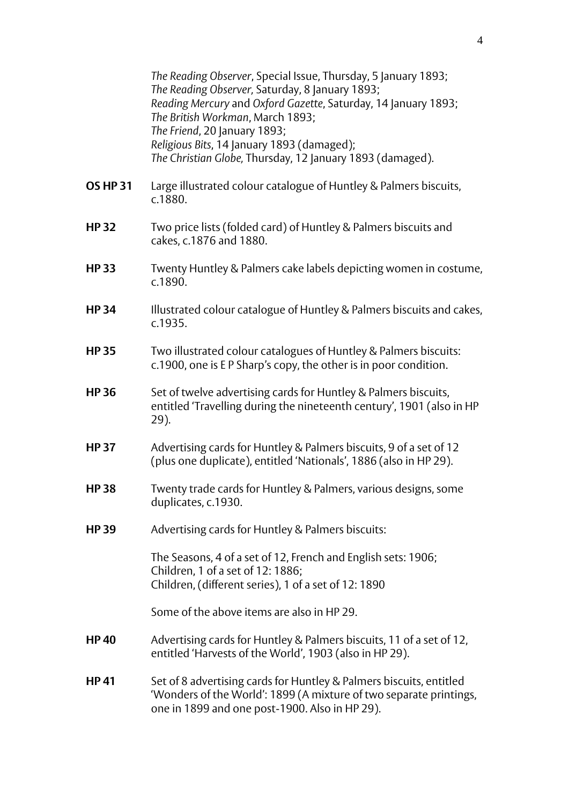*The Reading Observer*, Special Issue, Thursday, 5 January 1893; *The Reading Observer,* Saturday, 8 January 1893; *Reading Mercury* and *Oxford Gazette*, Saturday, 14 January 1893; *The British Workman*, March 1893; *The Friend*, 20 January 1893; *Religious Bits*, 14 January 1893 (damaged); *The Christian Globe,* Thursday, 12 January 1893 (damaged).

- **OS HP 31** Large illustrated colour catalogue of Huntley & Palmers biscuits, c.1880.
- **HP 32** Two price lists (folded card) of Huntley & Palmers biscuits and cakes, c.1876 and 1880.
- **HP 33** Twenty Huntley & Palmers cake labels depicting women in costume, c.1890.
- **HP 34** Illustrated colour catalogue of Huntley & Palmers biscuits and cakes, c.1935.
- **HP 35** Two illustrated colour catalogues of Huntley & Palmers biscuits: c.1900, one is E P Sharp's copy, the other is in poor condition.
- **HP 36** Set of twelve advertising cards for Huntley & Palmers biscuits, entitled 'Travelling during the nineteenth century', 1901 (also in HP 29).
- **HP 37** Advertising cards for Huntley & Palmers biscuits, 9 of a set of 12 (plus one duplicate), entitled 'Nationals', 1886 (also in HP 29).
- **HP 38** Twenty trade cards for Huntley & Palmers, various designs, some duplicates, c.1930.
- **HP 39** Advertising cards for Huntley & Palmers biscuits:

The Seasons, 4 of a set of 12, French and English sets: 1906; Children, 1 of a set of 12: 1886; Children, (different series), 1 of a set of 12: 1890

Some of the above items are also in HP 29.

- **HP 40** Advertising cards for Huntley & Palmers biscuits, 11 of a set of 12, entitled 'Harvests of the World', 1903 (also in HP 29).
- **HP 41** Set of 8 advertising cards for Huntley & Palmers biscuits, entitled 'Wonders of the World': 1899 (A mixture of two separate printings, one in 1899 and one post-1900. Also in HP 29).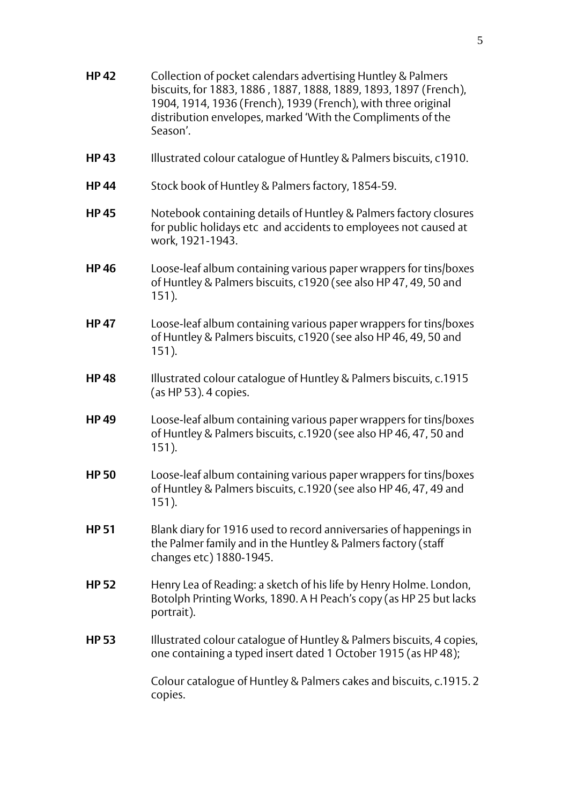**HP 42** Collection of pocket calendars advertising Huntley & Palmers biscuits, for 1883, 1886 , 1887, 1888, 1889, 1893, 1897 (French), 1904, 1914, 1936 (French), 1939 (French), with three original distribution envelopes, marked 'With the Compliments of the Season'. **HP 43** Illustrated colour catalogue of Huntley & Palmers biscuits, c1910. **HP 44** Stock book of Huntley & Palmers factory, 1854-59. **HP 45** Notebook containing details of Huntley & Palmers factory closures for public holidays etc and accidents to employees not caused at work, 1921-1943. **HP 46** Loose-leaf album containing various paper wrappers for tins/boxes of Huntley & Palmers biscuits, c1920 (see also HP 47, 49, 50 and 151). **HP 47** Loose-leaf album containing various paper wrappers for tins/boxes of Huntley & Palmers biscuits, c1920 (see also HP 46, 49, 50 and 151). **HP 48** Illustrated colour catalogue of Huntley & Palmers biscuits, c.1915 (as HP 53). 4 copies. **HP 49** Loose-leaf album containing various paper wrappers for tins/boxes of Huntley & Palmers biscuits, c.1920 (see also HP 46, 47, 50 and 151). **HP 50** Loose-leaf album containing various paper wrappers for tins/boxes of Huntley & Palmers biscuits, c.1920 (see also HP 46, 47, 49 and 151). **HP 51** Blank diary for 1916 used to record anniversaries of happenings in the Palmer family and in the Huntley & Palmers factory (staff changes etc) 1880-1945. **HP 52** Henry Lea of Reading: a sketch of his life by Henry Holme. London, Botolph Printing Works, 1890. A H Peach's copy (as HP 25 but lacks portrait). **HP 53** Illustrated colour catalogue of Huntley & Palmers biscuits, 4 copies, one containing a typed insert dated 1 October 1915 (as HP 48); Colour catalogue of Huntley & Palmers cakes and biscuits, c.1915. 2 copies.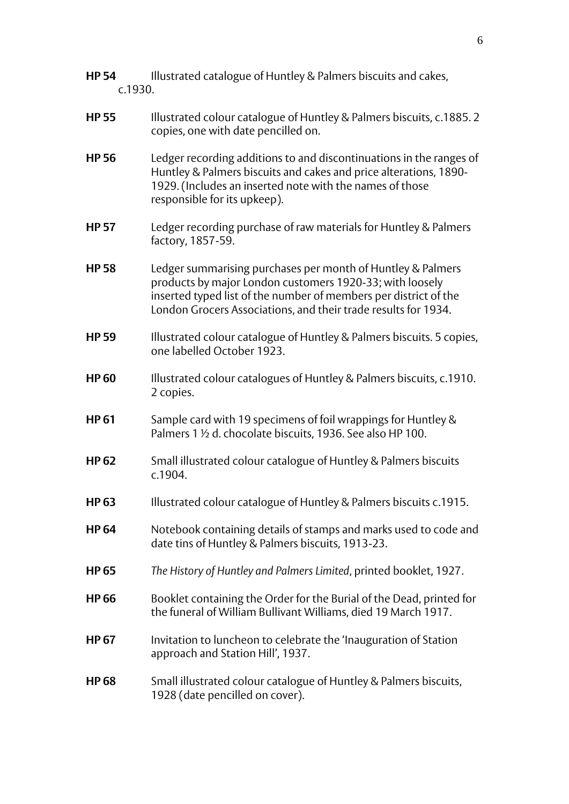| <b>HP 54</b><br>c.1930. | Illustrated catalogue of Huntley & Palmers biscuits and cakes,                                                                                                                                                                                                |
|-------------------------|---------------------------------------------------------------------------------------------------------------------------------------------------------------------------------------------------------------------------------------------------------------|
| <b>HP 55</b>            | Illustrated colour catalogue of Huntley & Palmers biscuits, c.1885.2<br>copies, one with date pencilled on.                                                                                                                                                   |
| <b>HP56</b>             | Ledger recording additions to and discontinuations in the ranges of<br>Huntley & Palmers biscuits and cakes and price alterations, 1890-<br>1929. (Includes an inserted note with the names of those<br>responsible for its upkeep).                          |
| <b>HP 57</b>            | Ledger recording purchase of raw materials for Huntley & Palmers<br>factory, 1857-59.                                                                                                                                                                         |
| <b>HP58</b>             | Ledger summarising purchases per month of Huntley & Palmers<br>products by major London customers 1920-33; with loosely<br>inserted typed list of the number of members per district of the<br>London Grocers Associations, and their trade results for 1934. |
| <b>HP59</b>             | Illustrated colour catalogue of Huntley & Palmers biscuits. 5 copies,<br>one labelled October 1923.                                                                                                                                                           |
| <b>HP60</b>             | Illustrated colour catalogues of Huntley & Palmers biscuits, c.1910.<br>2 copies.                                                                                                                                                                             |
| <b>HP61</b>             | Sample card with 19 specimens of foil wrappings for Huntley &<br>Palmers 1 1/2 d. chocolate biscuits, 1936. See also HP 100.                                                                                                                                  |
| <b>HP62</b>             | Small illustrated colour catalogue of Huntley & Palmers biscuits<br>c.1904.                                                                                                                                                                                   |
| <b>HP63</b>             | Illustrated colour catalogue of Huntley & Palmers biscuits c.1915.                                                                                                                                                                                            |
| <b>HP 64</b>            | Notebook containing details of stamps and marks used to code and<br>date tins of Huntley & Palmers biscuits, 1913-23.                                                                                                                                         |
| <b>HP 65</b>            | The History of Huntley and Palmers Limited, printed booklet, 1927.                                                                                                                                                                                            |
| <b>HP 66</b>            | Booklet containing the Order for the Burial of the Dead, printed for<br>the funeral of William Bullivant Williams, died 19 March 1917.                                                                                                                        |
| <b>HP 67</b>            | Invitation to luncheon to celebrate the 'Inauguration of Station<br>approach and Station Hill', 1937.                                                                                                                                                         |
| <b>HP68</b>             | Small illustrated colour catalogue of Huntley & Palmers biscuits,<br>1928 (date pencilled on cover).                                                                                                                                                          |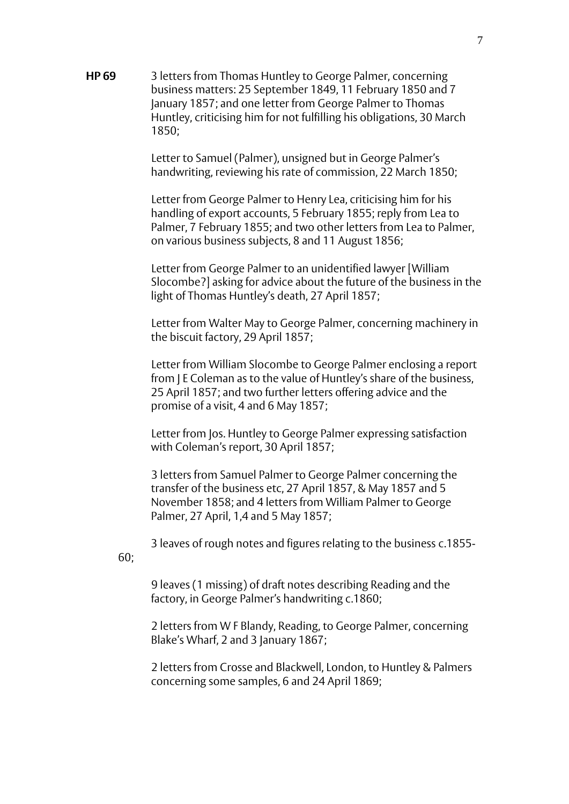**HP 69** 3 letters from Thomas Huntley to George Palmer, concerning business matters: 25 September 1849, 11 February 1850 and 7 January 1857; and one letter from George Palmer to Thomas Huntley, criticising him for not fulfilling his obligations, 30 March 1850;

> Letter to Samuel (Palmer), unsigned but in George Palmer's handwriting, reviewing his rate of commission, 22 March 1850;

Letter from George Palmer to Henry Lea, criticising him for his handling of export accounts, 5 February 1855; reply from Lea to Palmer, 7 February 1855; and two other letters from Lea to Palmer, on various business subjects, 8 and 11 August 1856;

Letter from George Palmer to an unidentified lawyer [William Slocombe?] asking for advice about the future of the business in the light of Thomas Huntley's death, 27 April 1857;

Letter from Walter May to George Palmer, concerning machinery in the biscuit factory, 29 April 1857;

Letter from William Slocombe to George Palmer enclosing a report from J E Coleman as to the value of Huntley's share of the business, 25 April 1857; and two further letters offering advice and the promise of a visit, 4 and 6 May 1857;

Letter from Jos. Huntley to George Palmer expressing satisfaction with Coleman's report, 30 April 1857;

3 letters from Samuel Palmer to George Palmer concerning the transfer of the business etc, 27 April 1857, & May 1857 and 5 November 1858; and 4 letters from William Palmer to George Palmer, 27 April, 1,4 and 5 May 1857;

3 leaves of rough notes and figures relating to the business c.1855- 60;

9 leaves (1 missing) of draft notes describing Reading and the factory, in George Palmer's handwriting c.1860;

2 letters from W F Blandy, Reading, to George Palmer, concerning Blake's Wharf, 2 and 3 January 1867;

2 letters from Crosse and Blackwell, London, to Huntley & Palmers concerning some samples, 6 and 24 April 1869;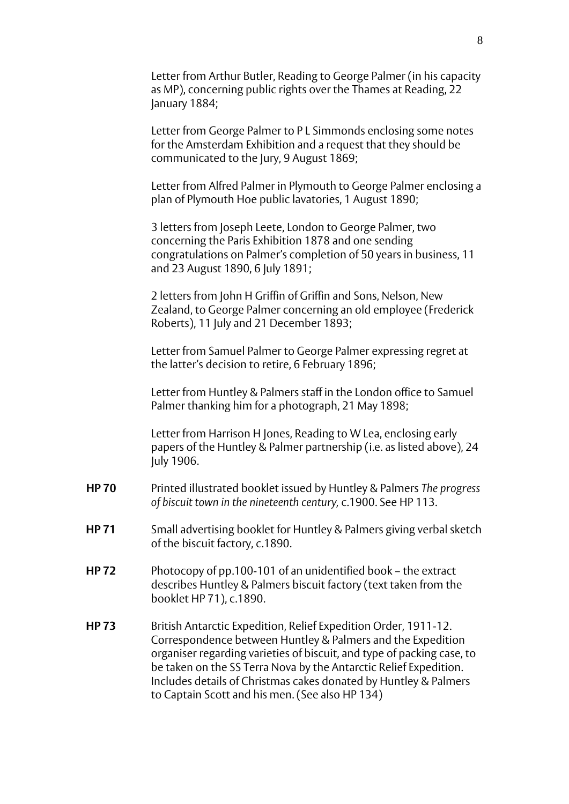Letter from Arthur Butler, Reading to George Palmer (in his capacity as MP), concerning public rights over the Thames at Reading, 22 January 1884;

Letter from George Palmer to P L Simmonds enclosing some notes for the Amsterdam Exhibition and a request that they should be communicated to the Jury, 9 August 1869;

Letter from Alfred Palmer in Plymouth to George Palmer enclosing a plan of Plymouth Hoe public lavatories, 1 August 1890;

3 letters from Joseph Leete, London to George Palmer, two concerning the Paris Exhibition 1878 and one sending congratulations on Palmer's completion of 50 years in business, 11 and 23 August 1890, 6 July 1891;

2 letters from John H Griffin of Griffin and Sons, Nelson, New Zealand, to George Palmer concerning an old employee (Frederick Roberts), 11 July and 21 December 1893;

Letter from Samuel Palmer to George Palmer expressing regret at the latter's decision to retire, 6 February 1896;

Letter from Huntley & Palmers staff in the London office to Samuel Palmer thanking him for a photograph, 21 May 1898;

Letter from Harrison H Jones, Reading to W Lea, enclosing early papers of the Huntley & Palmer partnership (i.e. as listed above), 24 July 1906.

- **HP 70** Printed illustrated booklet issued by Huntley & Palmers *The progress of biscuit town in the nineteenth century,* c.1900. See HP 113.
- **HP 71** Small advertising booklet for Huntley & Palmers giving verbal sketch of the biscuit factory, c.1890.
- **HP 72** Photocopy of pp.100-101 of an unidentified book the extract describes Huntley & Palmers biscuit factory (text taken from the booklet HP 71), c.1890.
- **HP 73** British Antarctic Expedition, Relief Expedition Order, 1911-12. Correspondence between Huntley & Palmers and the Expedition organiser regarding varieties of biscuit, and type of packing case, to be taken on the SS Terra Nova by the Antarctic Relief Expedition. Includes details of Christmas cakes donated by Huntley & Palmers to Captain Scott and his men. (See also HP 134)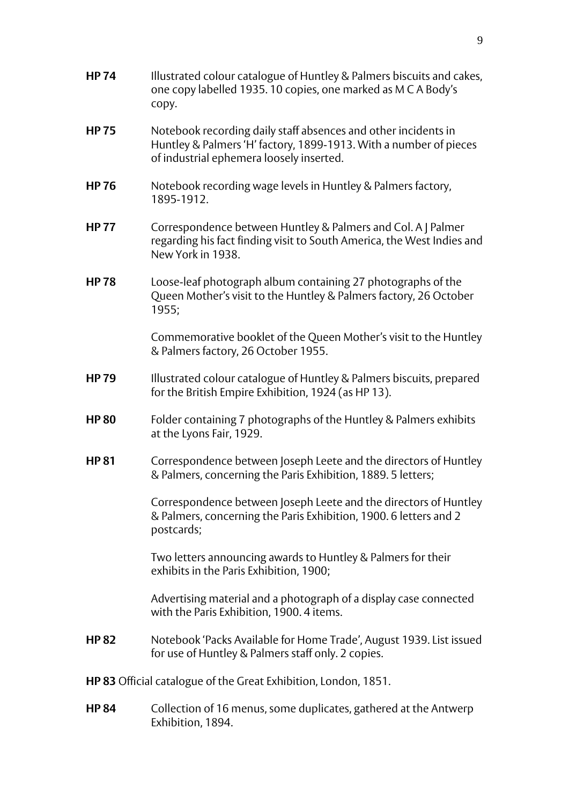- **HP 74** Illustrated colour catalogue of Huntley & Palmers biscuits and cakes, one copy labelled 1935. 10 copies, one marked as M C A Body's copy.
- **HP 75** Notebook recording daily staff absences and other incidents in Huntley & Palmers 'H' factory, 1899-1913. With a number of pieces of industrial ephemera loosely inserted.
- **HP 76** Notebook recording wage levels in Huntley & Palmers factory, 1895-1912.
- **HP 77** Correspondence between Huntley & Palmers and Col. A J Palmer regarding his fact finding visit to South America, the West Indies and New York in 1938.
- **HP 78** Loose-leaf photograph album containing 27 photographs of the Queen Mother's visit to the Huntley & Palmers factory, 26 October 1955;

Commemorative booklet of the Queen Mother's visit to the Huntley & Palmers factory, 26 October 1955.

- **HP 79** Illustrated colour catalogue of Huntley & Palmers biscuits, prepared for the British Empire Exhibition, 1924 (as HP 13).
- **HP 80** Folder containing 7 photographs of the Huntley & Palmers exhibits at the Lyons Fair, 1929.
- **HP 81** Correspondence between Joseph Leete and the directors of Huntley & Palmers, concerning the Paris Exhibition, 1889. 5 letters;

Correspondence between Joseph Leete and the directors of Huntley & Palmers, concerning the Paris Exhibition, 1900. 6 letters and 2 postcards;

Two letters announcing awards to Huntley & Palmers for their exhibits in the Paris Exhibition, 1900;

Advertising material and a photograph of a display case connected with the Paris Exhibition, 1900. 4 items.

- **HP 82** Notebook 'Packs Available for Home Trade', August 1939. List issued for use of Huntley & Palmers staff only. 2 copies.
- **HP 83** Official catalogue of the Great Exhibition, London, 1851.
- **HP 84** Collection of 16 menus, some duplicates, gathered at the Antwerp Exhibition, 1894.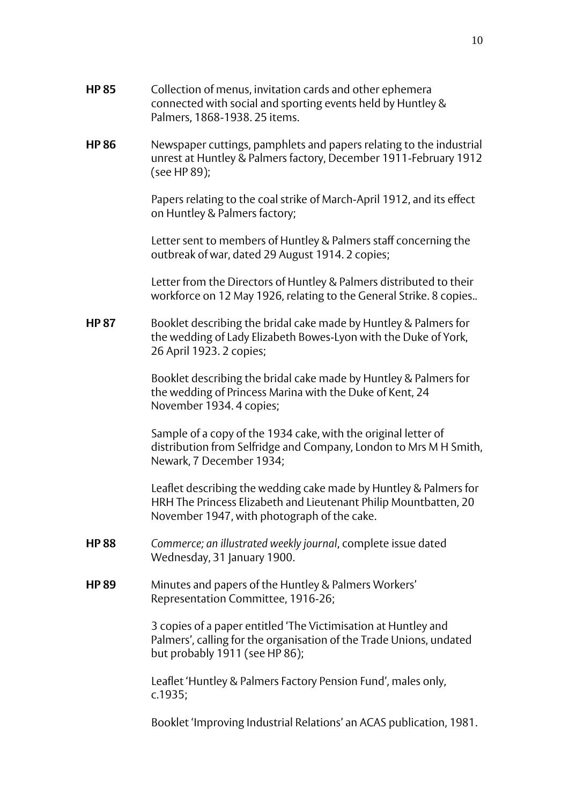- **HP 85** Collection of menus, invitation cards and other ephemera connected with social and sporting events held by Huntley & Palmers, 1868-1938. 25 items.
- **HP 86** Newspaper cuttings, pamphlets and papers relating to the industrial unrest at Huntley & Palmers factory, December 1911-February 1912 (see HP 89);

Papers relating to the coal strike of March-April 1912, and its effect on Huntley & Palmers factory;

Letter sent to members of Huntley & Palmers staff concerning the outbreak of war, dated 29 August 1914. 2 copies;

Letter from the Directors of Huntley & Palmers distributed to their workforce on 12 May 1926, relating to the General Strike. 8 copies..

**HP 87** Booklet describing the bridal cake made by Huntley & Palmers for the wedding of Lady Elizabeth Bowes-Lyon with the Duke of York, 26 April 1923. 2 copies;

> Booklet describing the bridal cake made by Huntley & Palmers for the wedding of Princess Marina with the Duke of Kent, 24 November 1934. 4 copies;

Sample of a copy of the 1934 cake, with the original letter of distribution from Selfridge and Company, London to Mrs M H Smith, Newark, 7 December 1934;

Leaflet describing the wedding cake made by Huntley & Palmers for HRH The Princess Elizabeth and Lieutenant Philip Mountbatten, 20 November 1947, with photograph of the cake.

- **HP 88** *Commerce; an illustrated weekly journal*, complete issue dated Wednesday, 31 January 1900.
- **HP 89** Minutes and papers of the Huntley & Palmers Workers' Representation Committee, 1916-26;

3 copies of a paper entitled 'The Victimisation at Huntley and Palmers', calling for the organisation of the Trade Unions, undated but probably 1911 (see HP 86);

Leaflet 'Huntley & Palmers Factory Pension Fund', males only, c.1935;

Booklet 'Improving Industrial Relations' an ACAS publication, 1981.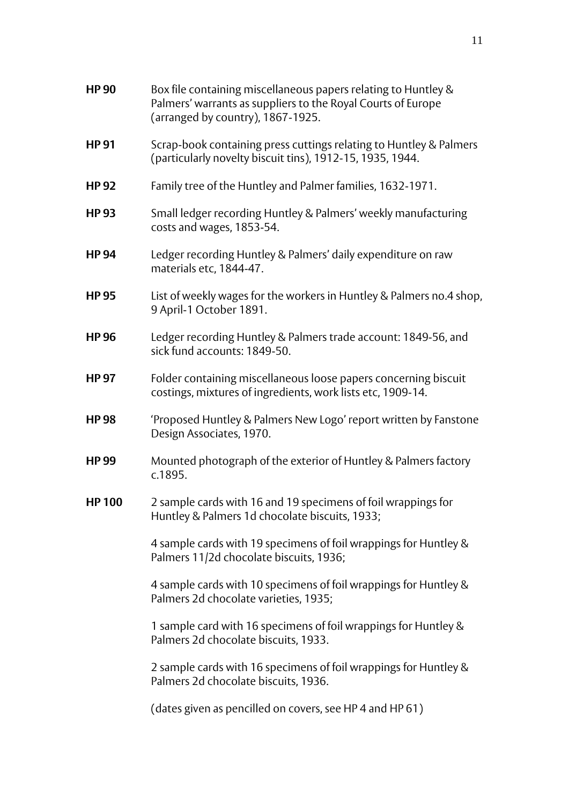| <b>HP 90</b> | Box file containing miscellaneous papers relating to Huntley &<br>Palmers' warrants as suppliers to the Royal Courts of Europe<br>(arranged by country), 1867-1925. |
|--------------|---------------------------------------------------------------------------------------------------------------------------------------------------------------------|
| <b>HP 91</b> | Scrap-book containing press cuttings relating to Huntley & Palmers<br>(particularly novelty biscuit tins), 1912-15, 1935, 1944.                                     |
| <b>HP 92</b> | Family tree of the Huntley and Palmer families, 1632-1971.                                                                                                          |
| <b>HP 93</b> | Small ledger recording Huntley & Palmers' weekly manufacturing<br>costs and wages, 1853-54.                                                                         |
| <b>HP 94</b> | Ledger recording Huntley & Palmers' daily expenditure on raw<br>materials etc, 1844-47.                                                                             |
| <b>HP 95</b> | List of weekly wages for the workers in Huntley & Palmers no.4 shop,<br>9 April-1 October 1891.                                                                     |
| <b>HP 96</b> | Ledger recording Huntley & Palmers trade account: 1849-56, and<br>sick fund accounts: 1849-50.                                                                      |
| <b>HP 97</b> | Folder containing miscellaneous loose papers concerning biscuit<br>costings, mixtures of ingredients, work lists etc, 1909-14.                                      |
| <b>HP 98</b> | 'Proposed Huntley & Palmers New Logo' report written by Fanstone<br>Design Associates, 1970.                                                                        |
| <b>HP 99</b> | Mounted photograph of the exterior of Huntley & Palmers factory<br>c.1895.                                                                                          |
| <b>HP100</b> | 2 sample cards with 16 and 19 specimens of foil wrappings for<br>Huntley & Palmers 1d chocolate biscuits, 1933;                                                     |
|              | 4 sample cards with 19 specimens of foil wrappings for Huntley &<br>Palmers 11/2d chocolate biscuits, 1936;                                                         |
|              | 4 sample cards with 10 specimens of foil wrappings for Huntley &<br>Palmers 2d chocolate varieties, 1935;                                                           |
|              | 1 sample card with 16 specimens of foil wrappings for Huntley &<br>Palmers 2d chocolate biscuits, 1933.                                                             |
|              | 2 sample cards with 16 specimens of foil wrappings for Huntley &<br>Palmers 2d chocolate biscuits, 1936.                                                            |
|              | (dates given as pencilled on covers, see HP 4 and HP 61)                                                                                                            |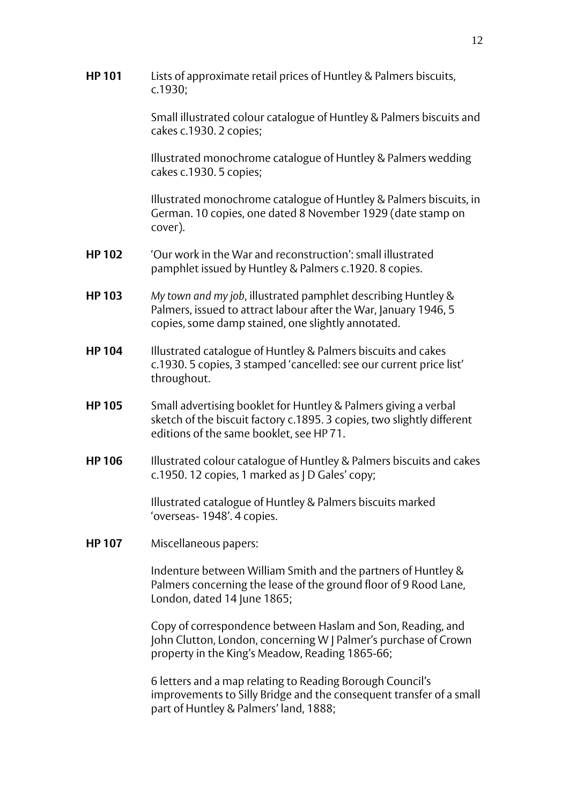**HP 101** Lists of approximate retail prices of Huntley & Palmers biscuits, c.1930;

> Small illustrated colour catalogue of Huntley & Palmers biscuits and cakes c.1930. 2 copies;

Illustrated monochrome catalogue of Huntley & Palmers wedding cakes c.1930. 5 copies;

Illustrated monochrome catalogue of Huntley & Palmers biscuits, in German. 10 copies, one dated 8 November 1929 (date stamp on cover).

- **HP 102** 'Our work in the War and reconstruction': small illustrated pamphlet issued by Huntley & Palmers c.1920. 8 copies.
- **HP 103** *My town and my job*, illustrated pamphlet describing Huntley & Palmers, issued to attract labour after the War, January 1946, 5 copies, some damp stained, one slightly annotated.
- **HP 104** Illustrated catalogue of Huntley & Palmers biscuits and cakes c.1930. 5 copies, 3 stamped 'cancelled: see our current price list' throughout.
- **HP 105** Small advertising booklet for Huntley & Palmers giving a verbal sketch of the biscuit factory c.1895. 3 copies, two slightly different editions of the same booklet, see HP 71.
- **HP 106** Illustrated colour catalogue of Huntley & Palmers biscuits and cakes c.1950. 12 copies, 1 marked as J D Gales' copy;

Illustrated catalogue of Huntley & Palmers biscuits marked 'overseas- 1948'. 4 copies.

**HP 107** Miscellaneous papers:

Indenture between William Smith and the partners of Huntley & Palmers concerning the lease of the ground floor of 9 Rood Lane, London, dated 14 June 1865;

Copy of correspondence between Haslam and Son, Reading, and John Clutton, London, concerning W J Palmer's purchase of Crown property in the King's Meadow, Reading 1865-66;

6 letters and a map relating to Reading Borough Council's improvements to Silly Bridge and the consequent transfer of a small part of Huntley & Palmers' land, 1888;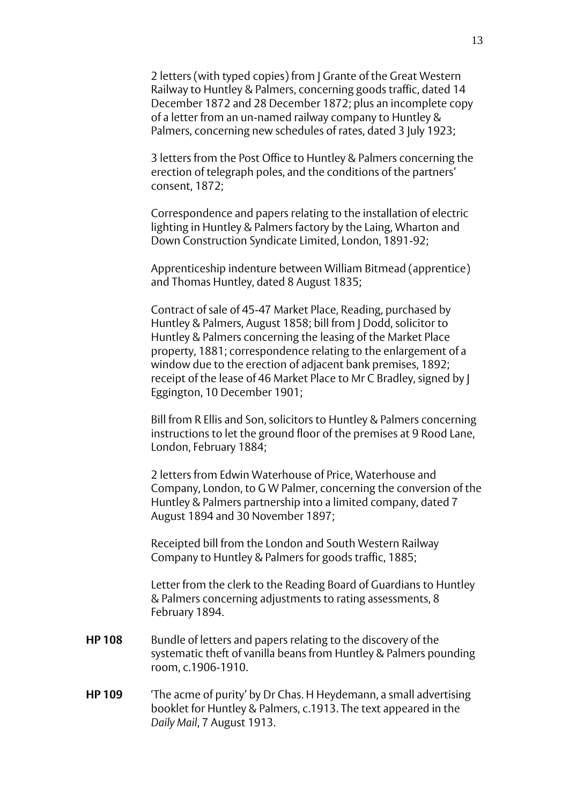2 letters (with typed copies) from J Grante of the Great Western Railway to Huntley & Palmers, concerning goods traffic, dated 14 December 1872 and 28 December 1872; plus an incomplete copy of a letter from an un-named railway company to Huntley & Palmers, concerning new schedules of rates, dated 3 July 1923;

3 letters from the Post Office to Huntley & Palmers concerning the erection of telegraph poles, and the conditions of the partners' consent, 1872;

Correspondence and papers relating to the installation of electric lighting in Huntley & Palmers factory by the Laing, Wharton and Down Construction Syndicate Limited, London, 1891-92;

Apprenticeship indenture between William Bitmead (apprentice) and Thomas Huntley, dated 8 August 1835;

Contract of sale of 45-47 Market Place, Reading, purchased by Huntley & Palmers, August 1858; bill from J Dodd, solicitor to Huntley & Palmers concerning the leasing of the Market Place property, 1881; correspondence relating to the enlargement of a window due to the erection of adjacent bank premises, 1892; receipt of the lease of 46 Market Place to Mr C Bradley, signed by J Eggington, 10 December 1901;

Bill from R Ellis and Son, solicitors to Huntley & Palmers concerning instructions to let the ground floor of the premises at 9 Rood Lane, London, February 1884;

2 letters from Edwin Waterhouse of Price, Waterhouse and Company, London, to G W Palmer, concerning the conversion of the Huntley & Palmers partnership into a limited company, dated 7 August 1894 and 30 November 1897;

Receipted bill from the London and South Western Railway Company to Huntley & Palmers for goods traffic, 1885;

Letter from the clerk to the Reading Board of Guardians to Huntley & Palmers concerning adjustments to rating assessments, 8 February 1894.

- **HP 108** Bundle of letters and papers relating to the discovery of the systematic theft of vanilla beans from Huntley & Palmers pounding room, c.1906-1910.
- **HP 109** 'The acme of purity' by Dr Chas. H Heydemann, a small advertising booklet for Huntley & Palmers, c.1913. The text appeared in the *Daily Mail*, 7 August 1913.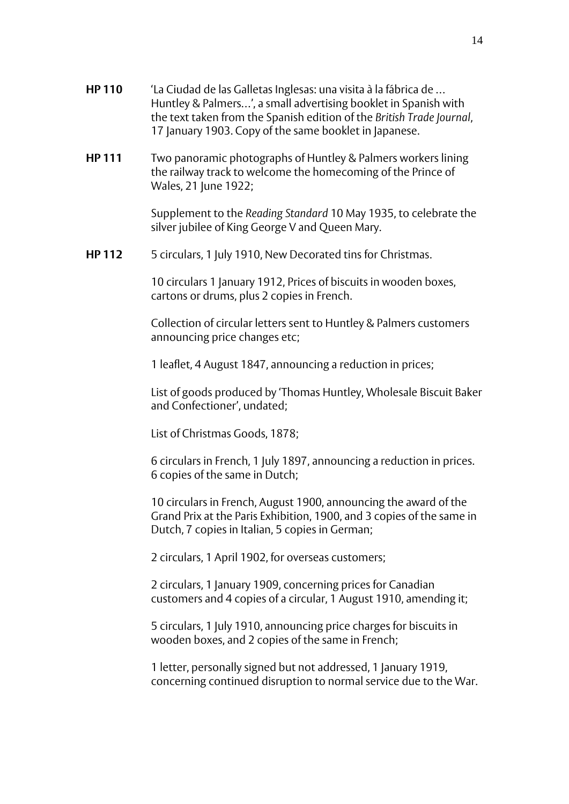- **HP 110** 'La Ciudad de las Galletas Inglesas: una visita à la fábrica de … Huntley & Palmers…', a small advertising booklet in Spanish with the text taken from the Spanish edition of the *British Trade Journal*, 17 January 1903. Copy of the same booklet in Japanese.
- **HP 111** Two panoramic photographs of Huntley & Palmers workers lining the railway track to welcome the homecoming of the Prince of Wales, 21 June 1922;

Supplement to the *Reading Standard* 10 May 1935, to celebrate the silver jubilee of King George V and Queen Mary.

**HP 112** 5 circulars, 1 July 1910, New Decorated tins for Christmas.

10 circulars 1 January 1912, Prices of biscuits in wooden boxes, cartons or drums, plus 2 copies in French.

Collection of circular letters sent to Huntley & Palmers customers announcing price changes etc;

1 leaflet, 4 August 1847, announcing a reduction in prices;

List of goods produced by 'Thomas Huntley, Wholesale Biscuit Baker and Confectioner', undated;

List of Christmas Goods, 1878;

6 circulars in French, 1 July 1897, announcing a reduction in prices. 6 copies of the same in Dutch;

10 circulars in French, August 1900, announcing the award of the Grand Prix at the Paris Exhibition, 1900, and 3 copies of the same in Dutch, 7 copies in Italian, 5 copies in German;

2 circulars, 1 April 1902, for overseas customers;

2 circulars, 1 January 1909, concerning prices for Canadian customers and 4 copies of a circular, 1 August 1910, amending it;

5 circulars, 1 July 1910, announcing price charges for biscuits in wooden boxes, and 2 copies of the same in French;

1 letter, personally signed but not addressed, 1 January 1919, concerning continued disruption to normal service due to the War.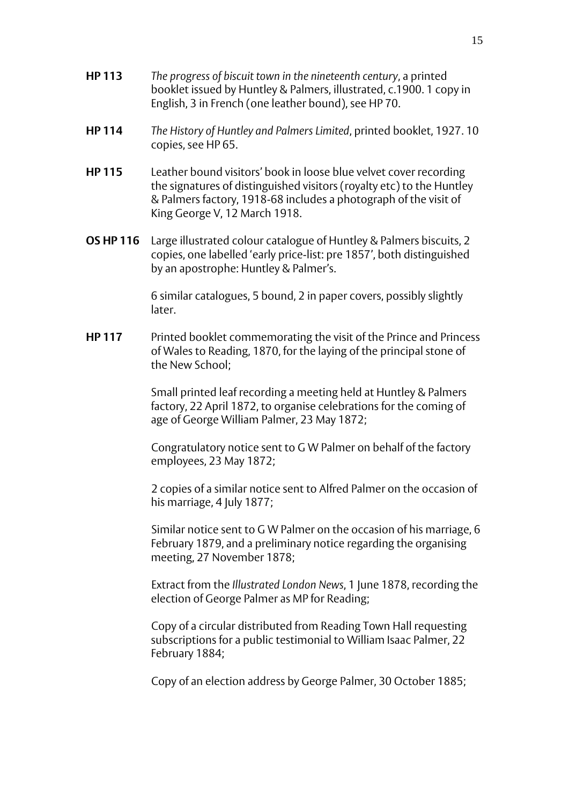- **HP 113** *The progress of biscuit town in the nineteenth century*, a printed booklet issued by Huntley & Palmers, illustrated, c.1900. 1 copy in English, 3 in French (one leather bound), see HP 70.
- **HP 114** *The History of Huntley and Palmers Limited*, printed booklet, 1927. 10 copies, see HP 65.
- **HP 115** Leather bound visitors' book in loose blue velvet cover recording the signatures of distinguished visitors (royalty etc) to the Huntley & Palmers factory, 1918-68 includes a photograph of the visit of King George V, 12 March 1918.
- **OS HP 116** Large illustrated colour catalogue of Huntley & Palmers biscuits, 2 copies, one labelled 'early price-list: pre 1857', both distinguished by an apostrophe: Huntley & Palmer's.

6 similar catalogues, 5 bound, 2 in paper covers, possibly slightly later.

**HP 117** Printed booklet commemorating the visit of the Prince and Princess of Wales to Reading, 1870, for the laying of the principal stone of the New School;

> Small printed leaf recording a meeting held at Huntley & Palmers factory, 22 April 1872, to organise celebrations for the coming of age of George William Palmer, 23 May 1872;

Congratulatory notice sent to G W Palmer on behalf of the factory employees, 23 May 1872;

2 copies of a similar notice sent to Alfred Palmer on the occasion of his marriage, 4 July 1877;

Similar notice sent to G W Palmer on the occasion of his marriage, 6 February 1879, and a preliminary notice regarding the organising meeting, 27 November 1878;

Extract from the *Illustrated London News*, 1 June 1878, recording the election of George Palmer as MP for Reading;

Copy of a circular distributed from Reading Town Hall requesting subscriptions for a public testimonial to William Isaac Palmer, 22 February 1884;

Copy of an election address by George Palmer, 30 October 1885;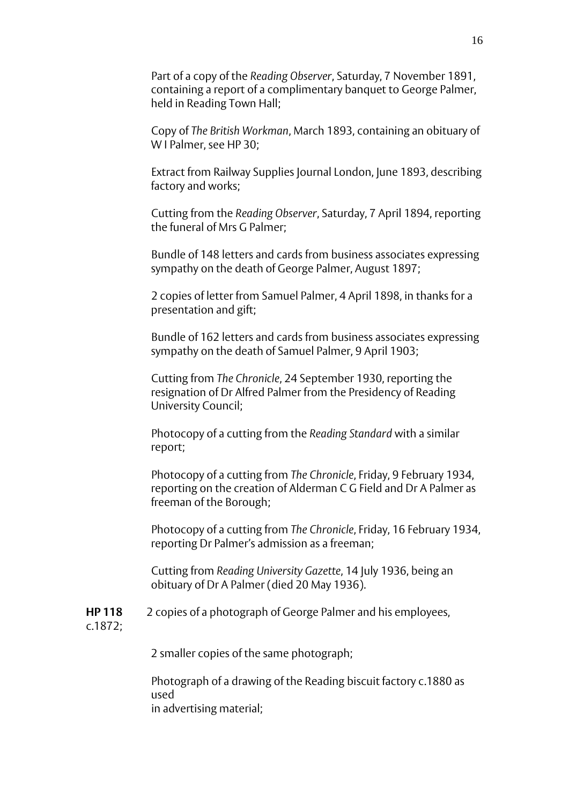Part of a copy of the *Reading Observer*, Saturday, 7 November 1891, containing a report of a complimentary banquet to George Palmer, held in Reading Town Hall;

Copy of *The British Workman*, March 1893, containing an obituary of W I Palmer, see HP 30;

Extract from Railway Supplies Journal London, June 1893, describing factory and works;

Cutting from the *Reading Observer*, Saturday, 7 April 1894, reporting the funeral of Mrs G Palmer;

Bundle of 148 letters and cards from business associates expressing sympathy on the death of George Palmer, August 1897;

2 copies of letter from Samuel Palmer, 4 April 1898, in thanks for a presentation and gift;

Bundle of 162 letters and cards from business associates expressing sympathy on the death of Samuel Palmer, 9 April 1903;

Cutting from *The Chronicle*, 24 September 1930, reporting the resignation of Dr Alfred Palmer from the Presidency of Reading University Council;

Photocopy of a cutting from the *Reading Standard* with a similar report;

Photocopy of a cutting from *The Chronicle*, Friday, 9 February 1934, reporting on the creation of Alderman C G Field and Dr A Palmer as freeman of the Borough;

Photocopy of a cutting from *The Chronicle*, Friday, 16 February 1934, reporting Dr Palmer's admission as a freeman;

Cutting from *Reading University Gazette*, 14 July 1936, being an obituary of Dr A Palmer (died 20 May 1936).

**HP 118** 2 copies of a photograph of George Palmer and his employees, c.1872;

2 smaller copies of the same photograph;

Photograph of a drawing of the Reading biscuit factory c.1880 as used in advertising material;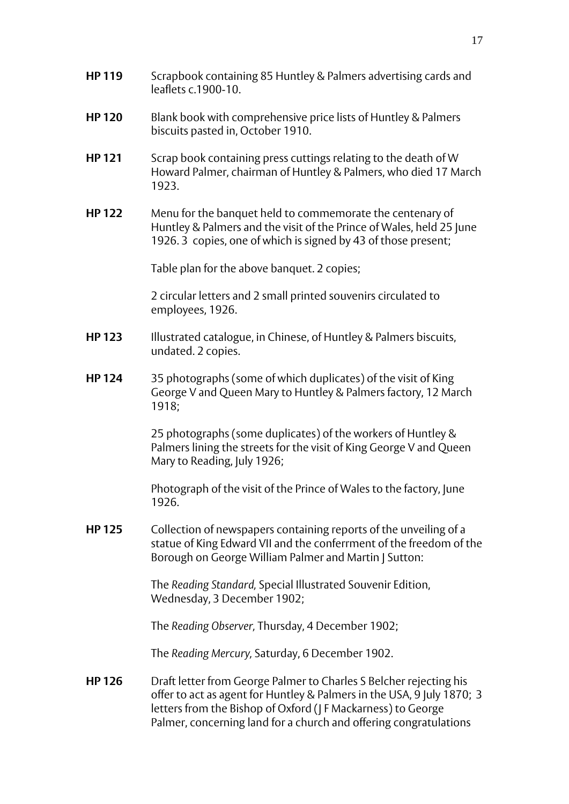- **HP 119** Scrapbook containing 85 Huntley & Palmers advertising cards and leaflets c.1900-10.
- **HP 120** Blank book with comprehensive price lists of Huntley & Palmers biscuits pasted in, October 1910.
- **HP 121** Scrap book containing press cuttings relating to the death of W Howard Palmer, chairman of Huntley & Palmers, who died 17 March 1923.
- **HP 122** Menu for the banquet held to commemorate the centenary of Huntley & Palmers and the visit of the Prince of Wales, held 25 June 1926. 3 copies, one of which is signed by 43 of those present;

Table plan for the above banquet. 2 copies;

2 circular letters and 2 small printed souvenirs circulated to employees, 1926.

- **HP 123** Illustrated catalogue, in Chinese, of Huntley & Palmers biscuits, undated. 2 copies.
- **HP 124** 35 photographs (some of which duplicates) of the visit of King George V and Queen Mary to Huntley & Palmers factory, 12 March 1918;

25 photographs (some duplicates) of the workers of Huntley & Palmers lining the streets for the visit of King George V and Queen Mary to Reading, July 1926;

Photograph of the visit of the Prince of Wales to the factory, June 1926.

**HP 125** Collection of newspapers containing reports of the unveiling of a statue of King Edward VII and the conferrment of the freedom of the Borough on George William Palmer and Martin | Sutton:

> The *Reading Standard,* Special Illustrated Souvenir Edition, Wednesday, 3 December 1902;

The *Reading Observer,* Thursday, 4 December 1902;

The *Reading Mercury,* Saturday, 6 December 1902.

**HP 126** Draft letter from George Palmer to Charles S Belcher rejecting his offer to act as agent for Huntley & Palmers in the USA, 9 July 1870; 3 letters from the Bishop of Oxford (J F Mackarness) to George Palmer, concerning land for a church and offering congratulations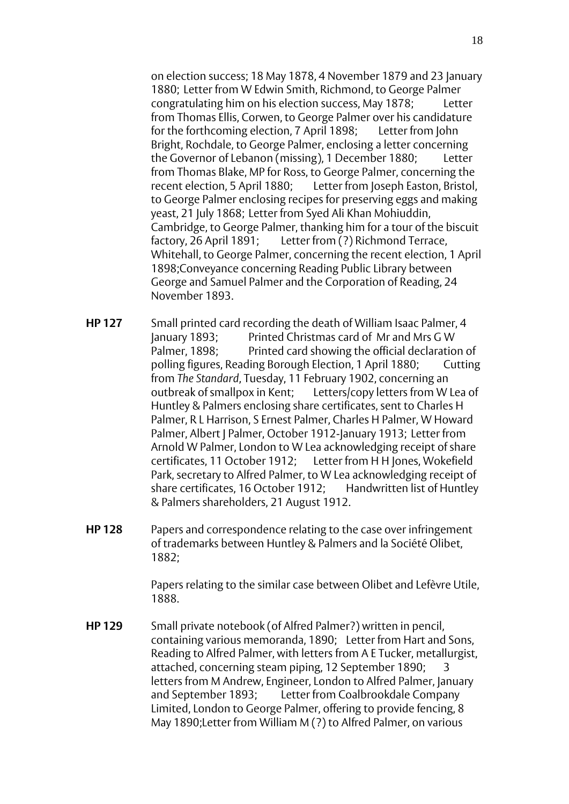on election success; 18 May 1878, 4 November 1879 and 23 January 1880; Letter from W Edwin Smith, Richmond, to George Palmer congratulating him on his election success, May 1878; Letter from Thomas Ellis, Corwen, to George Palmer over his candidature for the forthcoming election, 7 April 1898; Letter from John Bright, Rochdale, to George Palmer, enclosing a letter concerning the Governor of Lebanon (missing), 1 December 1880; Letter from Thomas Blake, MP for Ross, to George Palmer, concerning the recent election, 5 April 1880; Letter from Joseph Easton, Bristol, to George Palmer enclosing recipes for preserving eggs and making yeast, 21 July 1868; Letter from Syed Ali Khan Mohiuddin, Cambridge, to George Palmer, thanking him for a tour of the biscuit factory, 26 April 1891; Letter from (?) Richmond Terrace, Whitehall, to George Palmer, concerning the recent election, 1 April 1898;Conveyance concerning Reading Public Library between George and Samuel Palmer and the Corporation of Reading, 24 November 1893.

- **HP 127** Small printed card recording the death of William Isaac Palmer, 4 January 1893; Printed Christmas card of Mr and Mrs G W Palmer, 1898; Printed card showing the official declaration of polling figures, Reading Borough Election, 1 April 1880; Cutting from *The Standard*, Tuesday, 11 February 1902, concerning an outbreak of smallpox in Kent; Letters/copy letters from W Lea of Huntley & Palmers enclosing share certificates, sent to Charles H Palmer, R L Harrison, S Ernest Palmer, Charles H Palmer, W Howard Palmer, Albert J Palmer, October 1912-January 1913; Letter from Arnold W Palmer, London to W Lea acknowledging receipt of share certificates, 11 October 1912; Letter from H H Jones, Wokefield Park, secretary to Alfred Palmer, to W Lea acknowledging receipt of share certificates, 16 October 1912; Handwritten list of Huntley & Palmers shareholders, 21 August 1912.
- **HP 128** Papers and correspondence relating to the case over infringement of trademarks between Huntley & Palmers and la Société Olibet, 1882;

Papers relating to the similar case between Olibet and Lefèvre Utile, 1888.

**HP 129** Small private notebook (of Alfred Palmer?) written in pencil, containing various memoranda, 1890; Letter from Hart and Sons, Reading to Alfred Palmer, with letters from A E Tucker, metallurgist, attached, concerning steam piping, 12 September 1890; 3 letters from M Andrew, Engineer, London to Alfred Palmer, January and September 1893; Letter from Coalbrookdale Company Limited, London to George Palmer, offering to provide fencing, 8 May 1890;Letter from William M (?) to Alfred Palmer, on various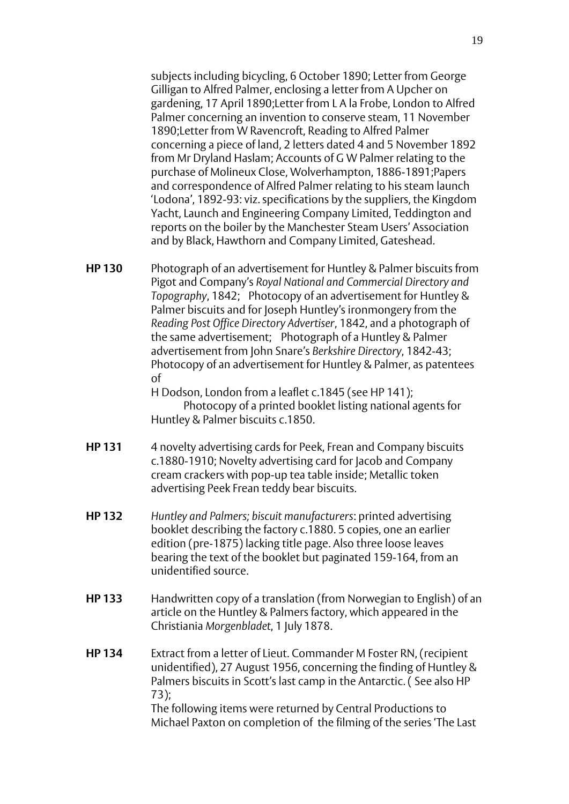subjects including bicycling, 6 October 1890; Letter from George Gilligan to Alfred Palmer, enclosing a letter from A Upcher on gardening, 17 April 1890;Letter from L A la Frobe, London to Alfred Palmer concerning an invention to conserve steam, 11 November 1890;Letter from W Ravencroft, Reading to Alfred Palmer concerning a piece of land, 2 letters dated 4 and 5 November 1892 from Mr Dryland Haslam; Accounts of G W Palmer relating to the purchase of Molineux Close, Wolverhampton, 1886-1891;Papers and correspondence of Alfred Palmer relating to his steam launch 'Lodona', 1892-93: viz. specifications by the suppliers, the Kingdom Yacht, Launch and Engineering Company Limited, Teddington and reports on the boiler by the Manchester Steam Users' Association and by Black, Hawthorn and Company Limited, Gateshead.

**HP 130** Photograph of an advertisement for Huntley & Palmer biscuits from Pigot and Company's *Royal National and Commercial Directory and Topography*, 1842; Photocopy of an advertisement for Huntley & Palmer biscuits and for Joseph Huntley's ironmongery from the *Reading Post Office Directory Advertiser*, 1842, and a photograph of the same advertisement; Photograph of a Huntley & Palmer advertisement from John Snare's *Berkshire Directory*, 1842-43; Photocopy of an advertisement for Huntley & Palmer, as patentees of

H Dodson, London from a leaflet c.1845 (see HP 141);

Photocopy of a printed booklet listing national agents for Huntley & Palmer biscuits c.1850.

- **HP 131** 4 novelty advertising cards for Peek, Frean and Company biscuits c.1880-1910; Novelty advertising card for Jacob and Company cream crackers with pop-up tea table inside; Metallic token advertising Peek Frean teddy bear biscuits.
- **HP 132** *Huntley and Palmers; biscuit manufacturers*: printed advertising booklet describing the factory c.1880. 5 copies, one an earlier edition (pre-1875) lacking title page. Also three loose leaves bearing the text of the booklet but paginated 159-164, from an unidentified source.
- **HP 133** Handwritten copy of a translation (from Norwegian to English) of an article on the Huntley & Palmers factory, which appeared in the Christiania *Morgenbladet*, 1 July 1878.
- **HP 134** Extract from a letter of Lieut. Commander M Foster RN, (recipient unidentified), 27 August 1956, concerning the finding of Huntley & Palmers biscuits in Scott's last camp in the Antarctic. ( See also HP 73); The following items were returned by Central Productions to Michael Paxton on completion of the filming of the series 'The Last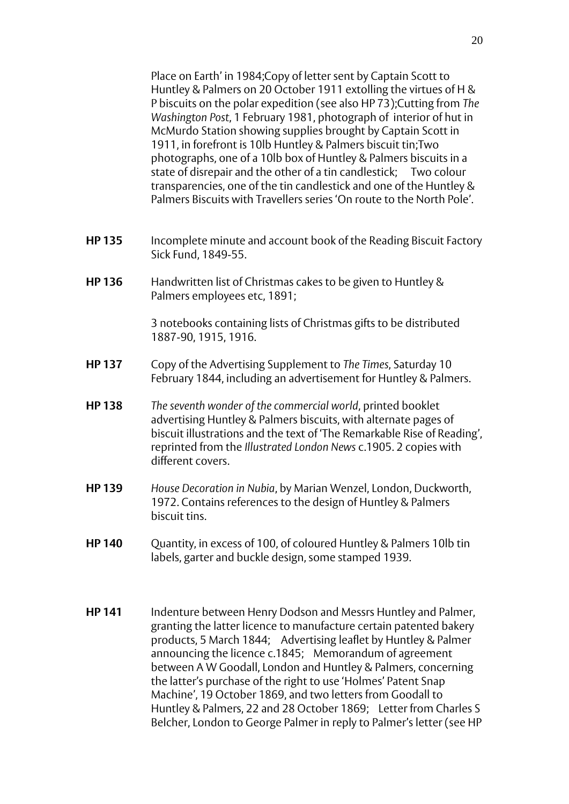Place on Earth' in 1984;Copy of letter sent by Captain Scott to Huntley & Palmers on 20 October 1911 extolling the virtues of H & P biscuits on the polar expedition (see also HP 73);Cutting from *The Washington Post*, 1 February 1981, photograph of interior of hut in McMurdo Station showing supplies brought by Captain Scott in 1911, in forefront is 10lb Huntley & Palmers biscuit tin;Two photographs, one of a 10lb box of Huntley & Palmers biscuits in a state of disrepair and the other of a tin candlestick; Two colour transparencies, one of the tin candlestick and one of the Huntley & Palmers Biscuits with Travellers series 'On route to the North Pole'.

- **HP 135** Incomplete minute and account book of the Reading Biscuit Factory Sick Fund, 1849-55.
- **HP 136** Handwritten list of Christmas cakes to be given to Huntley & Palmers employees etc, 1891;

3 notebooks containing lists of Christmas gifts to be distributed 1887-90, 1915, 1916.

- **HP 137** Copy of the Advertising Supplement to *The Times*, Saturday 10 February 1844, including an advertisement for Huntley & Palmers.
- **HP 138** *The seventh wonder of the commercial world*, printed booklet advertising Huntley & Palmers biscuits, with alternate pages of biscuit illustrations and the text of 'The Remarkable Rise of Reading', reprinted from the *Illustrated London News* c.1905. 2 copies with different covers.
- **HP 139** *House Decoration in Nubia*, by Marian Wenzel, London, Duckworth, 1972. Contains references to the design of Huntley & Palmers biscuit tins.
- **HP 140** Quantity, in excess of 100, of coloured Huntley & Palmers 10lb tin labels, garter and buckle design, some stamped 1939.
- **HP 141** Indenture between Henry Dodson and Messrs Huntley and Palmer, granting the latter licence to manufacture certain patented bakery products, 5 March 1844; Advertising leaflet by Huntley & Palmer announcing the licence c.1845; Memorandum of agreement between A W Goodall, London and Huntley & Palmers, concerning the latter's purchase of the right to use 'Holmes' Patent Snap Machine', 19 October 1869, and two letters from Goodall to Huntley & Palmers, 22 and 28 October 1869; Letter from Charles S Belcher, London to George Palmer in reply to Palmer's letter (see HP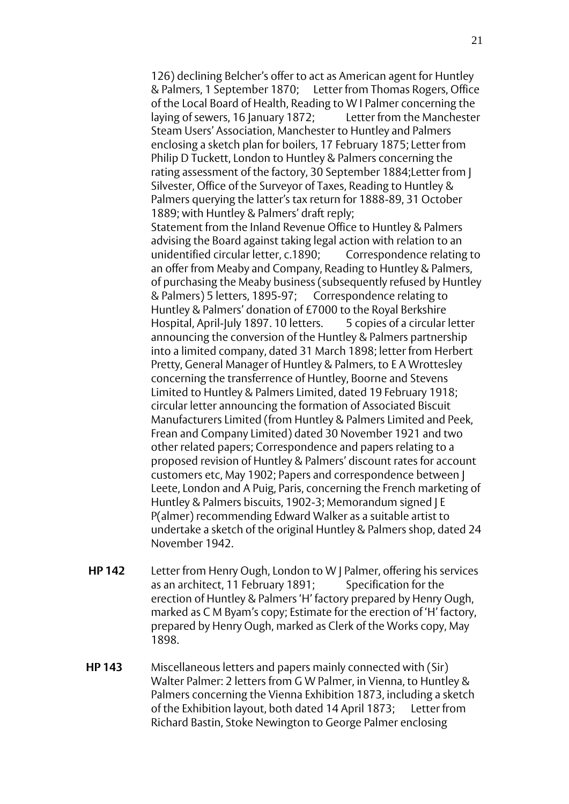126) declining Belcher's offer to act as American agent for Huntley & Palmers, 1 September 1870; Letter from Thomas Rogers, Office of the Local Board of Health, Reading to W I Palmer concerning the laying of sewers, 16 January 1872; Letter from the Manchester Steam Users' Association, Manchester to Huntley and Palmers enclosing a sketch plan for boilers, 17 February 1875; Letter from Philip D Tuckett, London to Huntley & Palmers concerning the rating assessment of the factory, 30 September 1884;Letter from J Silvester, Office of the Surveyor of Taxes, Reading to Huntley & Palmers querying the latter's tax return for 1888-89, 31 October 1889; with Huntley & Palmers' draft reply; Statement from the Inland Revenue Office to Huntley & Palmers advising the Board against taking legal action with relation to an unidentified circular letter, c.1890; Correspondence relating to an offer from Meaby and Company, Reading to Huntley & Palmers, of purchasing the Meaby business (subsequently refused by Huntley & Palmers) 5 letters, 1895-97; Correspondence relating to Huntley & Palmers' donation of £7000 to the Royal Berkshire Hospital, April-July 1897, 10 letters. 5 copies of a circular letter announcing the conversion of the Huntley & Palmers partnership into a limited company, dated 31 March 1898; letter from Herbert Pretty, General Manager of Huntley & Palmers, to E A Wrottesley concerning the transferrence of Huntley, Boorne and Stevens Limited to Huntley & Palmers Limited, dated 19 February 1918; circular letter announcing the formation of Associated Biscuit Manufacturers Limited (from Huntley & Palmers Limited and Peek, Frean and Company Limited) dated 30 November 1921 and two other related papers; Correspondence and papers relating to a proposed revision of Huntley & Palmers' discount rates for account customers etc, May 1902; Papers and correspondence between J Leete, London and A Puig, Paris, concerning the French marketing of Huntley & Palmers biscuits, 1902-3; Memorandum signed J E P(almer) recommending Edward Walker as a suitable artist to undertake a sketch of the original Huntley & Palmers shop, dated 24 November 1942.

- **HP 142** Letter from Henry Ough, London to W J Palmer, offering his services as an architect, 11 February 1891; Specification for the erection of Huntley & Palmers 'H' factory prepared by Henry Ough, marked as C M Byam's copy; Estimate for the erection of 'H' factory, prepared by Henry Ough, marked as Clerk of the Works copy, May 1898.
- **HP 143** Miscellaneous letters and papers mainly connected with (Sir) Walter Palmer: 2 letters from G W Palmer, in Vienna, to Huntley & Palmers concerning the Vienna Exhibition 1873, including a sketch of the Exhibition layout, both dated 14 April 1873; Letter from Richard Bastin, Stoke Newington to George Palmer enclosing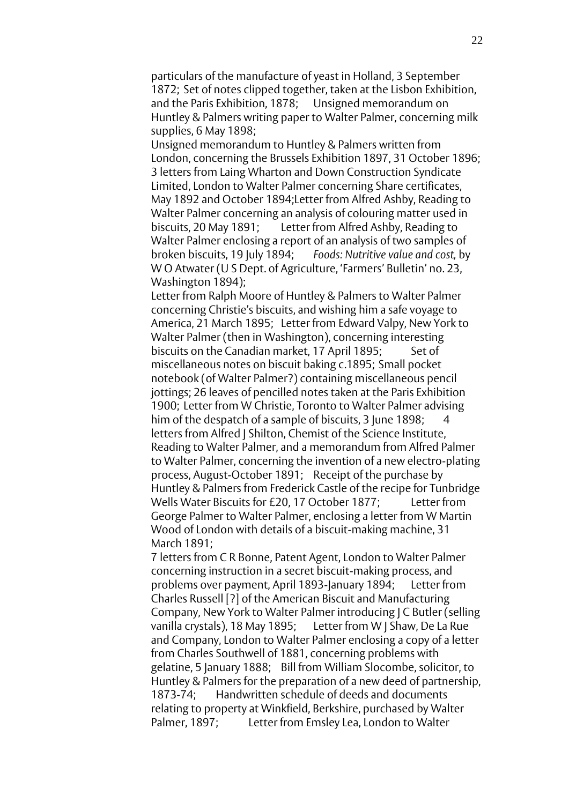particulars of the manufacture of yeast in Holland, 3 September 1872; Set of notes clipped together, taken at the Lisbon Exhibition, and the Paris Exhibition, 1878; Unsigned memorandum on Huntley & Palmers writing paper to Walter Palmer, concerning milk supplies, 6 May 1898;

Unsigned memorandum to Huntley & Palmers written from London, concerning the Brussels Exhibition 1897, 31 October 1896; 3 letters from Laing Wharton and Down Construction Syndicate Limited, London to Walter Palmer concerning Share certificates, May 1892 and October 1894;Letter from Alfred Ashby, Reading to Walter Palmer concerning an analysis of colouring matter used in biscuits, 20 May 1891; Letter from Alfred Ashby, Reading to Walter Palmer enclosing a report of an analysis of two samples of broken biscuits, 19 July 1894; *Foods: Nutritive value and cost,* by W O Atwater (U S Dept. of Agriculture, 'Farmers' Bulletin' no. 23, Washington 1894);

Letter from Ralph Moore of Huntley & Palmers to Walter Palmer concerning Christie's biscuits, and wishing him a safe voyage to America, 21 March 1895; Letter from Edward Valpy, New York to Walter Palmer (then in Washington), concerning interesting biscuits on the Canadian market, 17 April 1895: Set of miscellaneous notes on biscuit baking c.1895; Small pocket notebook (of Walter Palmer?) containing miscellaneous pencil jottings; 26 leaves of pencilled notes taken at the Paris Exhibition 1900; Letter from W Christie, Toronto to Walter Palmer advising him of the despatch of a sample of biscuits, 3 June 1898; letters from Alfred J Shilton, Chemist of the Science Institute, Reading to Walter Palmer, and a memorandum from Alfred Palmer to Walter Palmer, concerning the invention of a new electro-plating process, August-October 1891; Receipt of the purchase by Huntley & Palmers from Frederick Castle of the recipe for Tunbridge Wells Water Biscuits for £20, 17 October 1877; Letter from George Palmer to Walter Palmer, enclosing a letter from W Martin Wood of London with details of a biscuit-making machine, 31 March 1891;

7 letters from C R Bonne, Patent Agent, London to Walter Palmer concerning instruction in a secret biscuit-making process, and problems over payment, April 1893-January 1894; Letter from Charles Russell [?] of the American Biscuit and Manufacturing Company, New York to Walter Palmer introducing J C Butler (selling vanilla crystals), 18 May 1895; Letter from W J Shaw, De La Rue and Company, London to Walter Palmer enclosing a copy of a letter from Charles Southwell of 1881, concerning problems with gelatine, 5 January 1888; Bill from William Slocombe, solicitor, to Huntley & Palmers for the preparation of a new deed of partnership, 1873-74; Handwritten schedule of deeds and documents relating to property at Winkfield, Berkshire, purchased by Walter Palmer, 1897; Letter from Emsley Lea, London to Walter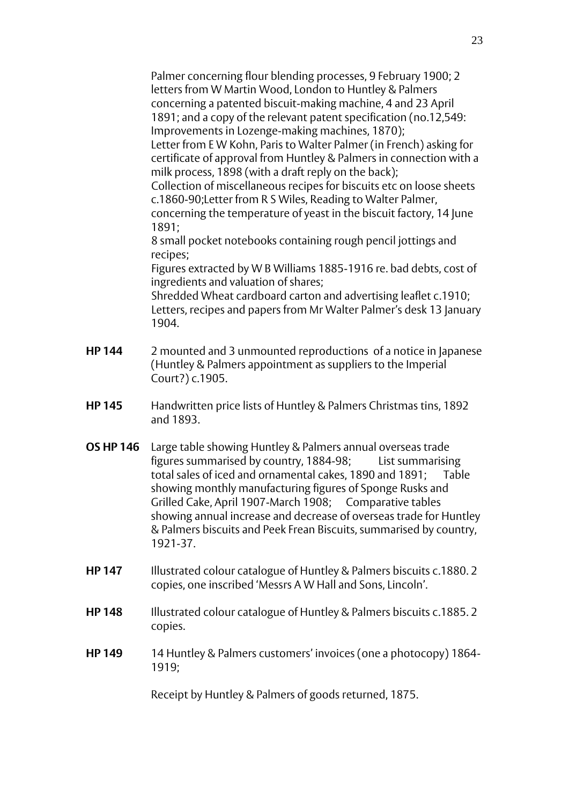Palmer concerning flour blending processes, 9 February 1900; 2 letters from W Martin Wood, London to Huntley & Palmers concerning a patented biscuit-making machine, 4 and 23 April 1891; and a copy of the relevant patent specification (no.12,549: Improvements in Lozenge-making machines, 1870); Letter from E W Kohn, Paris to Walter Palmer (in French) asking for certificate of approval from Huntley & Palmers in connection with a milk process, 1898 (with a draft reply on the back); Collection of miscellaneous recipes for biscuits etc on loose sheets c.1860-90;Letter from R S Wiles, Reading to Walter Palmer, concerning the temperature of yeast in the biscuit factory, 14 June 1891; 8 small pocket notebooks containing rough pencil jottings and recipes;

Figures extracted by W B Williams 1885-1916 re. bad debts, cost of ingredients and valuation of shares;

Shredded Wheat cardboard carton and advertising leaflet c.1910; Letters, recipes and papers from Mr Walter Palmer's desk 13 January 1904.

- **HP 144** 2 mounted and 3 unmounted reproductions of a notice in Japanese (Huntley & Palmers appointment as suppliers to the Imperial Court?) c.1905.
- **HP 145** Handwritten price lists of Huntley & Palmers Christmas tins, 1892 and 1893.
- **OS HP 146** Large table showing Huntley & Palmers annual overseas trade figures summarised by country, 1884-98; List summarising total sales of iced and ornamental cakes, 1890 and 1891; Table showing monthly manufacturing figures of Sponge Rusks and Grilled Cake, April 1907-March 1908; Comparative tables showing annual increase and decrease of overseas trade for Huntley & Palmers biscuits and Peek Frean Biscuits, summarised by country, 1921-37.
- **HP 147** Illustrated colour catalogue of Huntley & Palmers biscuits c.1880. 2 copies, one inscribed 'Messrs A W Hall and Sons, Lincoln'.
- **HP 148** Illustrated colour catalogue of Huntley & Palmers biscuits c.1885. 2 copies.
- **HP 149** 14 Huntley & Palmers customers' invoices (one a photocopy) 1864-1919;

Receipt by Huntley & Palmers of goods returned, 1875.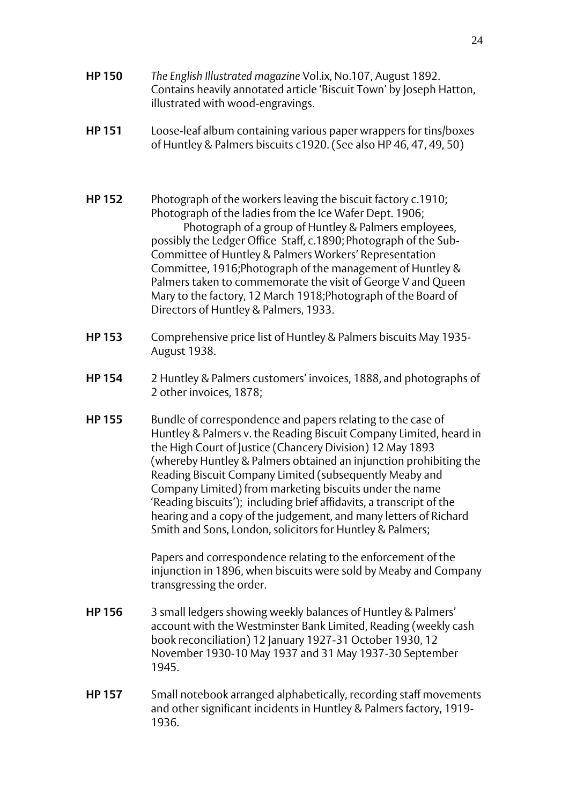- **HP 150** *The English Illustrated magazine* Vol.ix, No.107, August 1892. Contains heavily annotated article 'Biscuit Town' by Joseph Hatton, illustrated with wood-engravings.
- **HP 151** Loose-leaf album containing various paper wrappers for tins/boxes of Huntley & Palmers biscuits c1920. (See also HP 46, 47, 49, 50)
- **HP 152** Photograph of the workers leaving the biscuit factory c.1910; Photograph of the ladies from the Ice Wafer Dept. 1906; Photograph of a group of Huntley & Palmers employees, possibly the Ledger Office Staff, c.1890; Photograph of the Sub-Committee of Huntley & Palmers Workers' Representation Committee, 1916;Photograph of the management of Huntley & Palmers taken to commemorate the visit of George V and Queen Mary to the factory, 12 March 1918;Photograph of the Board of Directors of Huntley & Palmers, 1933.
- **HP 153** Comprehensive price list of Huntley & Palmers biscuits May 1935- August 1938.
- **HP 154** 2 Huntley & Palmers customers' invoices, 1888, and photographs of 2 other invoices, 1878;
- **HP 155** Bundle of correspondence and papers relating to the case of Huntley & Palmers v. the Reading Biscuit Company Limited, heard in the High Court of Justice (Chancery Division) 12 May 1893 (whereby Huntley & Palmers obtained an injunction prohibiting the Reading Biscuit Company Limited (subsequently Meaby and Company Limited) from marketing biscuits under the name 'Reading biscuits'); including brief affidavits, a transcript of the hearing and a copy of the judgement, and many letters of Richard Smith and Sons, London, solicitors for Huntley & Palmers;

Papers and correspondence relating to the enforcement of the injunction in 1896, when biscuits were sold by Meaby and Company transgressing the order.

- **HP 156** 3 small ledgers showing weekly balances of Huntley & Palmers' account with the Westminster Bank Limited, Reading (weekly cash book reconciliation) 12 January 1927-31 October 1930, 12 November 1930-10 May 1937 and 31 May 1937-30 September 1945.
- **HP 157** Small notebook arranged alphabetically, recording staff movements and other significant incidents in Huntley & Palmers factory, 1919- 1936.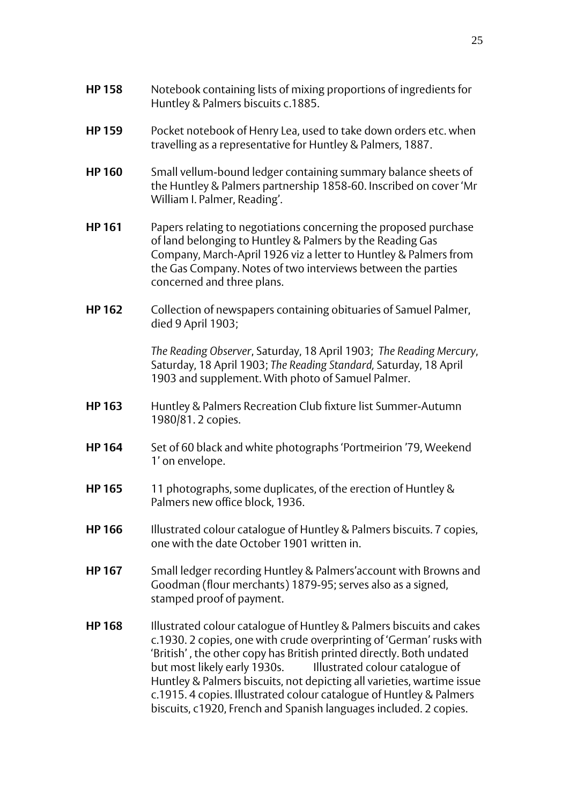- **HP 159** Pocket notebook of Henry Lea, used to take down orders etc. when travelling as a representative for Huntley & Palmers, 1887.
- **HP 160** Small vellum-bound ledger containing summary balance sheets of the Huntley & Palmers partnership 1858-60. Inscribed on cover 'Mr William I. Palmer, Reading'.
- **HP 161** Papers relating to negotiations concerning the proposed purchase of land belonging to Huntley & Palmers by the Reading Gas Company, March-April 1926 viz a letter to Huntley & Palmers from the Gas Company. Notes of two interviews between the parties concerned and three plans.
- **HP 162** Collection of newspapers containing obituaries of Samuel Palmer, died 9 April 1903;

*The Reading Observer*, Saturday, 18 April 1903; *The Reading Mercury*, Saturday, 18 April 1903; *The Reading Standard,* Saturday, 18 April 1903 and supplement. With photo of Samuel Palmer.

- **HP 163** Huntley & Palmers Recreation Club fixture list Summer-Autumn 1980/81. 2 copies.
- **HP 164** Set of 60 black and white photographs 'Portmeirion '79, Weekend 1' on envelope.
- **HP 165** 11 photographs, some duplicates, of the erection of Huntley & Palmers new office block, 1936.
- **HP 166** Illustrated colour catalogue of Huntley & Palmers biscuits. 7 copies, one with the date October 1901 written in.
- **HP 167** Small ledger recording Huntley & Palmers'account with Browns and Goodman (flour merchants) 1879-95; serves also as a signed, stamped proof of payment.
- **HP 168** Illustrated colour catalogue of Huntley & Palmers biscuits and cakes c.1930. 2 copies, one with crude overprinting of 'German' rusks with 'British' , the other copy has British printed directly. Both undated but most likely early 1930s. Illustrated colour catalogue of Huntley & Palmers biscuits, not depicting all varieties, wartime issue c.1915. 4 copies. Illustrated colour catalogue of Huntley & Palmers biscuits, c1920, French and Spanish languages included. 2 copies.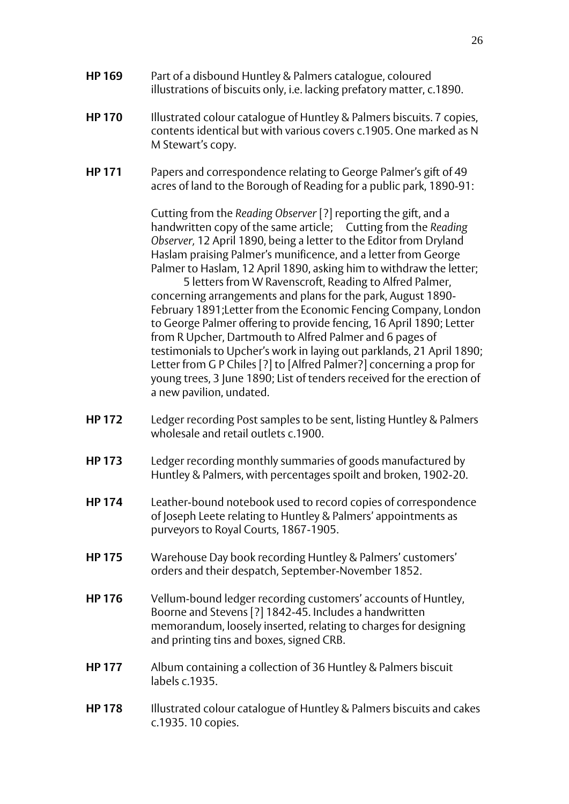- **HP 169** Part of a disbound Huntley & Palmers catalogue, coloured illustrations of biscuits only, i.e. lacking prefatory matter, c.1890.
- **HP 170** Illustrated colour catalogue of Huntley & Palmers biscuits. 7 copies, contents identical but with various covers c.1905. One marked as N M Stewart's copy.
- **HP 171** Papers and correspondence relating to George Palmer's gift of 49 acres of land to the Borough of Reading for a public park, 1890-91:

Cutting from the *Reading Observer* [?] reporting the gift, and a handwritten copy of the same article; Cutting from the *Reading Observer,* 12 April 1890, being a letter to the Editor from Dryland Haslam praising Palmer's munificence, and a letter from George Palmer to Haslam, 12 April 1890, asking him to withdraw the letter;

5 letters from W Ravenscroft, Reading to Alfred Palmer, concerning arrangements and plans for the park, August 1890- February 1891;Letter from the Economic Fencing Company, London to George Palmer offering to provide fencing, 16 April 1890; Letter from R Upcher, Dartmouth to Alfred Palmer and 6 pages of testimonials to Upcher's work in laying out parklands, 21 April 1890; Letter from G P Chiles [?] to [Alfred Palmer?] concerning a prop for young trees, 3 June 1890; List of tenders received for the erection of a new pavilion, undated.

- **HP 172** Ledger recording Post samples to be sent, listing Huntley & Palmers wholesale and retail outlets c.1900.
- **HP 173** Ledger recording monthly summaries of goods manufactured by Huntley & Palmers, with percentages spoilt and broken, 1902-20.
- **HP 174** Leather-bound notebook used to record copies of correspondence of Joseph Leete relating to Huntley & Palmers' appointments as purveyors to Royal Courts, 1867-1905.
- **HP 175** Warehouse Day book recording Huntley & Palmers' customers' orders and their despatch, September-November 1852.
- **HP 176** Vellum-bound ledger recording customers' accounts of Huntley, Boorne and Stevens [?] 1842-45. Includes a handwritten memorandum, loosely inserted, relating to charges for designing and printing tins and boxes, signed CRB.
- **HP 177** Album containing a collection of 36 Huntley & Palmers biscuit labels c.1935.
- **HP 178** Illustrated colour catalogue of Huntley & Palmers biscuits and cakes c.1935. 10 copies.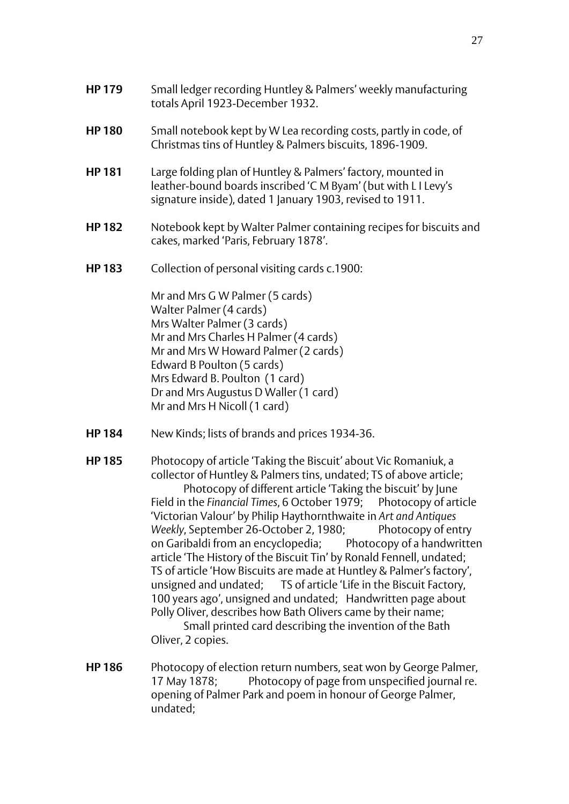- **HP 180** Small notebook kept by W Lea recording costs, partly in code, of Christmas tins of Huntley & Palmers biscuits, 1896-1909.
- **HP 181** Large folding plan of Huntley & Palmers' factory, mounted in leather-bound boards inscribed 'C M Byam' (but with L I Levy's signature inside), dated 1 January 1903, revised to 1911.
- **HP 182** Notebook kept by Walter Palmer containing recipes for biscuits and cakes, marked 'Paris, February 1878'.
- **HP 183** Collection of personal visiting cards c.1900:

Mr and Mrs G W Palmer (5 cards) Walter Palmer (4 cards) Mrs Walter Palmer (3 cards) Mr and Mrs Charles H Palmer (4 cards) Mr and Mrs W Howard Palmer (2 cards) Edward B Poulton (5 cards) Mrs Edward B. Poulton (1 card) Dr and Mrs Augustus D Waller (1 card) Mr and Mrs H Nicoll (1 card)

- **HP 184** New Kinds; lists of brands and prices 1934-36.
- **HP 185** Photocopy of article 'Taking the Biscuit' about Vic Romaniuk, a collector of Huntley & Palmers tins, undated; TS of above article; Photocopy of different article 'Taking the biscuit' by June Field in the *Financial Times*, 6 October 1979; Photocopy of article 'Victorian Valour' by Philip Haythornthwaite in *Art and Antiques Weekly*, September 26-October 2, 1980; Photocopy of entry on Garibaldi from an encyclopedia; Photocopy of a handwritten article 'The History of the Biscuit Tin' by Ronald Fennell, undated; TS of article 'How Biscuits are made at Huntley & Palmer's factory', unsigned and undated; TS of article 'Life in the Biscuit Factory, 100 years ago', unsigned and undated; Handwritten page about Polly Oliver, describes how Bath Olivers came by their name;

Small printed card describing the invention of the Bath Oliver, 2 copies.

**HP 186** Photocopy of election return numbers, seat won by George Palmer, 17 May 1878; Photocopy of page from unspecified journal re. opening of Palmer Park and poem in honour of George Palmer, undated;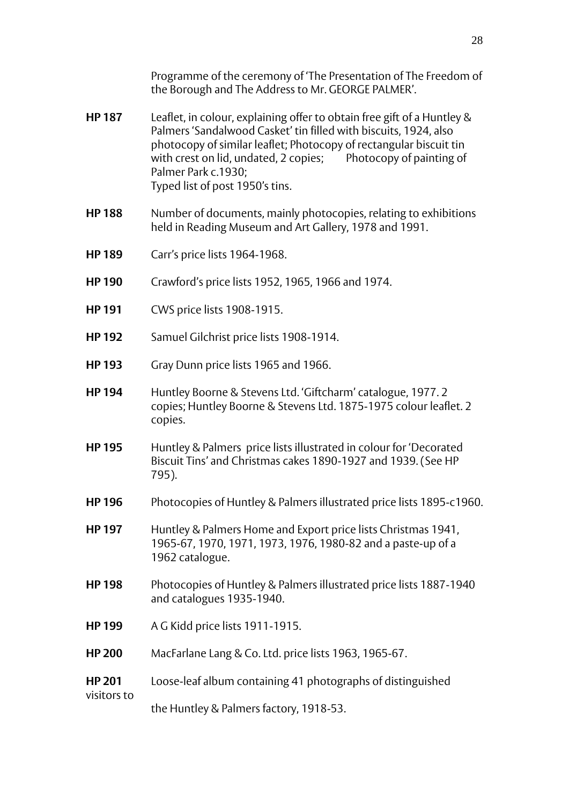Programme of the ceremony of 'The Presentation of The Freedom of the Borough and The Address to Mr. GEORGE PALMER'.

- **HP 187** Leaflet, in colour, explaining offer to obtain free gift of a Huntley & Palmers 'Sandalwood Casket' tin filled with biscuits, 1924, also photocopy of similar leaflet; Photocopy of rectangular biscuit tin with crest on lid, undated, 2 copies; Photocopy of painting of Palmer Park c.1930; Typed list of post 1950's tins.
- **HP 188** Number of documents, mainly photocopies, relating to exhibitions held in Reading Museum and Art Gallery, 1978 and 1991.
- **HP 189** Carr's price lists 1964-1968.
- **HP 190** Crawford's price lists 1952, 1965, 1966 and 1974.
- **HP 191** CWS price lists 1908-1915.
- **HP 192** Samuel Gilchrist price lists 1908-1914.
- **HP 193** Gray Dunn price lists 1965 and 1966.
- **HP 194** Huntley Boorne & Stevens Ltd. 'Giftcharm' catalogue, 1977. 2 copies; Huntley Boorne & Stevens Ltd. 1875-1975 colour leaflet. 2 copies.
- **HP 195** Huntley & Palmers price lists illustrated in colour for 'Decorated Biscuit Tins' and Christmas cakes 1890-1927 and 1939. (See HP 795).
- **HP 196** Photocopies of Huntley & Palmers illustrated price lists 1895-c1960.
- **HP 197** Huntley & Palmers Home and Export price lists Christmas 1941, 1965-67, 1970, 1971, 1973, 1976, 1980-82 and a paste-up of a 1962 catalogue.
- **HP 198** Photocopies of Huntley & Palmers illustrated price lists 1887-1940 and catalogues 1935-1940.
- **HP 199** A G Kidd price lists 1911-1915.
- **HP 200** MacFarlane Lang & Co. Ltd. price lists 1963, 1965-67.
- **HP 201** Loose-leaf album containing 41 photographs of distinguished visitors to

the Huntley & Palmers factory, 1918-53.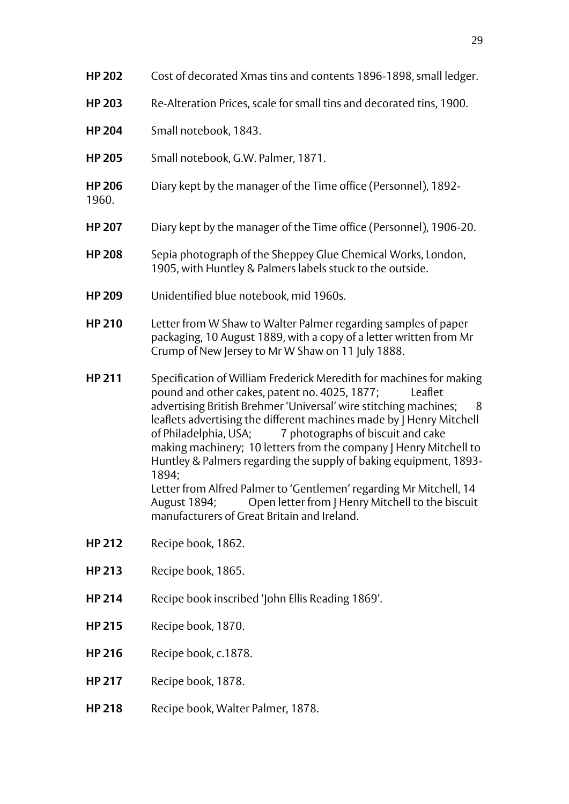| Cost of decorated Xmas tins and contents 1896-1898, small ledger.                                                                                                                                                                                                                                                                                                                                                                                                                                                                                                                                                                                                                                       |
|---------------------------------------------------------------------------------------------------------------------------------------------------------------------------------------------------------------------------------------------------------------------------------------------------------------------------------------------------------------------------------------------------------------------------------------------------------------------------------------------------------------------------------------------------------------------------------------------------------------------------------------------------------------------------------------------------------|
| Re-Alteration Prices, scale for small tins and decorated tins, 1900.                                                                                                                                                                                                                                                                                                                                                                                                                                                                                                                                                                                                                                    |
| Small notebook, 1843.                                                                                                                                                                                                                                                                                                                                                                                                                                                                                                                                                                                                                                                                                   |
| Small notebook, G.W. Palmer, 1871.                                                                                                                                                                                                                                                                                                                                                                                                                                                                                                                                                                                                                                                                      |
| Diary kept by the manager of the Time office (Personnel), 1892-                                                                                                                                                                                                                                                                                                                                                                                                                                                                                                                                                                                                                                         |
| Diary kept by the manager of the Time office (Personnel), 1906-20.                                                                                                                                                                                                                                                                                                                                                                                                                                                                                                                                                                                                                                      |
| Sepia photograph of the Sheppey Glue Chemical Works, London,<br>1905, with Huntley & Palmers labels stuck to the outside.                                                                                                                                                                                                                                                                                                                                                                                                                                                                                                                                                                               |
| Unidentified blue notebook, mid 1960s.                                                                                                                                                                                                                                                                                                                                                                                                                                                                                                                                                                                                                                                                  |
| Letter from W Shaw to Walter Palmer regarding samples of paper<br>packaging, 10 August 1889, with a copy of a letter written from Mr<br>Crump of New Jersey to Mr W Shaw on 11 July 1888.                                                                                                                                                                                                                                                                                                                                                                                                                                                                                                               |
| Specification of William Frederick Meredith for machines for making<br>pound and other cakes, patent no. 4025, 1877;<br>Leaflet<br>advertising British Brehmer 'Universal' wire stitching machines;<br>8 <sup>8</sup><br>leaflets advertising the different machines made by J Henry Mitchell<br>7 photographs of biscuit and cake<br>of Philadelphia, USA;<br>making machinery; 10 letters from the company   Henry Mitchell to<br>Huntley & Palmers regarding the supply of baking equipment, 1893-<br>1894;<br>Letter from Alfred Palmer to 'Gentlemen' regarding Mr Mitchell, 14<br>August 1894;<br>Open letter from J Henry Mitchell to the biscuit<br>manufacturers of Great Britain and Ireland. |
| Recipe book, 1862.                                                                                                                                                                                                                                                                                                                                                                                                                                                                                                                                                                                                                                                                                      |
| Recipe book, 1865.                                                                                                                                                                                                                                                                                                                                                                                                                                                                                                                                                                                                                                                                                      |
| Recipe book inscribed 'John Ellis Reading 1869'.                                                                                                                                                                                                                                                                                                                                                                                                                                                                                                                                                                                                                                                        |
| Recipe book, 1870.                                                                                                                                                                                                                                                                                                                                                                                                                                                                                                                                                                                                                                                                                      |
| Recipe book, c.1878.                                                                                                                                                                                                                                                                                                                                                                                                                                                                                                                                                                                                                                                                                    |
| Recipe book, 1878.                                                                                                                                                                                                                                                                                                                                                                                                                                                                                                                                                                                                                                                                                      |
| Recipe book, Walter Palmer, 1878.                                                                                                                                                                                                                                                                                                                                                                                                                                                                                                                                                                                                                                                                       |
|                                                                                                                                                                                                                                                                                                                                                                                                                                                                                                                                                                                                                                                                                                         |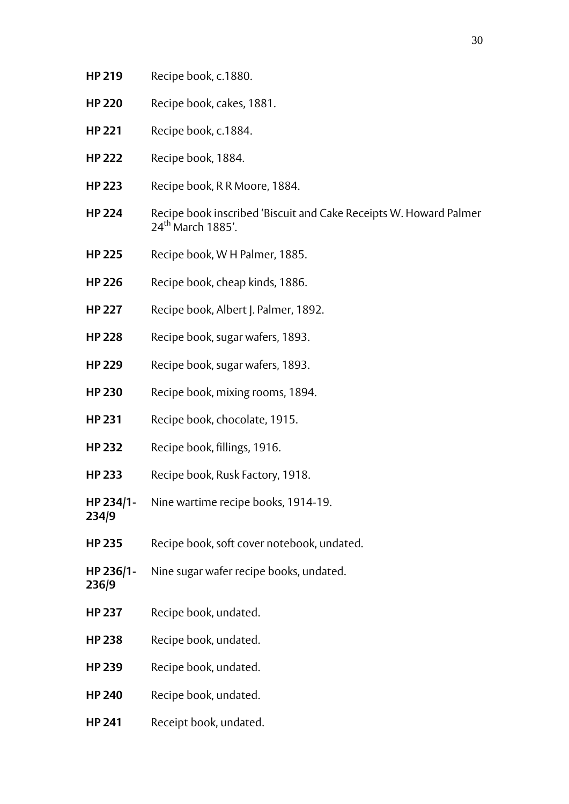- **HP 219** Recipe book, c.1880.
- **HP 220** Recipe book, cakes, 1881.
- **HP 221** Recipe book, c.1884.
- **HP 222** Recipe book, 1884.
- **HP 223** Recipe book, R R Moore, 1884.
- **HP 224** Recipe book inscribed 'Biscuit and Cake Receipts W. Howard Palmer 24<sup>th</sup> March 1885'
- **HP 225** Recipe book, W H Palmer, 1885.
- **HP 226** Recipe book, cheap kinds, 1886.
- **HP 227** Recipe book, Albert J. Palmer, 1892.
- **HP 228** Recipe book, sugar wafers, 1893.
- **HP 229** Recipe book, sugar wafers, 1893.
- **HP 230** Recipe book, mixing rooms, 1894.
- **HP 231** Recipe book, chocolate, 1915.
- **HP 232** Recipe book, fillings, 1916.
- **HP 233** Recipe book, Rusk Factory, 1918.
- **HP 234/1-** Nine wartime recipe books, 1914-19.
- **HP 235** Recipe book, soft cover notebook, undated.
- **HP 236/1-** Nine sugar wafer recipe books, undated.
- **236/9**

**234/9**

- **HP 237** Recipe book, undated.
- **HP 238** Recipe book, undated.
- **HP 239** Recipe book, undated.
- **HP 240** Recipe book, undated.
- **HP 241** Receipt book, undated.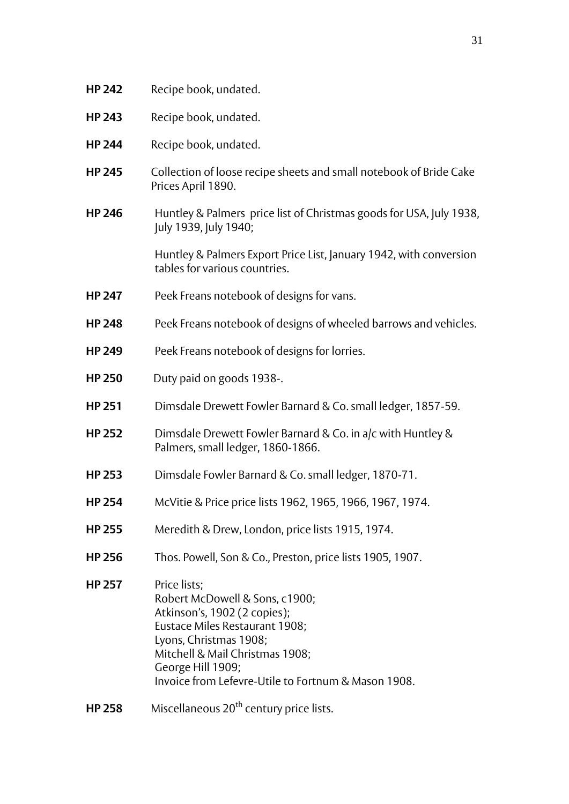| <b>HP 242</b> | Recipe book, undated.                                                                                                                                                                                                                                     |
|---------------|-----------------------------------------------------------------------------------------------------------------------------------------------------------------------------------------------------------------------------------------------------------|
| <b>HP 243</b> | Recipe book, undated.                                                                                                                                                                                                                                     |
| <b>HP 244</b> | Recipe book, undated.                                                                                                                                                                                                                                     |
| <b>HP 245</b> | Collection of loose recipe sheets and small notebook of Bride Cake<br>Prices April 1890.                                                                                                                                                                  |
| <b>HP 246</b> | Huntley & Palmers price list of Christmas goods for USA, July 1938,<br>July 1939, July 1940;                                                                                                                                                              |
|               | Huntley & Palmers Export Price List, January 1942, with conversion<br>tables for various countries.                                                                                                                                                       |
| <b>HP 247</b> | Peek Freans notebook of designs for vans.                                                                                                                                                                                                                 |
| <b>HP 248</b> | Peek Freans notebook of designs of wheeled barrows and vehicles.                                                                                                                                                                                          |
| <b>HP 249</b> | Peek Freans notebook of designs for lorries.                                                                                                                                                                                                              |
| <b>HP 250</b> | Duty paid on goods 1938-.                                                                                                                                                                                                                                 |
| <b>HP 251</b> | Dimsdale Drewett Fowler Barnard & Co. small ledger, 1857-59.                                                                                                                                                                                              |
| <b>HP 252</b> | Dimsdale Drewett Fowler Barnard & Co. in a/c with Huntley &<br>Palmers, small ledger, 1860-1866.                                                                                                                                                          |
| <b>HP 253</b> | Dimsdale Fowler Barnard & Co. small ledger, 1870-71.                                                                                                                                                                                                      |
| <b>HP 254</b> | McVitie & Price price lists 1962, 1965, 1966, 1967, 1974.                                                                                                                                                                                                 |
| <b>HP 255</b> | Meredith & Drew, London, price lists 1915, 1974.                                                                                                                                                                                                          |
| <b>HP 256</b> | Thos. Powell, Son & Co., Preston, price lists 1905, 1907.                                                                                                                                                                                                 |
| <b>HP 257</b> | Price lists;<br>Robert McDowell & Sons, c1900;<br>Atkinson's, 1902 (2 copies);<br>Eustace Miles Restaurant 1908;<br>Lyons, Christmas 1908;<br>Mitchell & Mail Christmas 1908;<br>George Hill 1909;<br>Invoice from Lefevre-Utile to Fortnum & Mason 1908. |
| <b>HP 258</b> | Miscellaneous 20 <sup>th</sup> century price lists.                                                                                                                                                                                                       |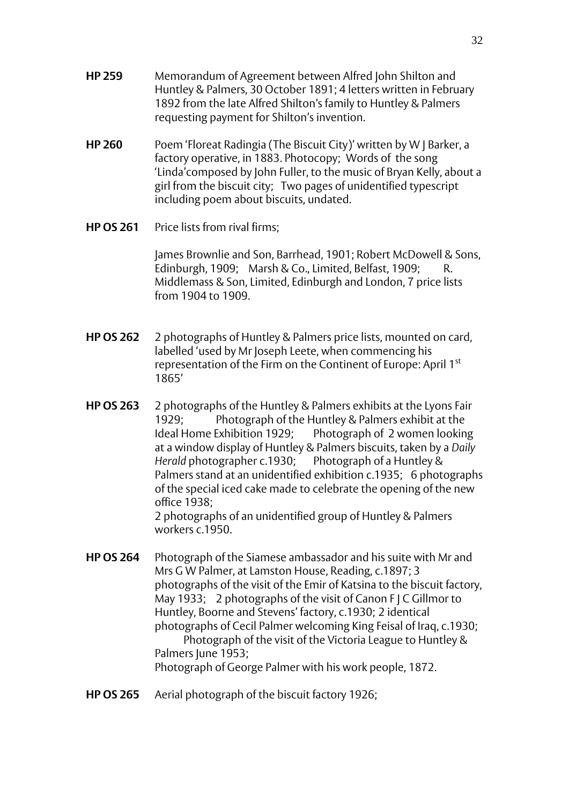- **HP 259** Memorandum of Agreement between Alfred John Shilton and Huntley & Palmers, 30 October 1891; 4 letters written in February 1892 from the late Alfred Shilton's family to Huntley & Palmers requesting payment for Shilton's invention.
- **HP 260** Poem 'Floreat Radingia (The Biscuit City)' written by W J Barker, a factory operative, in 1883. Photocopy; Words of the song 'Linda'composed by John Fuller, to the music of Bryan Kelly, about a girl from the biscuit city; Two pages of unidentified typescript including poem about biscuits, undated.
- **HP OS 261** Price lists from rival firms:

James Brownlie and Son, Barrhead, 1901; Robert McDowell & Sons, Edinburgh, 1909; Marsh & Co., Limited, Belfast, 1909; R. Middlemass & Son, Limited, Edinburgh and London, 7 price lists from 1904 to 1909.

- **HP OS 262** 2 photographs of Huntley & Palmers price lists, mounted on card, labelled 'used by Mr Joseph Leete, when commencing his representation of the Firm on the Continent of Europe: April 1st 1865'
- **HP OS 263** 2 photographs of the Huntley & Palmers exhibits at the Lyons Fair 1929; Photograph of the Huntley & Palmers exhibit at the Ideal Home Exhibition 1929; Photograph of 2 women looking at a window display of Huntley & Palmers biscuits, taken by a *Daily Herald* photographer c.1930; Photograph of a Huntley & Palmers stand at an unidentified exhibition c.1935; 6 photographs of the special iced cake made to celebrate the opening of the new office 1938; 2 photographs of an unidentified group of Huntley & Palmers workers c.1950.
- **HP OS 264** Photograph of the Siamese ambassador and his suite with Mr and Mrs G W Palmer, at Lamston House, Reading, c.1897; 3 photographs of the visit of the Emir of Katsina to the biscuit factory, May 1933; 2 photographs of the visit of Canon F J C Gillmor to Huntley, Boorne and Stevens' factory, c.1930; 2 identical photographs of Cecil Palmer welcoming King Feisal of Iraq, c.1930; Photograph of the visit of the Victoria League to Huntley & Palmers June 1953: Photograph of George Palmer with his work people, 1872.
- **HP OS 265** Aerial photograph of the biscuit factory 1926;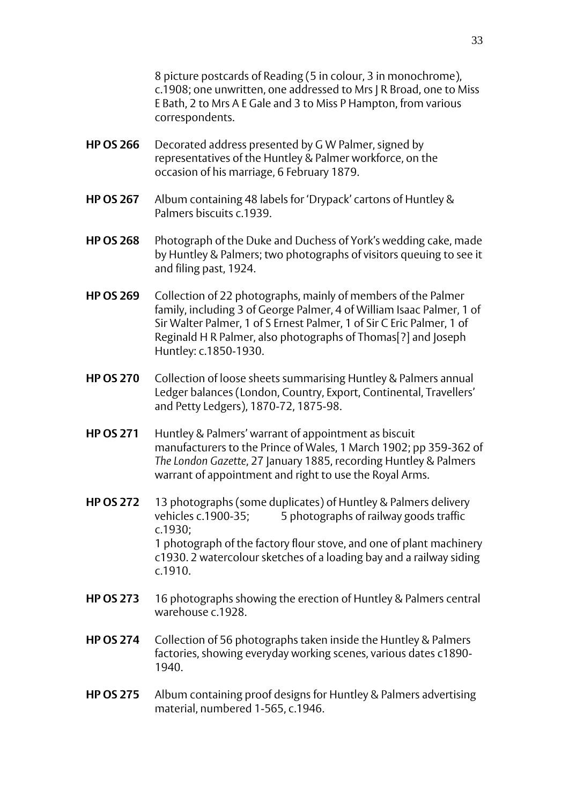8 picture postcards of Reading (5 in colour, 3 in monochrome), c.1908; one unwritten, one addressed to Mrs J R Broad, one to Miss E Bath, 2 to Mrs A E Gale and 3 to Miss P Hampton, from various correspondents.

- **HP OS 266** Decorated address presented by G W Palmer, signed by representatives of the Huntley & Palmer workforce, on the occasion of his marriage, 6 February 1879.
- **HP OS 267** Album containing 48 labels for 'Drypack' cartons of Huntley & Palmers biscuits c.1939.
- **HP OS 268** Photograph of the Duke and Duchess of York's wedding cake, made by Huntley & Palmers; two photographs of visitors queuing to see it and filing past, 1924.
- **HP OS 269** Collection of 22 photographs, mainly of members of the Palmer family, including 3 of George Palmer, 4 of William Isaac Palmer, 1 of Sir Walter Palmer, 1 of S Ernest Palmer, 1 of Sir C Eric Palmer, 1 of Reginald H R Palmer, also photographs of Thomas[?] and Joseph Huntley: c.1850-1930.
- **HP OS 270** Collection of loose sheets summarising Huntley & Palmers annual Ledger balances (London, Country, Export, Continental, Travellers' and Petty Ledgers), 1870-72, 1875-98.
- **HP OS 271** Huntley & Palmers' warrant of appointment as biscuit manufacturers to the Prince of Wales, 1 March 1902; pp 359-362 of *The London Gazette*, 27 January 1885, recording Huntley & Palmers warrant of appointment and right to use the Royal Arms.
- **HP OS 272** 13 photographs (some duplicates) of Huntley & Palmers delivery vehicles c.1900-35; 5 photographs of railway goods traffic c.1930; 1 photograph of the factory flour stove, and one of plant machinery c1930. 2 watercolour sketches of a loading bay and a railway siding c.1910.
- **HP OS 273** 16 photographs showing the erection of Huntley & Palmers central warehouse c.1928.
- **HP OS 274** Collection of 56 photographs taken inside the Huntley & Palmers factories, showing everyday working scenes, various dates c1890- 1940.
- **HP OS 275** Album containing proof designs for Huntley & Palmers advertising material, numbered 1-565, c.1946.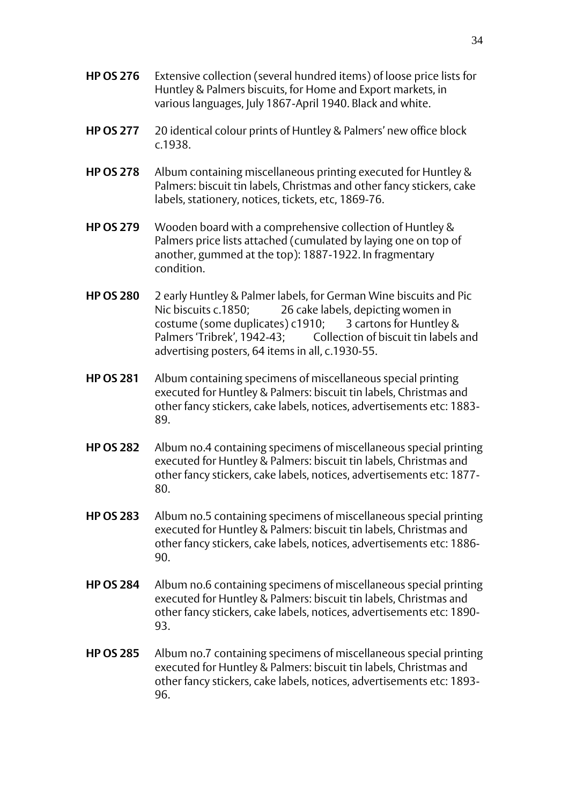- **HP OS 276** Extensive collection (several hundred items) of loose price lists for Huntley & Palmers biscuits, for Home and Export markets, in various languages, July 1867-April 1940. Black and white.
- **HP OS 277** 20 identical colour prints of Huntley & Palmers' new office block c.1938.
- **HP OS 278** Album containing miscellaneous printing executed for Huntley & Palmers: biscuit tin labels, Christmas and other fancy stickers, cake labels, stationery, notices, tickets, etc, 1869-76.
- **HP OS 279** Wooden board with a comprehensive collection of Huntley & Palmers price lists attached (cumulated by laying one on top of another, gummed at the top): 1887-1922. In fragmentary condition.
- **HP OS 280** 2 early Huntley & Palmer labels, for German Wine biscuits and Pic Nic biscuits c.1850; 26 cake labels, depicting women in costume (some duplicates) c1910; 3 cartons for Huntley & Palmers 'Tribrek', 1942-43; Collection of biscuit tin labels and advertising posters, 64 items in all, c.1930-55.
- **HP OS 281** Album containing specimens of miscellaneous special printing executed for Huntley & Palmers: biscuit tin labels, Christmas and other fancy stickers, cake labels, notices, advertisements etc: 1883- 89.
- **HP OS 282** Album no.4 containing specimens of miscellaneous special printing executed for Huntley & Palmers: biscuit tin labels, Christmas and other fancy stickers, cake labels, notices, advertisements etc: 1877- 80.
- **HP OS 283** Album no.5 containing specimens of miscellaneous special printing executed for Huntley & Palmers: biscuit tin labels, Christmas and other fancy stickers, cake labels, notices, advertisements etc: 1886- 90.
- **HP OS 284** Album no.6 containing specimens of miscellaneous special printing executed for Huntley & Palmers: biscuit tin labels, Christmas and other fancy stickers, cake labels, notices, advertisements etc: 1890- 93.
- **HP OS 285** Album no.7 containing specimens of miscellaneous special printing executed for Huntley & Palmers: biscuit tin labels, Christmas and other fancy stickers, cake labels, notices, advertisements etc: 1893- 96.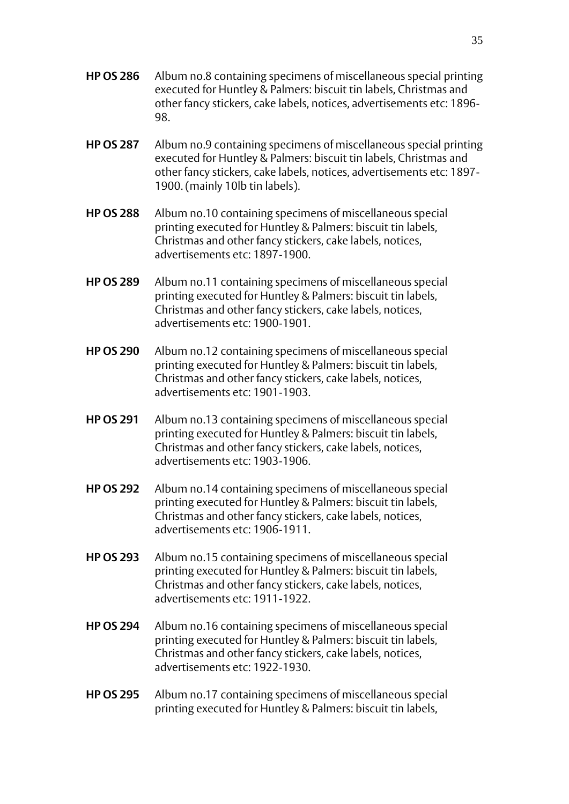- **HP OS 286** Album no.8 containing specimens of miscellaneous special printing executed for Huntley & Palmers: biscuit tin labels, Christmas and other fancy stickers, cake labels, notices, advertisements etc: 1896- 98.
- **HP OS 287** Album no.9 containing specimens of miscellaneous special printing executed for Huntley & Palmers: biscuit tin labels, Christmas and other fancy stickers, cake labels, notices, advertisements etc: 1897- 1900. (mainly 10lb tin labels).
- **HP OS 288** Album no.10 containing specimens of miscellaneous special printing executed for Huntley & Palmers: biscuit tin labels, Christmas and other fancy stickers, cake labels, notices, advertisements etc: 1897-1900.
- **HP OS 289** Album no.11 containing specimens of miscellaneous special printing executed for Huntley & Palmers: biscuit tin labels, Christmas and other fancy stickers, cake labels, notices, advertisements etc: 1900-1901.
- **HP OS 290** Album no.12 containing specimens of miscellaneous special printing executed for Huntley & Palmers: biscuit tin labels, Christmas and other fancy stickers, cake labels, notices, advertisements etc: 1901-1903.
- **HP OS 291** Album no.13 containing specimens of miscellaneous special printing executed for Huntley & Palmers: biscuit tin labels, Christmas and other fancy stickers, cake labels, notices, advertisements etc: 1903-1906.
- **HP OS 292** Album no.14 containing specimens of miscellaneous special printing executed for Huntley & Palmers: biscuit tin labels, Christmas and other fancy stickers, cake labels, notices, advertisements etc: 1906-1911.
- **HP OS 293** Album no.15 containing specimens of miscellaneous special printing executed for Huntley & Palmers: biscuit tin labels, Christmas and other fancy stickers, cake labels, notices, advertisements etc: 1911-1922.
- **HP OS 294** Album no.16 containing specimens of miscellaneous special printing executed for Huntley & Palmers: biscuit tin labels, Christmas and other fancy stickers, cake labels, notices, advertisements etc: 1922-1930
- **HP OS 295** Album no.17 containing specimens of miscellaneous special printing executed for Huntley & Palmers: biscuit tin labels,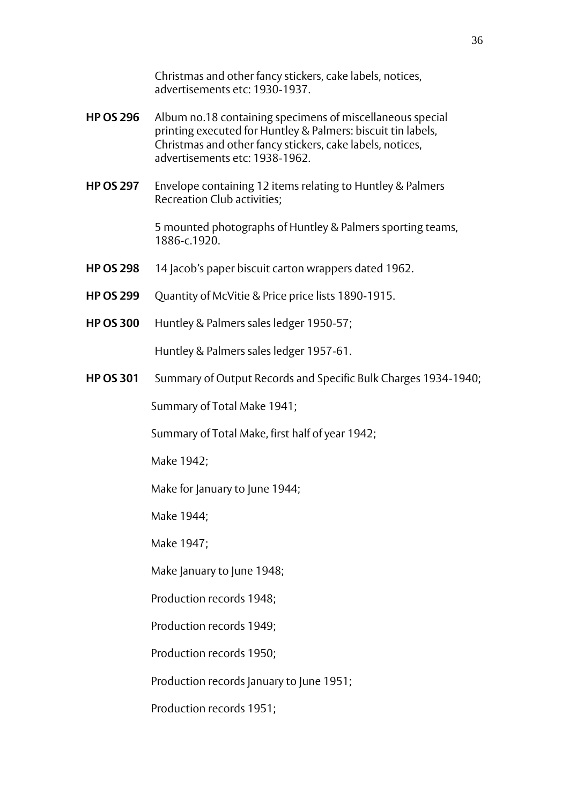Christmas and other fancy stickers, cake labels, notices, advertisements etc: 1930-1937.

- **HP OS 296** Album no.18 containing specimens of miscellaneous special printing executed for Huntley & Palmers: biscuit tin labels, Christmas and other fancy stickers, cake labels, notices, advertisements etc: 1938-1962.
- **HP OS 297** Envelope containing 12 items relating to Huntley & Palmers Recreation Club activities;

5 mounted photographs of Huntley & Palmers sporting teams, 1886-c.1920.

- **HP OS 298** 14 Jacob's paper biscuit carton wrappers dated 1962.
- **HP OS 299** Quantity of McVitie & Price price lists 1890-1915.
- **HP OS 300** Huntley & Palmers sales ledger 1950-57;

Huntley & Palmers sales ledger 1957-61.

**HP OS 301** Summary of Output Records and Specific Bulk Charges 1934-1940;

Summary of Total Make 1941;

Summary of Total Make, first half of year 1942;

Make 1942;

Make for January to June 1944;

Make 1944;

Make 1947;

Make January to June 1948;

Production records 1948;

Production records 1949;

Production records 1950;

Production records January to June 1951;

Production records 1951;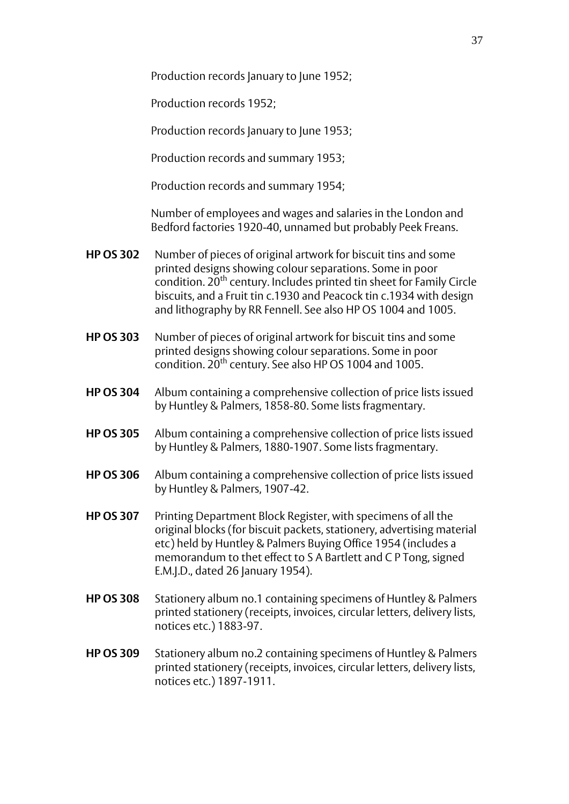Production records January to June 1952;

Production records 1952;

Production records January to June 1953:

Production records and summary 1953;

Production records and summary 1954;

Number of employees and wages and salaries in the London and Bedford factories 1920-40, unnamed but probably Peek Freans.

- **HP OS 302** Number of pieces of original artwork for biscuit tins and some printed designs showing colour separations. Some in poor condition. 20<sup>th</sup> century. Includes printed tin sheet for Family Circle biscuits, and a Fruit tin c.1930 and Peacock tin c.1934 with design and lithography by RR Fennell. See also HP OS 1004 and 1005.
- **HP OS 303** Number of pieces of original artwork for biscuit tins and some printed designs showing colour separations. Some in poor condition.  $20^{th}$  century. See also HP OS 1004 and 1005.
- **HP OS 304** Album containing a comprehensive collection of price lists issued by Huntley & Palmers, 1858-80. Some lists fragmentary.
- **HP OS 305** Album containing a comprehensive collection of price lists issued by Huntley & Palmers, 1880-1907. Some lists fragmentary.
- **HP OS 306** Album containing a comprehensive collection of price lists issued by Huntley & Palmers, 1907-42.
- **HP OS 307** Printing Department Block Register, with specimens of all the original blocks (for biscuit packets, stationery, advertising material etc) held by Huntley & Palmers Buying Office 1954 (includes a memorandum to thet effect to S A Bartlett and C P Tong, signed E.M.J.D., dated 26 January 1954).
- **HP OS 308** Stationery album no.1 containing specimens of Huntley & Palmers printed stationery (receipts, invoices, circular letters, delivery lists, notices etc.) 1883-97.
- **HP OS 309** Stationery album no.2 containing specimens of Huntley & Palmers printed stationery (receipts, invoices, circular letters, delivery lists, notices etc.) 1897-1911.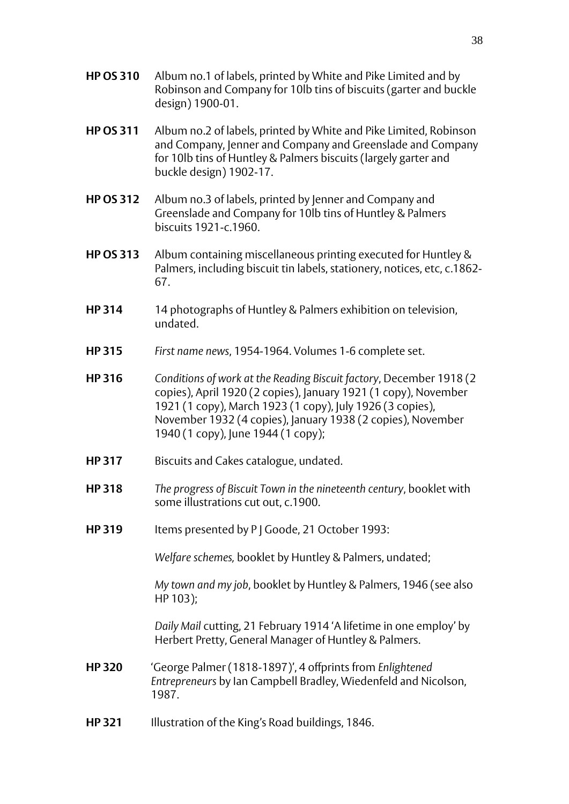- **HP OS 310** Album no.1 of labels, printed by White and Pike Limited and by Robinson and Company for 10lb tins of biscuits (garter and buckle design) 1900-01.
- **HP OS 311** Album no.2 of labels, printed by White and Pike Limited, Robinson and Company, Jenner and Company and Greenslade and Company for 10lb tins of Huntley & Palmers biscuits (largely garter and buckle design) 1902-17.
- **HP OS 312** Album no.3 of labels, printed by Jenner and Company and Greenslade and Company for 10lb tins of Huntley & Palmers biscuits 1921-c.1960.
- **HP OS 313** Album containing miscellaneous printing executed for Huntley & Palmers, including biscuit tin labels, stationery, notices, etc, c.1862- 67.
- **HP 314** 14 photographs of Huntley & Palmers exhibition on television, undated.
- **HP 315** *First name news*, 1954-1964. Volumes 1-6 complete set.
- **HP 316** *Conditions of work at the Reading Biscuit factory*, December 1918 (2 copies), April 1920 (2 copies), January 1921 (1 copy), November 1921 (1 copy), March 1923 (1 copy), July 1926 (3 copies), November 1932 (4 copies), January 1938 (2 copies), November 1940 (1 copy), June 1944 (1 copy);
- **HP 317** Biscuits and Cakes catalogue, undated.
- **HP 318** *The progress of Biscuit Town in the nineteenth century*, booklet with some illustrations cut out, c.1900.
- **HP 319** Items presented by P J Goode, 21 October 1993:

*Welfare schemes,* booklet by Huntley & Palmers, undated;

*My town and my job*, booklet by Huntley & Palmers, 1946 (see also HP 103);

*Daily Mail* cutting, 21 February 1914 'A lifetime in one employ' by Herbert Pretty, General Manager of Huntley & Palmers.

- **HP 320** 'George Palmer (1818-1897)', 4 offprints from *Enlightened Entrepreneurs* by Ian Campbell Bradley, Wiedenfeld and Nicolson, 1987.
- **HP 321** Illustration of the King's Road buildings, 1846.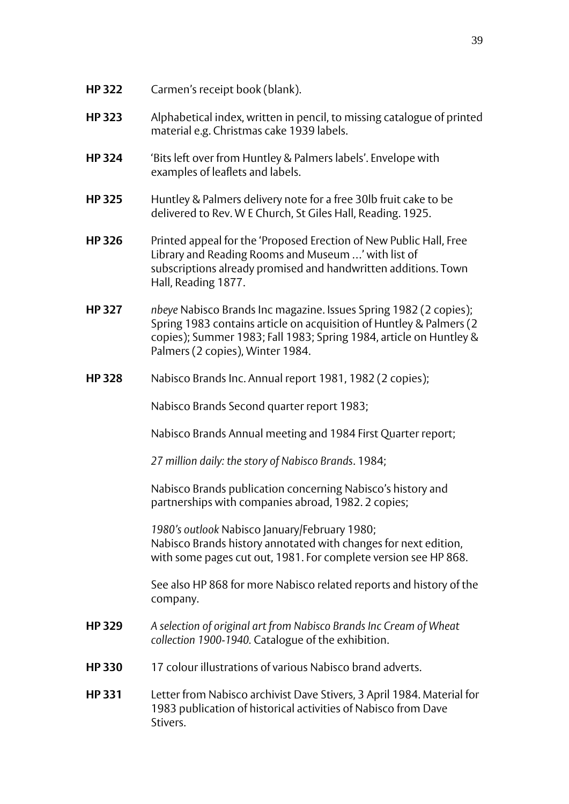- **HP 322** Carmen's receipt book (blank).
- **HP 323** Alphabetical index, written in pencil, to missing catalogue of printed material e.g. Christmas cake 1939 labels.
- **HP 324** 'Bits left over from Huntley & Palmers labels'. Envelope with examples of leaflets and labels.
- **HP 325** Huntley & Palmers delivery note for a free 30lb fruit cake to be delivered to Rev. W E Church, St Giles Hall, Reading. 1925.
- **HP 326** Printed appeal for the 'Proposed Erection of New Public Hall, Free Library and Reading Rooms and Museum …' with list of subscriptions already promised and handwritten additions. Town Hall, Reading 1877.
- **HP 327** *nbeye* Nabisco Brands Inc magazine. Issues Spring 1982 (2 copies); Spring 1983 contains article on acquisition of Huntley & Palmers (2 copies); Summer 1983; Fall 1983; Spring 1984, article on Huntley & Palmers (2 copies), Winter 1984.
- **HP 328** Nabisco Brands Inc. Annual report 1981, 1982 (2 copies);

Nabisco Brands Second quarter report 1983;

Nabisco Brands Annual meeting and 1984 First Quarter report;

*27 million daily: the story of Nabisco Brands*. 1984;

Nabisco Brands publication concerning Nabisco's history and partnerships with companies abroad, 1982. 2 copies;

*1980's outlook* Nabisco January/February 1980; Nabisco Brands history annotated with changes for next edition, with some pages cut out, 1981. For complete version see HP 868.

See also HP 868 for more Nabisco related reports and history of the company.

- **HP 329** *A selection of original art from Nabisco Brands Inc Cream of Wheat collection 1900-1940.* Catalogue of the exhibition.
- **HP 330** 17 colour illustrations of various Nabisco brand adverts.
- **HP 331** Letter from Nabisco archivist Dave Stivers, 3 April 1984. Material for 1983 publication of historical activities of Nabisco from Dave Stivers.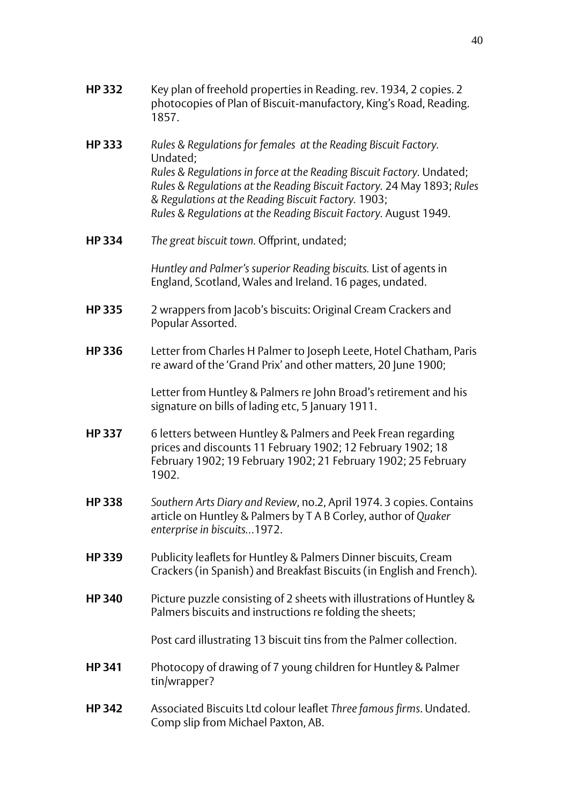- **HP 332** Key plan of freehold properties in Reading. rev. 1934, 2 copies. 2 photocopies of Plan of Biscuit-manufactory, King's Road, Reading. 1857.
- **HP 333** *Rules & Regulations for females at the Reading Biscuit Factory.* Undated; *Rules & Regulations in force at the Reading Biscuit Factory.* Undated; *Rules & Regulations at the Reading Biscuit Factory.* 24 May 1893; *Rules & Regulations at the Reading Biscuit Factory.* 1903; *Rules & Regulations at the Reading Biscuit Factory.* August 1949.
- **HP 334** *The great biscuit town.* Offprint, undated;

*Huntley and Palmer's superior Reading biscuits.* List of agents in England, Scotland, Wales and Ireland. 16 pages, undated.

- **HP 335** 2 wrappers from Jacob's biscuits: Original Cream Crackers and Popular Assorted.
- **HP 336** Letter from Charles H Palmer to Joseph Leete, Hotel Chatham, Paris re award of the 'Grand Prix' and other matters, 20 June 1900;

Letter from Huntley & Palmers re John Broad's retirement and his signature on bills of lading etc, 5 January 1911.

- **HP 337** 6 letters between Huntley & Palmers and Peek Frean regarding prices and discounts 11 February 1902; 12 February 1902; 18 February 1902; 19 February 1902; 21 February 1902; 25 February 1902.
- **HP 338** *Southern Arts Diary and Review*, no.2, April 1974. 3 copies. Contains article on Huntley & Palmers by T A B Corley, author of *Quaker enterprise in biscuits…*1972.
- **HP 339** Publicity leaflets for Huntley & Palmers Dinner biscuits, Cream Crackers (in Spanish) and Breakfast Biscuits (in English and French).
- **HP 340** Picture puzzle consisting of 2 sheets with illustrations of Huntley & Palmers biscuits and instructions re folding the sheets;

Post card illustrating 13 biscuit tins from the Palmer collection.

- **HP 341** Photocopy of drawing of 7 young children for Huntley & Palmer tin/wrapper?
- **HP 342** Associated Biscuits Ltd colour leaflet *Three famous firms*. Undated. Comp slip from Michael Paxton, AB.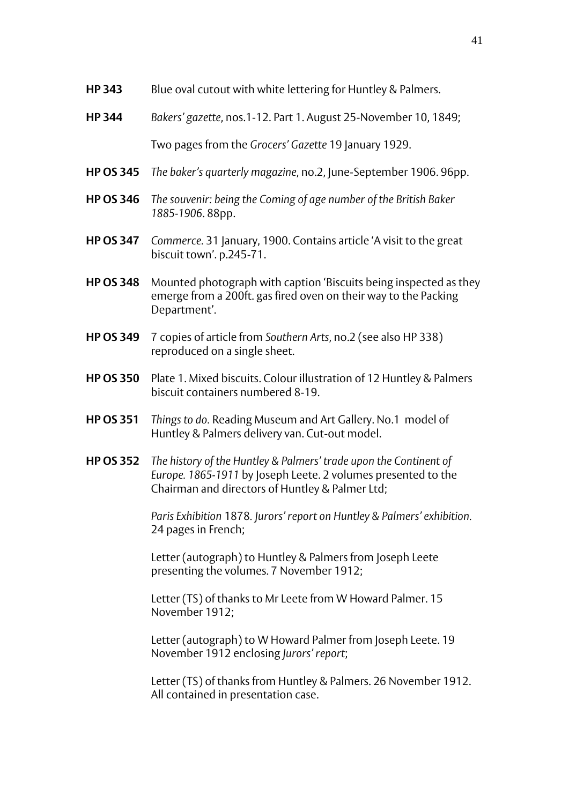- **HP 343** Blue oval cutout with white lettering for Huntley & Palmers.
- **HP 344** *Bakers' gazette*, nos.1-12. Part 1. August 25-November 10, 1849; Two pages from the *Grocers' Gazette* 19 January 1929.
- **HP OS 345** *The baker's quarterly magazine*, no.2, June-September 1906. 96pp.
- **HP OS 346** *The souvenir: being the Coming of age number of the British Baker 1885-1906*. 88pp.
- **HP OS 347** *Commerce.* 31 January, 1900. Contains article 'A visit to the great biscuit town'. p.245-71.
- **HP OS 348** Mounted photograph with caption 'Biscuits being inspected as they emerge from a 200ft. gas fired oven on their way to the Packing Department'.
- **HP OS 349** 7 copies of article from *Southern Arts*, no.2 (see also HP 338) reproduced on a single sheet.
- **HP OS 350** Plate 1. Mixed biscuits. Colour illustration of 12 Huntley & Palmers biscuit containers numbered 8-19.
- **HP OS 351** *Things to do.* Reading Museum and Art Gallery. No.1 model of Huntley & Palmers delivery van. Cut-out model.
- **HP OS 352** *The history of the Huntley & Palmers' trade upon the Continent of Europe. 1865-1911* by Joseph Leete. 2 volumes presented to the Chairman and directors of Huntley & Palmer Ltd;

*Paris Exhibition* 1878*. Jurors' report on Huntley & Palmers' exhibition.* 24 pages in French;

Letter (autograph) to Huntley & Palmers from Joseph Leete presenting the volumes. 7 November 1912;

Letter (TS) of thanks to Mr Leete from W Howard Palmer. 15 November 1912;

Letter (autograph) to W Howard Palmer from Joseph Leete. 19 November 1912 enclosing *Jurors' report*;

Letter (TS) of thanks from Huntley & Palmers. 26 November 1912. All contained in presentation case.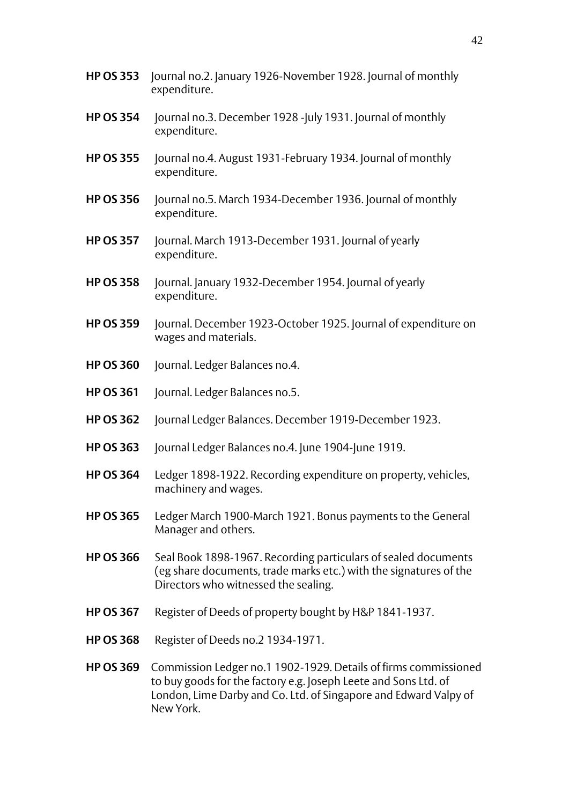- **HP OS 353** Journal no.2. January 1926-November 1928. Journal of monthly expenditure.
- **HP OS 354** Journal no.3. December 1928 -July 1931. Journal of monthly expenditure.
- **HP OS 355** Journal no.4. August 1931-February 1934. Journal of monthly expenditure.
- **HP OS 356** Journal no.5. March 1934-December 1936. Journal of monthly expenditure.
- **HP OS 357** Journal. March 1913-December 1931. Journal of yearly expenditure.
- **HP OS 358** Journal. January 1932-December 1954. Journal of yearly expenditure.
- **HP OS 359** Journal. December 1923-October 1925. Journal of expenditure on wages and materials.
- **HP OS 360** Journal. Ledger Balances no.4.
- **HP OS 361** Journal. Ledger Balances no.5.
- **HP OS 362** Journal Ledger Balances. December 1919-December 1923.
- **HP OS 363** Journal Ledger Balances no.4. June 1904-June 1919.
- **HP OS 364** Ledger 1898-1922. Recording expenditure on property, vehicles, machinery and wages.
- **HP OS 365** Ledger March 1900-March 1921. Bonus payments to the General Manager and others.
- **HP OS 366** Seal Book 1898-1967. Recording particulars of sealed documents (eg share documents, trade marks etc.) with the signatures of the Directors who witnessed the sealing.
- **HP OS 367** Register of Deeds of property bought by H&P 1841-1937.
- **HP OS 368** Register of Deeds no.2 1934-1971.
- **HP OS 369** Commission Ledger no.1 1902-1929. Details of firms commissioned to buy goods for the factory e.g. Joseph Leete and Sons Ltd. of London, Lime Darby and Co. Ltd. of Singapore and Edward Valpy of New York.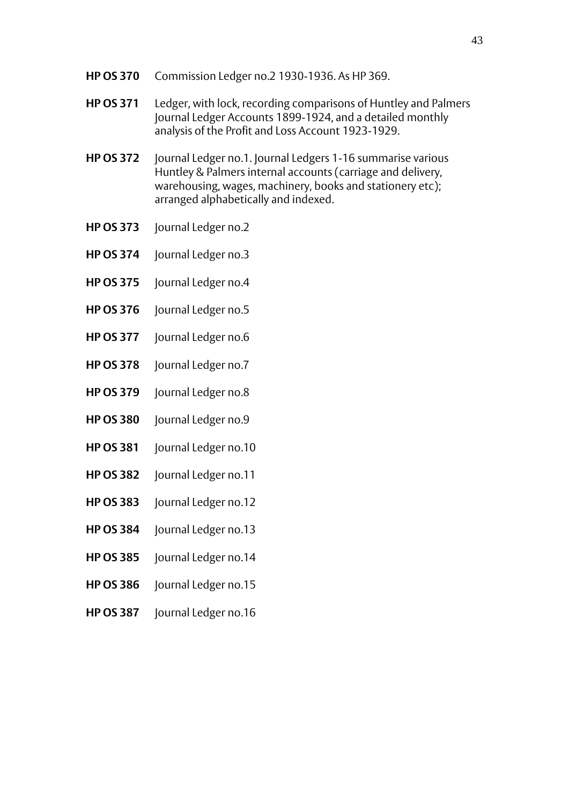- **HP OS 370** Commission Ledger no.2 1930-1936. As HP 369.
- **HP OS 371** Ledger, with lock, recording comparisons of Huntley and Palmers Journal Ledger Accounts 1899-1924, and a detailed monthly analysis of the Profit and Loss Account 1923-1929.
- **HP OS 372** Journal Ledger no.1. Journal Ledgers 1-16 summarise various Huntley & Palmers internal accounts (carriage and delivery, warehousing, wages, machinery, books and stationery etc); arranged alphabetically and indexed.
- **HP OS 373** Journal Ledger no.2
- **HP OS 374** Journal Ledger no.3
- **HP OS 375** Journal Ledger no.4
- **HP OS 376** Journal Ledger no.5
- **HP OS 377** Journal Ledger no.6
- **HP OS 378** Journal Ledger no.7
- **HP OS 379** Journal Ledger no.8
- **HP OS 380** Journal Ledger no.9
- **HP OS 381** Journal Ledger no.10
- **HP OS 382** Journal Ledger no.11
- **HP OS 383** Journal Ledger no.12
- **HP OS 384** Journal Ledger no.13
- **HP OS 385** Journal Ledger no.14
- **HP OS 386** Journal Ledger no.15
- **HP OS 387** Journal Ledger no.16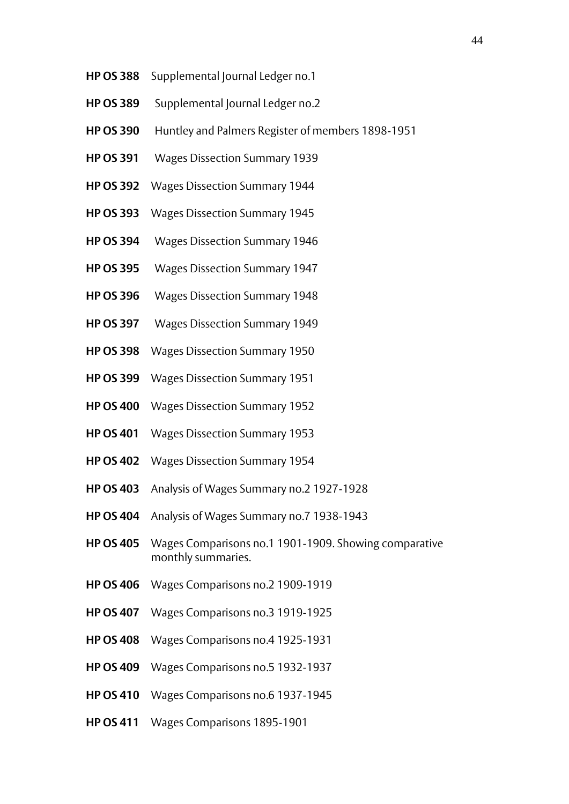- **HP OS 388** Supplemental Journal Ledger no.1
- **HP OS 389** Supplemental Journal Ledger no.2
- **HP OS 390** Huntley and Palmers Register of members 1898-1951
- **HP OS 391** Wages Dissection Summary 1939
- **HP OS 392** Wages Dissection Summary 1944
- **HP OS 393** Wages Dissection Summary 1945
- **HP OS 394** Wages Dissection Summary 1946
- **HP OS 395** Wages Dissection Summary 1947
- **HP OS 396** Wages Dissection Summary 1948
- **HP OS 397** Wages Dissection Summary 1949
- **HP OS 398** Wages Dissection Summary 1950
- **HP OS 399** Wages Dissection Summary 1951
- **HP OS 400** Wages Dissection Summary 1952
- **HP OS 401** Wages Dissection Summary 1953
- **HP OS 402** Wages Dissection Summary 1954
- **HP OS 403** Analysis of Wages Summary no.2 1927-1928
- **HP OS 404** Analysis of Wages Summary no.7 1938-1943
- **HP OS 405** Wages Comparisons no.1 1901-1909. Showing comparative monthly summaries.
- **HP OS 406** Wages Comparisons no.2 1909-1919
- **HP OS 407** Wages Comparisons no.3 1919-1925
- **HP OS 408** Wages Comparisons no.4 1925-1931
- **HP OS 409** Wages Comparisons no.5 1932-1937
- **HP OS 410** Wages Comparisons no.6 1937-1945
- **HP OS 411** Wages Comparisons 1895-1901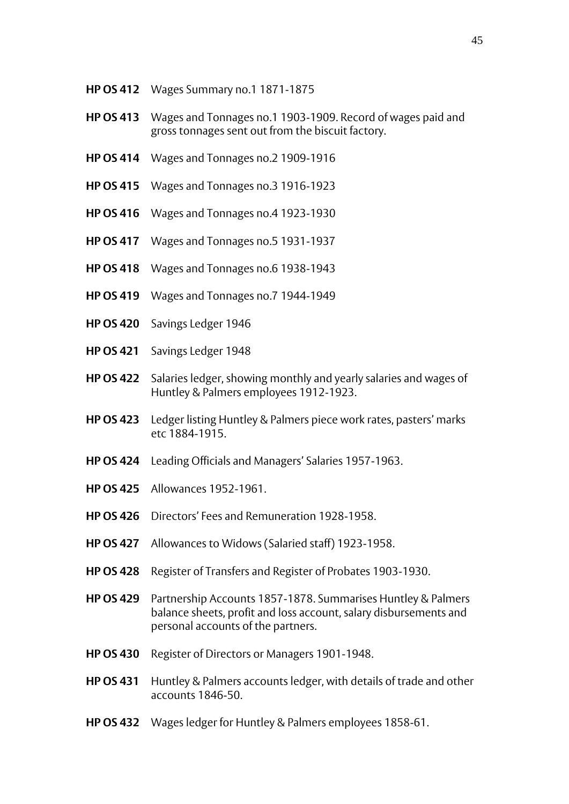- **HP OS 412** Wages Summary no.1 1871-1875
- **HP OS 413** Wages and Tonnages no.1 1903-1909. Record of wages paid and gross tonnages sent out from the biscuit factory.
- **HP OS 414** Wages and Tonnages no.2 1909-1916
- **HP OS 415** Wages and Tonnages no.3 1916-1923
- **HP OS 416** Wages and Tonnages no.4 1923-1930
- **HP OS 417** Wages and Tonnages no.5 1931-1937
- **HP OS 418** Wages and Tonnages no.6 1938-1943
- **HP OS 419** Wages and Tonnages no.7 1944-1949
- **HP OS 420** Savings Ledger 1946
- **HP OS 421** Savings Ledger 1948
- **HP OS 422** Salaries ledger, showing monthly and yearly salaries and wages of Huntley & Palmers employees 1912-1923.
- **HP OS 423** Ledger listing Huntley & Palmers piece work rates, pasters' marks etc 1884-1915.
- **HP OS 424** Leading Officials and Managers' Salaries 1957-1963.
- **HP OS 425** Allowances 1952-1961.
- **HP OS 426** Directors' Fees and Remuneration 1928-1958.
- **HP OS 427** Allowances to Widows (Salaried staff) 1923-1958.
- **HP OS 428** Register of Transfers and Register of Probates 1903-1930.
- **HP OS 429** Partnership Accounts 1857-1878. Summarises Huntley & Palmers balance sheets, profit and loss account, salary disbursements and personal accounts of the partners.
- **HP OS 430** Register of Directors or Managers 1901-1948.
- **HP OS 431** Huntley & Palmers accounts ledger, with details of trade and other accounts 1846-50.
- **HP OS 432** Wages ledger for Huntley & Palmers employees 1858-61.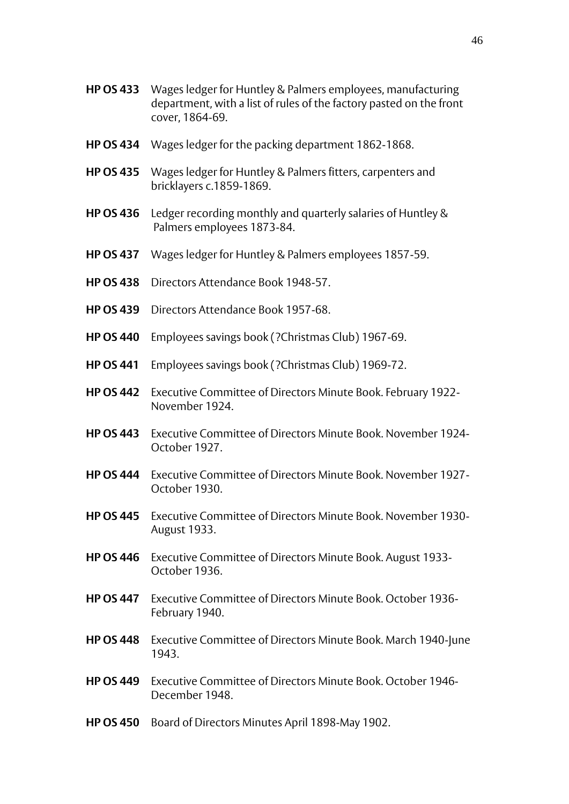- **HP OS 433** Wages ledger for Huntley & Palmers employees, manufacturing department, with a list of rules of the factory pasted on the front cover, 1864-69.
- **HP OS 434** Wages ledger for the packing department 1862-1868.
- **HP OS 435** Wages ledger for Huntley & Palmers fitters, carpenters and bricklayers c.1859-1869.
- **HP OS 436** Ledger recording monthly and quarterly salaries of Huntley & Palmers employees 1873-84.
- **HP OS 437** Wages ledger for Huntley & Palmers employees 1857-59.
- **HP OS 438** Directors Attendance Book 1948-57.
- **HP OS 439** Directors Attendance Book 1957-68.
- **HP OS 440** Employees savings book (?Christmas Club) 1967-69.
- **HP OS 441** Employees savings book (?Christmas Club) 1969-72.
- **HP OS 442** Executive Committee of Directors Minute Book. February 1922- November 1924.
- **HP OS 443** Executive Committee of Directors Minute Book. November 1924- October 1927.
- **HP OS 444** Executive Committee of Directors Minute Book. November 1927- October 1930.
- **HP OS 445** Executive Committee of Directors Minute Book. November 1930- August 1933.
- **HP OS 446** Executive Committee of Directors Minute Book. August 1933- October 1936.
- **HP OS 447** Executive Committee of Directors Minute Book. October 1936- February 1940.
- **HP OS 448** Executive Committee of Directors Minute Book. March 1940-June 1943.
- **HP OS 449** Executive Committee of Directors Minute Book. October 1946- December 1948.
- **HP OS 450** Board of Directors Minutes April 1898-May 1902.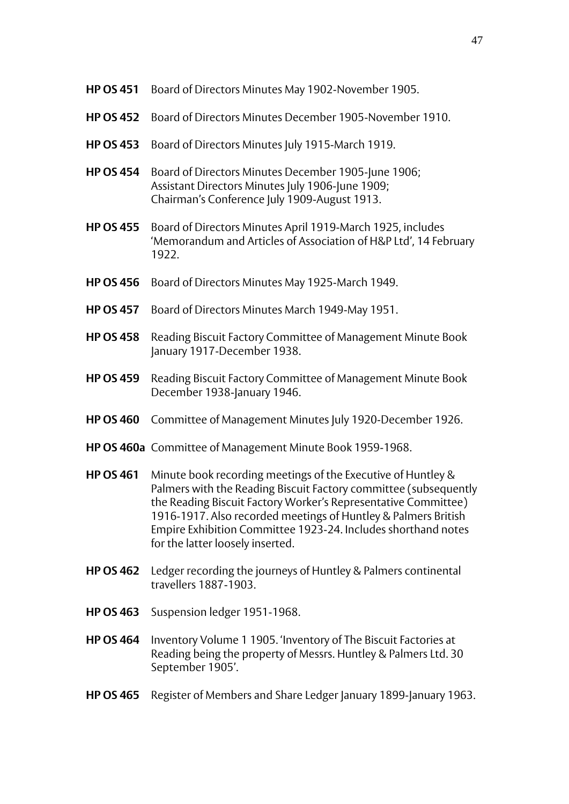- **HP OS 451** Board of Directors Minutes May 1902-November 1905.
- **HP OS 452** Board of Directors Minutes December 1905-November 1910.
- **HP OS 453** Board of Directors Minutes July 1915-March 1919.
- **HP OS 454** Board of Directors Minutes December 1905-June 1906; Assistant Directors Minutes July 1906-June 1909; Chairman's Conference July 1909-August 1913.
- **HP OS 455** Board of Directors Minutes April 1919-March 1925, includes 'Memorandum and Articles of Association of H&P Ltd', 14 February 1922
- **HP OS 456** Board of Directors Minutes May 1925-March 1949.
- **HP OS 457** Board of Directors Minutes March 1949-May 1951.
- **HP OS 458** Reading Biscuit Factory Committee of Management Minute Book January 1917-December 1938.
- **HP OS 459** Reading Biscuit Factory Committee of Management Minute Book December 1938-January 1946.
- **HP OS 460** Committee of Management Minutes July 1920-December 1926.
- **HP OS 460a** Committee of Management Minute Book 1959-1968.
- **HP OS 461** Minute book recording meetings of the Executive of Huntley & Palmers with the Reading Biscuit Factory committee (subsequently the Reading Biscuit Factory Worker's Representative Committee) 1916-1917. Also recorded meetings of Huntley & Palmers British Empire Exhibition Committee 1923-24. Includes shorthand notes for the latter loosely inserted.
- **HP OS 462** Ledger recording the journeys of Huntley & Palmers continental travellers 1887-1903.
- **HP OS 463** Suspension ledger 1951-1968.
- **HP OS 464** Inventory Volume 1 1905. 'Inventory of The Biscuit Factories at Reading being the property of Messrs. Huntley & Palmers Ltd. 30 September 1905'.
- **HP OS 465** Register of Members and Share Ledger January 1899-January 1963.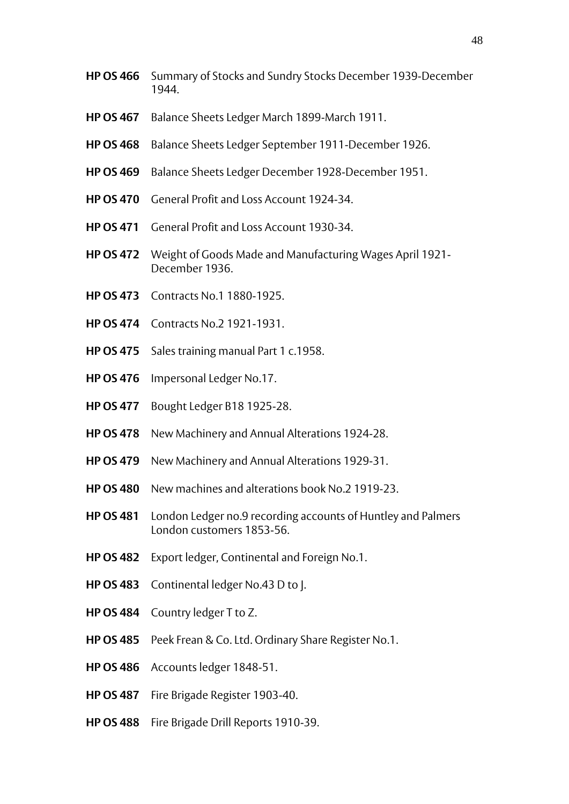- **HP OS 466** Summary of Stocks and Sundry Stocks December 1939-December 1944.
- **HP OS 467** Balance Sheets Ledger March 1899-March 1911.
- **HP OS 468** Balance Sheets Ledger September 1911-December 1926.
- **HP OS 469** Balance Sheets Ledger December 1928-December 1951.
- **HP OS 470** General Profit and Loss Account 1924-34.
- **HP OS 471** General Profit and Loss Account 1930-34.
- **HP OS 472** Weight of Goods Made and Manufacturing Wages April 1921- December 1936.
- **HP OS 473** Contracts No.1 1880-1925.
- **HP OS 474** Contracts No.2 1921-1931.
- **HP OS 475** Sales training manual Part 1 c.1958.
- **HP OS 476** Impersonal Ledger No.17.
- **HP OS 477** Bought Ledger B18 1925-28.
- **HP OS 478** New Machinery and Annual Alterations 1924-28.
- **HP OS 479** New Machinery and Annual Alterations 1929-31.
- **HP OS 480** New machines and alterations book No.2 1919-23.
- **HP OS 481** London Ledger no.9 recording accounts of Huntley and Palmers London customers 1853-56.
- **HP OS 482** Export ledger, Continental and Foreign No.1.
- **HP OS 483** Continental ledger No.43 D to J.
- **HP OS 484** Country ledger T to Z.
- **HP OS 485** Peek Frean & Co. Ltd. Ordinary Share Register No.1.
- **HP OS 486** Accounts ledger 1848-51.
- **HP OS 487** Fire Brigade Register 1903-40.
- **HP OS 488** Fire Brigade Drill Reports 1910-39.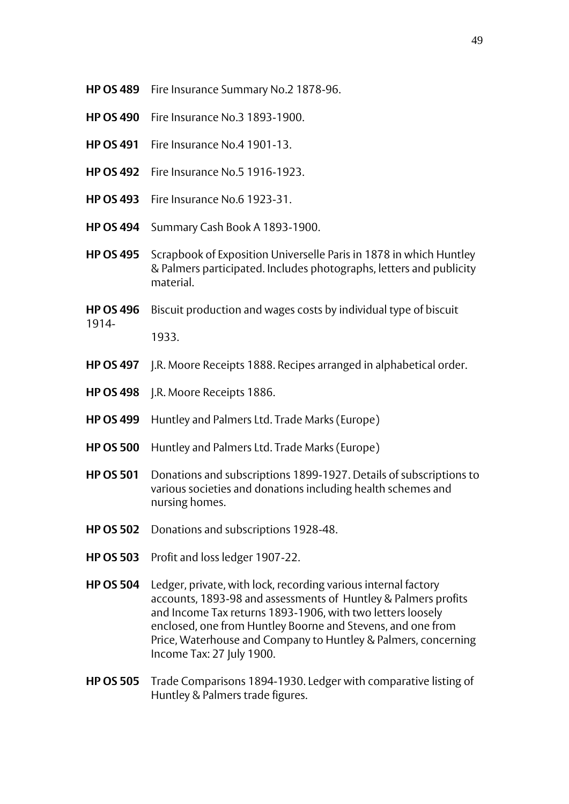- **HP OS 489** Fire Insurance Summary No.2 1878-96.
- **HP OS 490** Fire Insurance No.3 1893-1900.
- **HP OS 491** Fire Insurance No.4 1901-13.
- **HP OS 492** Fire Insurance No.5 1916-1923.
- **HP OS 493** Fire Insurance No.6 1923-31.
- **HP OS 494** Summary Cash Book A 1893-1900.
- **HP OS 495** Scrapbook of Exposition Universelle Paris in 1878 in which Huntley & Palmers participated. Includes photographs, letters and publicity material.
- **HP OS 496** Biscuit production and wages costs by individual type of biscuit 1914- 1933.
- **HP OS 497** J.R. Moore Receipts 1888. Recipes arranged in alphabetical order.
- **HP OS 498** J.R. Moore Receipts 1886.
- **HP OS 499** Huntley and Palmers Ltd. Trade Marks (Europe)
- **HP OS 500** Huntley and Palmers Ltd. Trade Marks (Europe)
- **HP OS 501** Donations and subscriptions 1899-1927. Details of subscriptions to various societies and donations including health schemes and nursing homes.
- **HP OS 502** Donations and subscriptions 1928-48.
- **HP OS 503** Profit and loss ledger 1907-22.
- **HP OS 504** Ledger, private, with lock, recording various internal factory accounts, 1893-98 and assessments of Huntley & Palmers profits and Income Tax returns 1893-1906, with two letters loosely enclosed, one from Huntley Boorne and Stevens, and one from Price, Waterhouse and Company to Huntley & Palmers, concerning Income Tax: 27 July 1900.
- **HP OS 505** Trade Comparisons 1894-1930. Ledger with comparative listing of Huntley & Palmers trade figures.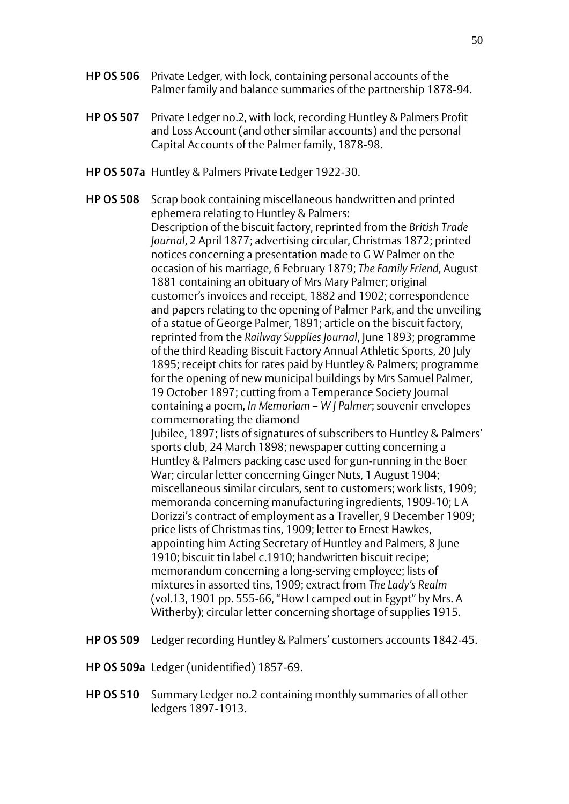- **HP OS 506** Private Ledger, with lock, containing personal accounts of the Palmer family and balance summaries of the partnership 1878-94.
- **HP OS 507** Private Ledger no.2, with lock, recording Huntley & Palmers Profit and Loss Account (and other similar accounts) and the personal Capital Accounts of the Palmer family, 1878-98.
- **HP OS 507a** Huntley & Palmers Private Ledger 1922-30.

**HP OS 508** Scrap book containing miscellaneous handwritten and printed ephemera relating to Huntley & Palmers: Description of the biscuit factory, reprinted from the *British Trade Journal*, 2 April 1877; advertising circular, Christmas 1872; printed notices concerning a presentation made to G W Palmer on the occasion of his marriage, 6 February 1879; *The Family Friend*, August 1881 containing an obituary of Mrs Mary Palmer; original customer's invoices and receipt, 1882 and 1902; correspondence and papers relating to the opening of Palmer Park, and the unveiling of a statue of George Palmer, 1891; article on the biscuit factory, reprinted from the *Railway Supplies Journal*, June 1893; programme of the third Reading Biscuit Factory Annual Athletic Sports, 20 July 1895; receipt chits for rates paid by Huntley & Palmers; programme for the opening of new municipal buildings by Mrs Samuel Palmer, 19 October 1897; cutting from a Temperance Society Journal containing a poem, *In Memoriam – W J Palmer*; souvenir envelopes commemorating the diamond Jubilee, 1897; lists of signatures of subscribers to Huntley & Palmers' sports club, 24 March 1898; newspaper cutting concerning a Huntley & Palmers packing case used for gun-running in the Boer War; circular letter concerning Ginger Nuts, 1 August 1904; miscellaneous similar circulars, sent to customers; work lists, 1909; memoranda concerning manufacturing ingredients, 1909-10; L A Dorizzi's contract of employment as a Traveller, 9 December 1909; price lists of Christmas tins, 1909; letter to Ernest Hawkes, appointing him Acting Secretary of Huntley and Palmers, 8 June 1910; biscuit tin label c.1910; handwritten biscuit recipe; memorandum concerning a long-serving employee; lists of mixtures in assorted tins, 1909; extract from *The Lady's Realm*  (vol.13, 1901 pp. 555-66, "How I camped out in Egypt" by Mrs. A Witherby); circular letter concerning shortage of supplies 1915.

- **HP OS 509** Ledger recording Huntley & Palmers' customers accounts 1842-45.
- **HP OS 509a** Ledger (unidentified) 1857-69.
- **HP OS 510** Summary Ledger no.2 containing monthly summaries of all other ledgers 1897-1913.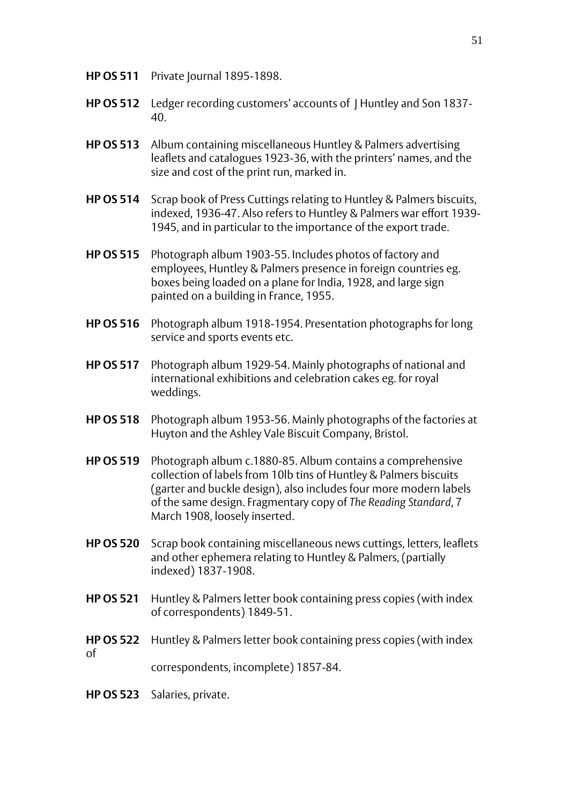- **HP OS 511** Private Journal 1895-1898.
- **HP OS 512** Ledger recording customers' accounts of J Huntley and Son 1837- 40.
- **HP OS 513** Album containing miscellaneous Huntley & Palmers advertising leaflets and catalogues 1923-36, with the printers' names, and the size and cost of the print run, marked in.
- **HP OS 514** Scrap book of Press Cuttings relating to Huntley & Palmers biscuits, indexed, 1936-47. Also refers to Huntley & Palmers war effort 1939- 1945, and in particular to the importance of the export trade.
- **HP OS 515** Photograph album 1903-55. Includes photos of factory and employees, Huntley & Palmers presence in foreign countries eg. boxes being loaded on a plane for India, 1928, and large sign painted on a building in France, 1955.
- **HP OS 516** Photograph album 1918-1954. Presentation photographs for long service and sports events etc.
- **HP OS 517** Photograph album 1929-54. Mainly photographs of national and international exhibitions and celebration cakes eg. for royal weddings.
- **HP OS 518** Photograph album 1953-56. Mainly photographs of the factories at Huyton and the Ashley Vale Biscuit Company, Bristol.
- **HP OS 519** Photograph album c.1880-85. Album contains a comprehensive collection of labels from 10lb tins of Huntley & Palmers biscuits (garter and buckle design), also includes four more modern labels of the same design. Fragmentary copy of *The Reading Standard*, 7 March 1908, loosely inserted.
- **HP OS 520** Scrap book containing miscellaneous news cuttings, letters, leaflets and other ephemera relating to Huntley & Palmers, (partially indexed) 1837-1908.
- **HP OS 521** Huntley & Palmers letter book containing press copies (with index of correspondents) 1849-51.
- **HP OS 522** Huntley & Palmers letter book containing press copies (with index of correspondents, incomplete) 1857-84.
- **HP OS 523** Salaries, private.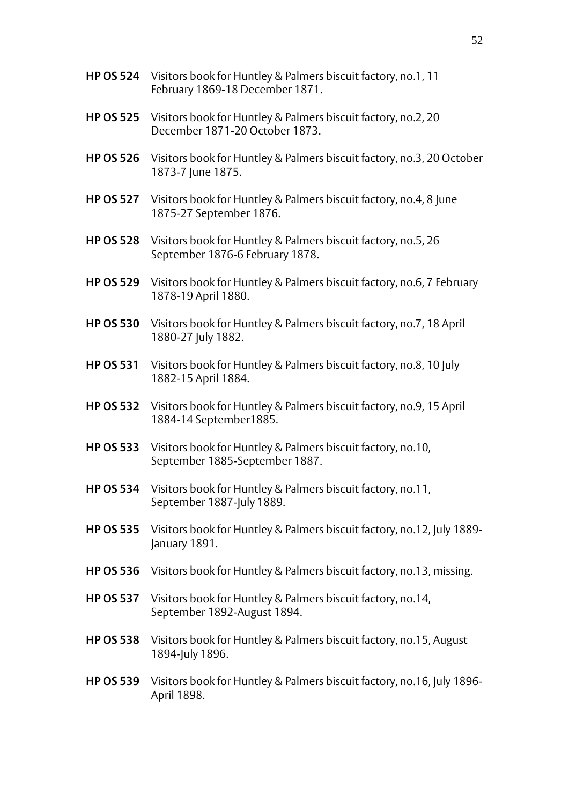|                  | HP OS 524 Visitors book for Huntley & Palmers biscuit factory, no.1, 11<br>February 1869-18 December 1871. |
|------------------|------------------------------------------------------------------------------------------------------------|
| <b>HP OS 525</b> | Visitors book for Huntley & Palmers biscuit factory, no.2, 20<br>December 1871-20 October 1873.            |
| <b>HP OS 526</b> | Visitors book for Huntley & Palmers biscuit factory, no.3, 20 October<br>1873-7 June 1875.                 |
| <b>HP OS 527</b> | Visitors book for Huntley & Palmers biscuit factory, no.4, 8 June<br>1875-27 September 1876.               |
| <b>HP OS 528</b> | Visitors book for Huntley & Palmers biscuit factory, no.5, 26<br>September 1876-6 February 1878.           |
| <b>HP OS 529</b> | Visitors book for Huntley & Palmers biscuit factory, no.6, 7 February<br>1878-19 April 1880.               |
| <b>HP OS 530</b> | Visitors book for Huntley & Palmers biscuit factory, no.7, 18 April<br>1880-27 July 1882.                  |
| <b>HP OS 531</b> | Visitors book for Huntley & Palmers biscuit factory, no.8, 10 July<br>1882-15 April 1884.                  |
| <b>HP OS 532</b> | Visitors book for Huntley & Palmers biscuit factory, no.9, 15 April<br>1884-14 September 1885.             |
| <b>HP OS 533</b> | Visitors book for Huntley & Palmers biscuit factory, no.10,<br>September 1885-September 1887.              |
| <b>HP OS 534</b> | Visitors book for Huntley & Palmers biscuit factory, no.11,<br>September 1887-July 1889.                   |
| <b>HP OS 535</b> | Visitors book for Huntley & Palmers biscuit factory, no.12, July 1889-<br>January 1891.                    |
| <b>HP OS 536</b> | Visitors book for Huntley & Palmers biscuit factory, no.13, missing.                                       |
| <b>HP OS 537</b> | Visitors book for Huntley & Palmers biscuit factory, no.14,<br>September 1892-August 1894.                 |

- **HP OS 538** Visitors book for Huntley & Palmers biscuit factory, no.15, August 1894-July 1896.
- **HP OS 539** Visitors book for Huntley & Palmers biscuit factory, no.16, July 1896- April 1898.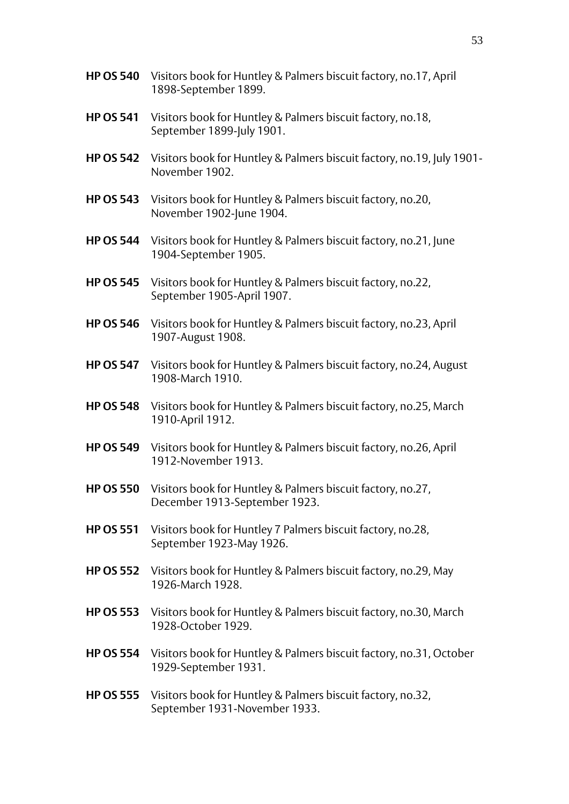- **HP OS 540** Visitors book for Huntley & Palmers biscuit factory, no.17, April 1898-September 1899.
- **HP OS 541** Visitors book for Huntley & Palmers biscuit factory, no.18, September 1899-July 1901.
- **HP OS 542** Visitors book for Huntley & Palmers biscuit factory, no.19, July 1901- November 1902.
- **HP OS 543** Visitors book for Huntley & Palmers biscuit factory, no.20, November 1902-June 1904.
- **HP OS 544** Visitors book for Huntley & Palmers biscuit factory, no.21, June 1904-September 1905.
- **HP OS 545** Visitors book for Huntley & Palmers biscuit factory, no.22, September 1905-April 1907.
- **HP OS 546** Visitors book for Huntley & Palmers biscuit factory, no.23, April 1907-August 1908.
- **HP OS 547** Visitors book for Huntley & Palmers biscuit factory, no.24, August 1908-March 1910.
- **HP OS 548** Visitors book for Huntley & Palmers biscuit factory, no.25, March 1910-April 1912.
- **HP OS 549** Visitors book for Huntley & Palmers biscuit factory, no.26, April 1912-November 1913.
- **HP OS 550** Visitors book for Huntley & Palmers biscuit factory, no.27, December 1913-September 1923.
- **HP OS 551** Visitors book for Huntley 7 Palmers biscuit factory, no.28, September 1923-May 1926.
- **HP OS 552** Visitors book for Huntley & Palmers biscuit factory, no.29, May 1926-March 1928.
- **HP OS 553** Visitors book for Huntley & Palmers biscuit factory, no.30, March 1928-October 1929.
- **HP OS 554** Visitors book for Huntley & Palmers biscuit factory, no.31, October 1929-September 1931.
- **HP OS 555** Visitors book for Huntley & Palmers biscuit factory, no.32, September 1931-November 1933.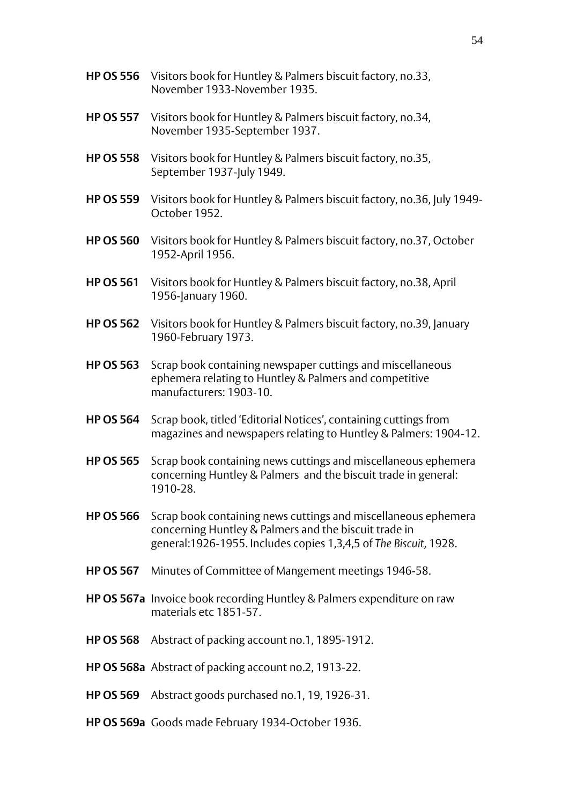- **HP OS 556** Visitors book for Huntley & Palmers biscuit factory, no.33, November 1933-November 1935. **HP OS 557** Visitors book for Huntley & Palmers biscuit factory, no.34, November 1935-September 1937. **HP OS 558** Visitors book for Huntley & Palmers biscuit factory, no.35, September 1937-July 1949. **HP OS 559** Visitors book for Huntley & Palmers biscuit factory, no.36, July 1949- October 1952. **HP OS 560** Visitors book for Huntley & Palmers biscuit factory, no.37, October 1952-April 1956. **HP OS 561** Visitors book for Huntley & Palmers biscuit factory, no.38, April 1956-January 1960. **HP OS 562** Visitors book for Huntley & Palmers biscuit factory, no.39, January 1960-February 1973. **HP OS 563** Scrap book containing newspaper cuttings and miscellaneous ephemera relating to Huntley & Palmers and competitive manufacturers: 1903-10. **HP OS 564** Scrap book, titled 'Editorial Notices', containing cuttings from magazines and newspapers relating to Huntley & Palmers: 1904-12. **HP OS 565** Scrap book containing news cuttings and miscellaneous ephemera concerning Huntley & Palmers and the biscuit trade in general: 1910-28. **HP OS 566** Scrap book containing news cuttings and miscellaneous ephemera concerning Huntley & Palmers and the biscuit trade in general:1926-1955. Includes copies 1,3,4,5 of *The Biscuit*, 1928. **HP OS 567** Minutes of Committee of Mangement meetings 1946-58. **HP OS 567a** Invoice book recording Huntley & Palmers expenditure on raw materials etc 1851-57 **HP OS 568** Abstract of packing account no.1, 1895-1912. **HP OS 568a** Abstract of packing account no.2, 1913-22.
- **HP OS 569** Abstract goods purchased no.1, 19, 1926-31.
- **HP OS 569a** Goods made February 1934-October 1936.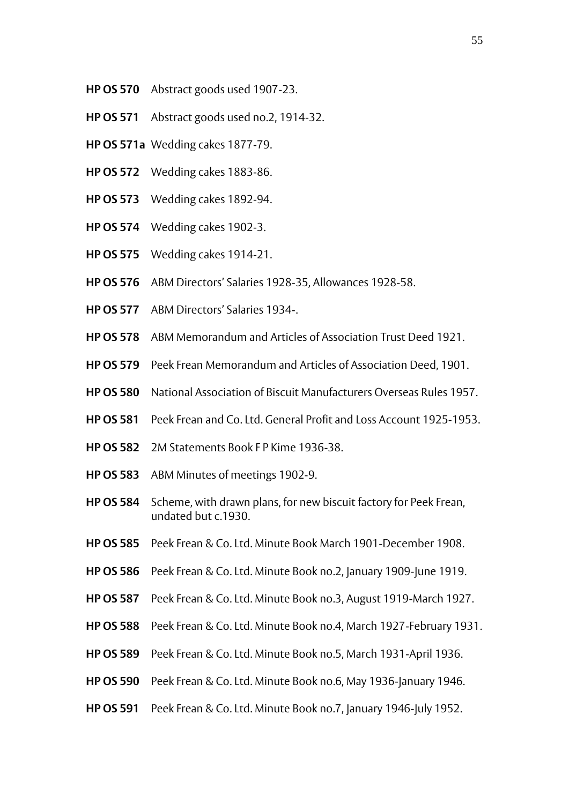- **HP OS 570** Abstract goods used 1907-23.
- **HP OS 571** Abstract goods used no.2, 1914-32.
- **HP OS 571a** Wedding cakes 1877-79.
- **HP OS 572** Wedding cakes 1883-86.
- **HP OS 573** Wedding cakes 1892-94.
- **HP OS 574** Wedding cakes 1902-3.
- **HP OS 575** Wedding cakes 1914-21.
- **HP OS 576** ABM Directors' Salaries 1928-35, Allowances 1928-58.
- **HP OS 577** ABM Directors' Salaries 1934-.
- **HP OS 578** ABM Memorandum and Articles of Association Trust Deed 1921.
- **HP OS 579** Peek Frean Memorandum and Articles of Association Deed, 1901.
- **HP OS 580** National Association of Biscuit Manufacturers Overseas Rules 1957.
- **HP OS 581** Peek Frean and Co. Ltd. General Profit and Loss Account 1925-1953.
- **HP OS 582** 2M Statements Book F P Kime 1936-38.
- **HP OS 583** ABM Minutes of meetings 1902-9.
- **HP OS 584** Scheme, with drawn plans, for new biscuit factory for Peek Frean, undated but c.1930.
- **HP OS 585** Peek Frean & Co. Ltd. Minute Book March 1901-December 1908.
- **HP OS 586** Peek Frean & Co. Ltd. Minute Book no.2, January 1909-June 1919.
- **HP OS 587** Peek Frean & Co. Ltd. Minute Book no.3, August 1919-March 1927.
- **HP OS 588** Peek Frean & Co. Ltd. Minute Book no.4, March 1927-February 1931.
- **HP OS 589** Peek Frean & Co. Ltd. Minute Book no.5, March 1931-April 1936.
- **HP OS 590** Peek Frean & Co. Ltd. Minute Book no.6, May 1936-January 1946.
- **HP OS 591** Peek Frean & Co. Ltd. Minute Book no. 7, January 1946-July 1952.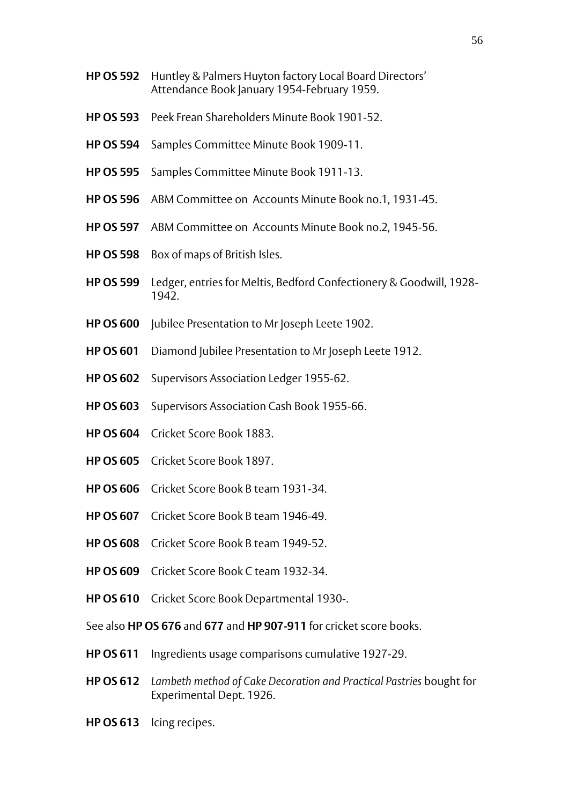- **HP OS 592** Huntley & Palmers Huyton factory Local Board Directors' Attendance Book January 1954-February 1959.
- **HP OS 593** Peek Frean Shareholders Minute Book 1901-52.
- **HP OS 594** Samples Committee Minute Book 1909-11.
- **HP OS 595** Samples Committee Minute Book 1911-13.
- **HP OS 596** ABM Committee on Accounts Minute Book no.1, 1931-45.
- **HP OS 597** ABM Committee on Accounts Minute Book no.2, 1945-56.
- **HP OS 598** Box of maps of British Isles.
- **HP OS 599** Ledger, entries for Meltis, Bedford Confectionery & Goodwill, 1928- 1942.
- **HP OS 600** Jubilee Presentation to Mr Joseph Leete 1902.
- **HP OS 601** Diamond Jubilee Presentation to Mr Joseph Leete 1912.
- **HP OS 602** Supervisors Association Ledger 1955-62.
- **HP OS 603** Supervisors Association Cash Book 1955-66.
- **HP OS 604** Cricket Score Book 1883.
- **HP OS 605** Cricket Score Book 1897.
- **HP OS 606** Cricket Score Book B team 1931-34.
- **HP OS 607** Cricket Score Book B team 1946-49.
- **HP OS 608** Cricket Score Book B team 1949-52.
- **HP OS 609** Cricket Score Book C team 1932-34.
- **HP OS 610** Cricket Score Book Departmental 1930-.

See also **HP OS 676** and **677** and **HP 907-911** for cricket score books.

- **HP OS 611** Ingredients usage comparisons cumulative 1927-29.
- **HP OS 612** *Lambeth method of Cake Decoration and Practical Pastries* bought for Experimental Dept. 1926.
- **HP OS 613** Icing recipes.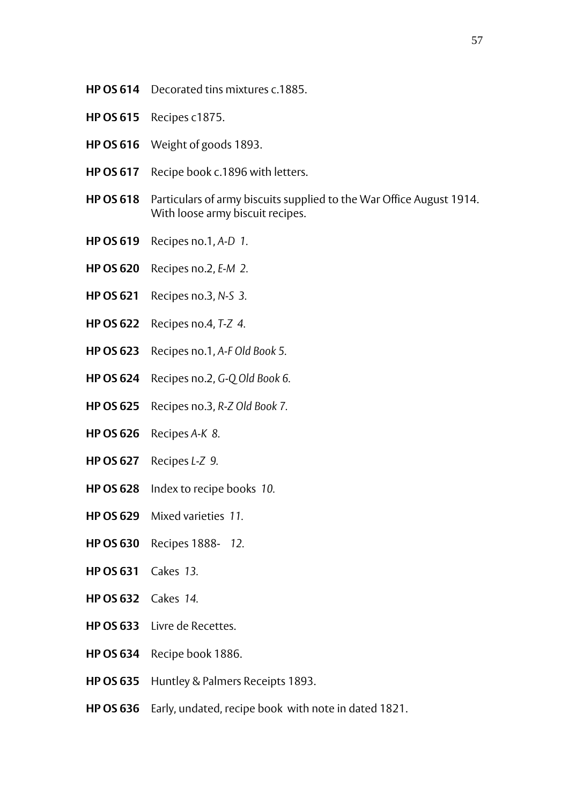- **HP OS 614** Decorated tins mixtures c.1885.
- **HP OS 615** Recipes c1875.
- **HP OS 616** Weight of goods 1893.
- **HP OS 617** Recipe book c.1896 with letters.
- **HP OS 618** Particulars of army biscuits supplied to the War Office August 1914. With loose army biscuit recipes.
- **HP OS 619** Recipes no.1, *A-D 1.*
- **HP OS 620** Recipes no.2, *E-M 2.*
- **HP OS 621** Recipes no.3, *N-S 3.*
- **HP OS 622** Recipes no.4, *T-Z 4.*
- **HP OS 623** Recipes no.1, *A-F Old Book 5.*
- **HP OS 624** Recipes no.2, *G-Q Old Book 6.*
- **HP OS 625** Recipes no.3, *R-Z Old Book 7.*
- **HP OS 626** Recipes *A-K 8.*
- **HP OS 627** Recipes *L-Z 9.*
- **HP OS 628** Index to recipe books *10.*
- **HP OS 629** Mixed varieties *11.*
- **HP OS 630** Recipes 1888- *12.*
- **HP OS 631** Cakes *13.*
- **HP OS 632** Cakes *14.*
- **HP OS 633** Livre de Recettes.
- **HP OS 634** Recipe book 1886.
- **HP OS 635** Huntley & Palmers Receipts 1893.
- **HP OS 636** Early, undated, recipe book with note in dated 1821.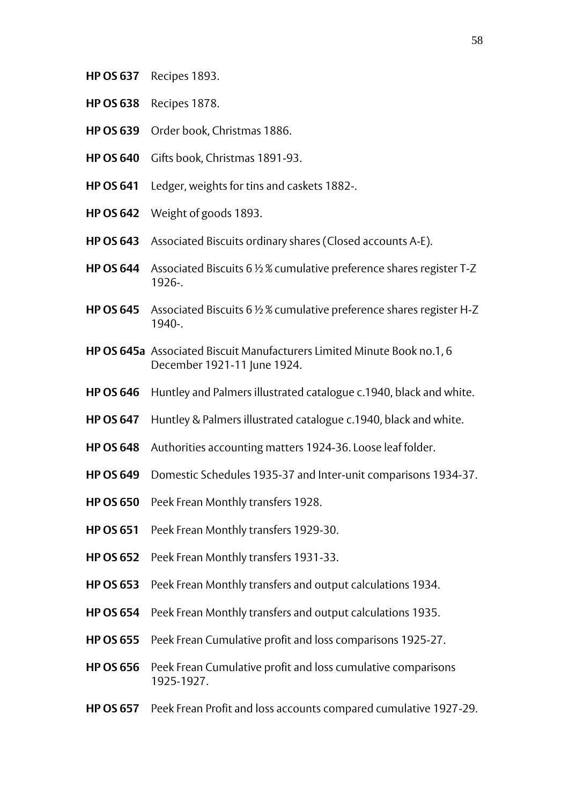- **HP OS 637** Recipes 1893.
- **HP OS 638** Recipes 1878.
- **HP OS 639** Order book, Christmas 1886.
- **HP OS 640** Gifts book, Christmas 1891-93.
- **HP OS 641** Ledger, weights for tins and caskets 1882-.
- **HP OS 642** Weight of goods 1893.
- **HP OS 643** Associated Biscuits ordinary shares (Closed accounts A-E).
- **HP OS 644** Associated Biscuits 6 ½ % cumulative preference shares register T-Z 1926-.
- **HP OS 645** Associated Biscuits 6 ½ % cumulative preference shares register H-Z 1940-.
- **HP OS 645a** Associated Biscuit Manufacturers Limited Minute Book no.1, 6 December 1921-11 June 1924.
- **HP OS 646** Huntley and Palmers illustrated catalogue c.1940, black and white.
- **HP OS 647** Huntley & Palmers illustrated catalogue c.1940, black and white.
- **HP OS 648** Authorities accounting matters 1924-36. Loose leaf folder.
- **HP OS 649** Domestic Schedules 1935-37 and Inter-unit comparisons 1934-37.
- **HP OS 650** Peek Frean Monthly transfers 1928.
- **HP OS 651** Peek Frean Monthly transfers 1929-30.
- **HP OS 652** Peek Frean Monthly transfers 1931-33.
- **HP OS 653** Peek Frean Monthly transfers and output calculations 1934.
- **HP OS 654** Peek Frean Monthly transfers and output calculations 1935.
- **HP OS 655** Peek Frean Cumulative profit and loss comparisons 1925-27.
- **HP OS 656** Peek Frean Cumulative profit and loss cumulative comparisons 1925-1927.
- **HP OS 657** Peek Frean Profit and loss accounts compared cumulative 1927-29.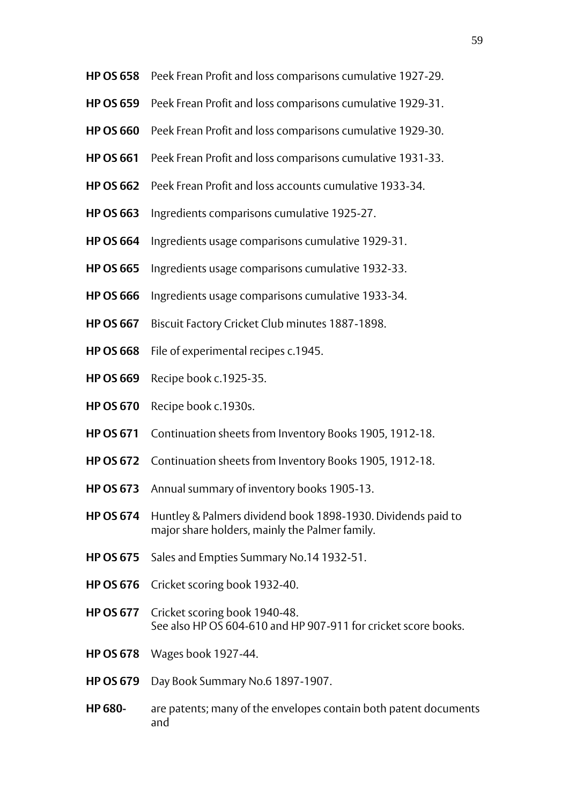- **HP OS 658** Peek Frean Profit and loss comparisons cumulative 1927-29.
- **HP OS 659** Peek Frean Profit and loss comparisons cumulative 1929-31.
- **HP OS 660** Peek Frean Profit and loss comparisons cumulative 1929-30.
- **HP OS 661** Peek Frean Profit and loss comparisons cumulative 1931-33.
- **HP OS 662** Peek Frean Profit and loss accounts cumulative 1933-34.
- **HP OS 663** Ingredients comparisons cumulative 1925-27.
- **HP OS 664** Ingredients usage comparisons cumulative 1929-31.
- **HP OS 665** Ingredients usage comparisons cumulative 1932-33.
- **HP OS 666** Ingredients usage comparisons cumulative 1933-34.
- **HP OS 667** Biscuit Factory Cricket Club minutes 1887-1898.
- **HP OS 668** File of experimental recipes c.1945.
- **HP OS 669** Recipe book c.1925-35.
- **HP OS 670** Recipe book c.1930s.
- **HP OS 671** Continuation sheets from Inventory Books 1905, 1912-18.
- **HP OS 672** Continuation sheets from Inventory Books 1905, 1912-18.
- **HP OS 673** Annual summary of inventory books 1905-13.
- **HP OS 674** Huntley & Palmers dividend book 1898-1930. Dividends paid to major share holders, mainly the Palmer family.
- **HP OS 675** Sales and Empties Summary No.14 1932-51.
- **HP OS 676** Cricket scoring book 1932-40.
- **HP OS 677** Cricket scoring book 1940-48. See also HP OS 604-610 and HP 907-911 for cricket score books.
- **HP OS 678** Wages book 1927-44.
- **HP OS 679** Day Book Summary No.6 1897-1907.
- **HP 680-** are patents; many of the envelopes contain both patent documents and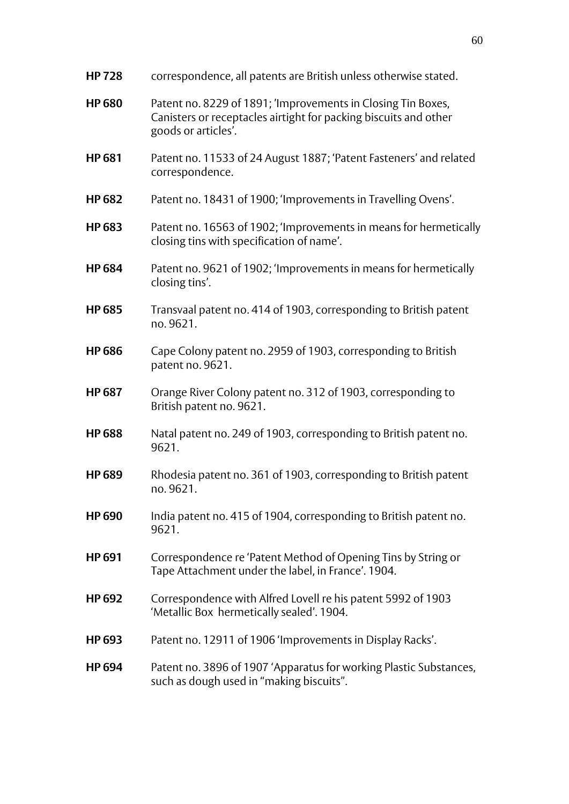| <b>HP728</b>  | correspondence, all patents are British unless otherwise stated.                                                                                        |
|---------------|---------------------------------------------------------------------------------------------------------------------------------------------------------|
| <b>HP 680</b> | Patent no. 8229 of 1891; 'Improvements in Closing Tin Boxes,<br>Canisters or receptacles airtight for packing biscuits and other<br>goods or articles'. |
| <b>HP681</b>  | Patent no. 11533 of 24 August 1887; 'Patent Fasteners' and related<br>correspondence.                                                                   |
| <b>HP 682</b> | Patent no. 18431 of 1900; 'Improvements in Travelling Ovens'.                                                                                           |
| <b>HP 683</b> | Patent no. 16563 of 1902; 'Improvements in means for hermetically<br>closing tins with specification of name'.                                          |
| <b>HP684</b>  | Patent no. 9621 of 1902; 'Improvements in means for hermetically<br>closing tins'.                                                                      |
| <b>HP 685</b> | Transvaal patent no. 414 of 1903, corresponding to British patent<br>no. 9621.                                                                          |
| <b>HP 686</b> | Cape Colony patent no. 2959 of 1903, corresponding to British<br>patent no. 9621.                                                                       |
| <b>HP 687</b> | Orange River Colony patent no. 312 of 1903, corresponding to<br>British patent no. 9621.                                                                |
| <b>HP 688</b> | Natal patent no. 249 of 1903, corresponding to British patent no.<br>9621.                                                                              |
| <b>HP 689</b> | Rhodesia patent no. 361 of 1903, corresponding to British patent<br>no. 9621.                                                                           |
| <b>HP 690</b> | India patent no. 415 of 1904, corresponding to British patent no.<br>9621.                                                                              |
| <b>HP 691</b> | Correspondence re 'Patent Method of Opening Tins by String or<br>Tape Attachment under the label, in France'. 1904.                                     |
| <b>HP 692</b> | Correspondence with Alfred Lovell re his patent 5992 of 1903<br>'Metallic Box hermetically sealed'. 1904.                                               |
| <b>HP 693</b> | Patent no. 12911 of 1906 'Improvements in Display Racks'.                                                                                               |
| <b>HP 694</b> | Patent no. 3896 of 1907 'Apparatus for working Plastic Substances,<br>such as dough used in "making biscuits".                                          |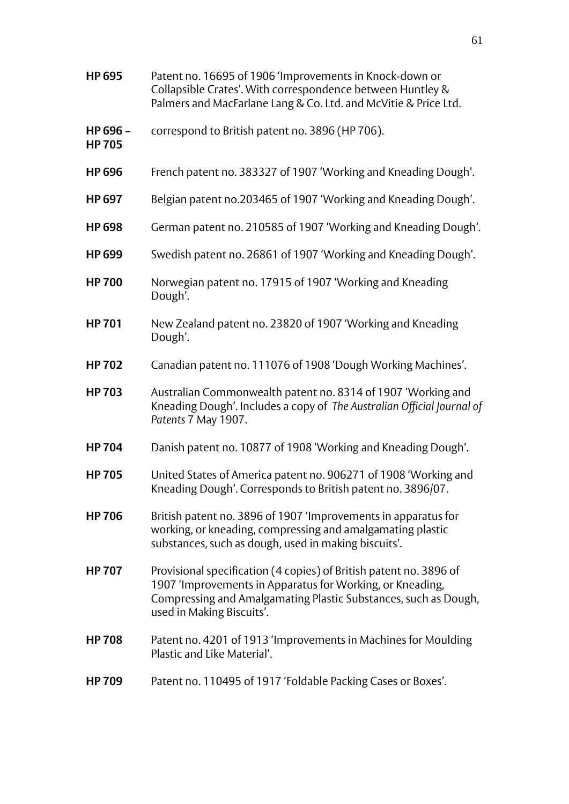- **HP 695** Patent no. 16695 of 1906 'Improvements in Knock-down or Collapsible Crates'. With correspondence between Huntley & Palmers and MacFarlane Lang & Co. Ltd. and McVitie & Price Ltd.
- **HP 696 –** correspond to British patent no. 3896 (HP 706).
- **HP 705**
- **HP 696** French patent no. 383327 of 1907 'Working and Kneading Dough'.
- **HP 697** Belgian patent no.203465 of 1907 'Working and Kneading Dough'.
- **HP 698** German patent no. 210585 of 1907 'Working and Kneading Dough'.
- **HP 699** Swedish patent no. 26861 of 1907 'Working and Kneading Dough'.
- **HP 700** Norwegian patent no. 17915 of 1907 'Working and Kneading Dough'.
- **HP 701** New Zealand patent no. 23820 of 1907 'Working and Kneading Dough'.
- **HP 702** Canadian patent no. 111076 of 1908 'Dough Working Machines'.
- **HP 703** Australian Commonwealth patent no. 8314 of 1907 'Working and Kneading Dough'. Includes a copy of *The Australian Official Journal of Patents* 7 May 1907.
- **HP 704** Danish patent no. 10877 of 1908 'Working and Kneading Dough'.
- **HP 705** United States of America patent no. 906271 of 1908 'Working and Kneading Dough'. Corresponds to British patent no. 3896/07.
- **HP 706** British patent no. 3896 of 1907 'Improvements in apparatus for working, or kneading, compressing and amalgamating plastic substances, such as dough, used in making biscuits'.
- **HP 707** Provisional specification (4 copies) of British patent no. 3896 of 1907 'Improvements in Apparatus for Working, or Kneading, Compressing and Amalgamating Plastic Substances, such as Dough, used in Making Biscuits'.
- **HP 708** Patent no. 4201 of 1913 'Improvements in Machines for Moulding Plastic and Like Material'.
- **HP 709** Patent no. 110495 of 1917 'Foldable Packing Cases or Boxes'.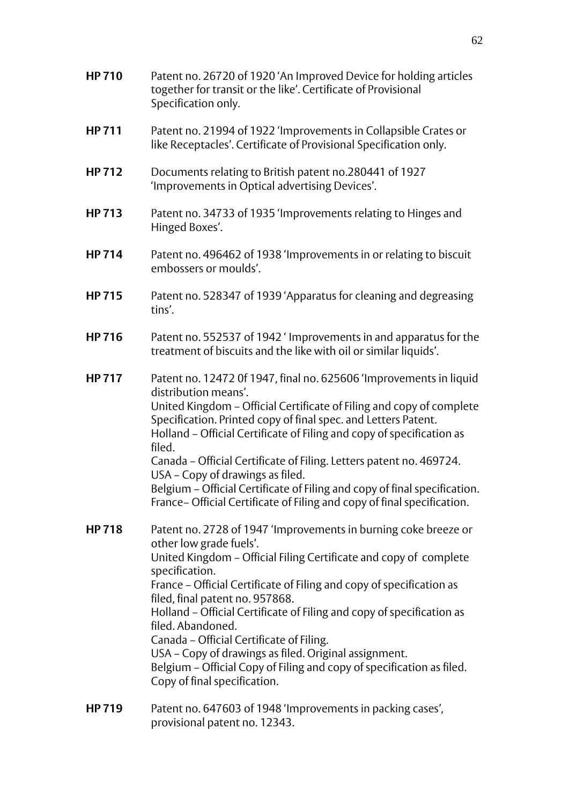- **HP 710** Patent no. 26720 of 1920 'An Improved Device for holding articles together for transit or the like'. Certificate of Provisional Specification only.
- **HP 711** Patent no. 21994 of 1922 'Improvements in Collapsible Crates or like Receptacles'. Certificate of Provisional Specification only.
- **HP 712** Documents relating to British patent no.280441 of 1927 'Improvements in Optical advertising Devices'.
- **HP 713** Patent no. 34733 of 1935 'Improvements relating to Hinges and Hinged Boxes'.
- **HP 714** Patent no. 496462 of 1938 'Improvements in or relating to biscuit embossers or moulds'.
- **HP 715** Patent no. 528347 of 1939 'Apparatus for cleaning and degreasing tins'.
- **HP 716** Patent no. 552537 of 1942 ' Improvements in and apparatus for the treatment of biscuits and the like with oil or similar liquids'.
- **HP 717** Patent no. 12472 0f 1947, final no. 625606 'Improvements in liquid distribution means'. United Kingdom – Official Certificate of Filing and copy of complete Specification. Printed copy of final spec. and Letters Patent. Holland – Official Certificate of Filing and copy of specification as filed. Canada – Official Certificate of Filing. Letters patent no. 469724. USA – Copy of drawings as filed. Belgium – Official Certificate of Filing and copy of final specification. France– Official Certificate of Filing and copy of final specification.
- **HP 718** Patent no. 2728 of 1947 'Improvements in burning coke breeze or other low grade fuels'. United Kingdom – Official Filing Certificate and copy of complete specification. France – Official Certificate of Filing and copy of specification as filed, final patent no. 957868. Holland – Official Certificate of Filing and copy of specification as filed. Abandoned. Canada – Official Certificate of Filing. USA – Copy of drawings as filed. Original assignment. Belgium – Official Copy of Filing and copy of specification as filed. Copy of final specification.
- **HP 719** Patent no. 647603 of 1948 'Improvements in packing cases', provisional patent no. 12343.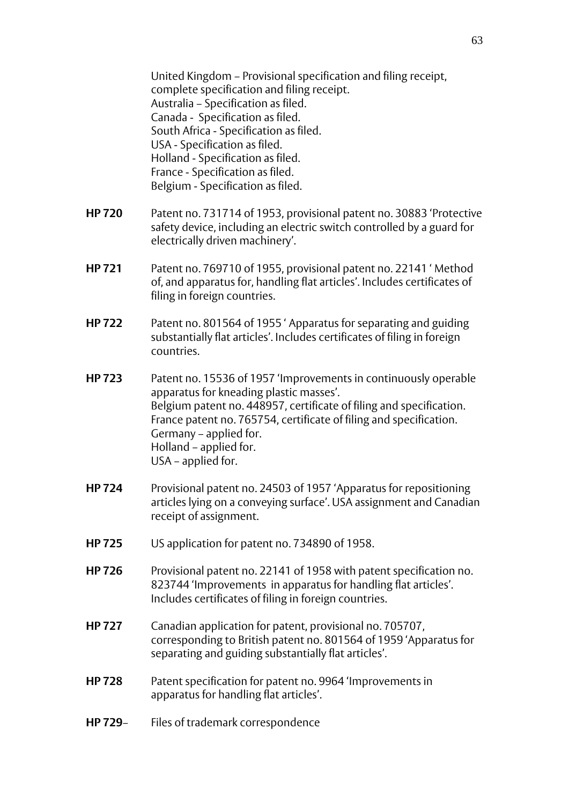United Kingdom – Provisional specification and filing receipt, complete specification and filing receipt. Australia – Specification as filed. Canada - Specification as filed. South Africa - Specification as filed. USA - Specification as filed. Holland - Specification as filed. France - Specification as filed. Belgium - Specification as filed.

- **HP 720** Patent no. 731714 of 1953, provisional patent no. 30883 'Protective safety device, including an electric switch controlled by a guard for electrically driven machinery'.
- **HP 721** Patent no. 769710 of 1955, provisional patent no. 22141 ' Method of, and apparatus for, handling flat articles'. Includes certificates of filing in foreign countries.
- **HP 722** Patent no. 801564 of 1955 ' Apparatus for separating and guiding substantially flat articles'. Includes certificates of filing in foreign countries.
- **HP 723** Patent no. 15536 of 1957 'Improvements in continuously operable apparatus for kneading plastic masses'. Belgium patent no. 448957, certificate of filing and specification. France patent no. 765754, certificate of filing and specification. Germany – applied for. Holland – applied for. USA – applied for.
- **HP 724** Provisional patent no. 24503 of 1957 'Apparatus for repositioning articles lying on a conveying surface'. USA assignment and Canadian receipt of assignment.
- **HP 725** US application for patent no. 734890 of 1958.
- **HP 726** Provisional patent no. 22141 of 1958 with patent specification no. 823744 'Improvements in apparatus for handling flat articles'. Includes certificates of filing in foreign countries.
- **HP 727** Canadian application for patent, provisional no. 705707, corresponding to British patent no. 801564 of 1959 'Apparatus for separating and guiding substantially flat articles'.
- **HP 728** Patent specification for patent no. 9964 'Improvements in apparatus for handling flat articles'.
- **HP 729** Files of trademark correspondence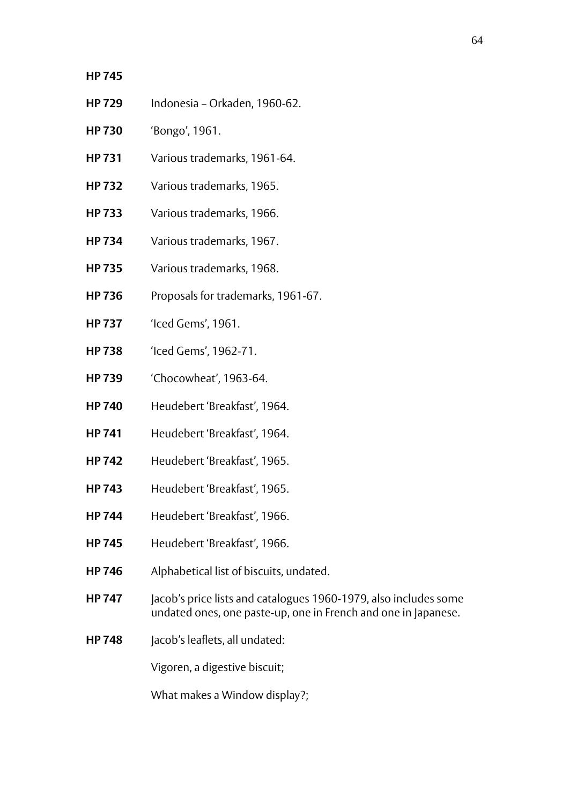## **HP 745**

- **HP 729** Indonesia Orkaden, 1960-62.
- **HP 730** 'Bongo', 1961.
- **HP 731** Various trademarks, 1961-64.
- **HP 732** Various trademarks, 1965.
- **HP 733** Various trademarks, 1966.
- **HP 734** Various trademarks, 1967.
- **HP 735** Various trademarks, 1968.
- **HP 736** Proposals for trademarks, 1961-67.
- **HP 737** 'Iced Gems', 1961.
- **HP 738** 'Iced Gems', 1962-71.
- **HP 739** 'Chocowheat', 1963-64.
- **HP 740** Heudebert 'Breakfast', 1964.
- **HP 741** Heudebert 'Breakfast', 1964.
- **HP 742** Heudebert 'Breakfast', 1965.
- **HP 743** Heudebert 'Breakfast', 1965.
- **HP 744** Heudebert 'Breakfast', 1966.
- **HP 745** Heudebert 'Breakfast', 1966.
- **HP 746** Alphabetical list of biscuits, undated.
- **HP 747** Jacob's price lists and catalogues 1960-1979, also includes some undated ones, one paste-up, one in French and one in Japanese.
- **HP 748** Jacob's leaflets, all undated:

Vigoren, a digestive biscuit;

What makes a Window display?;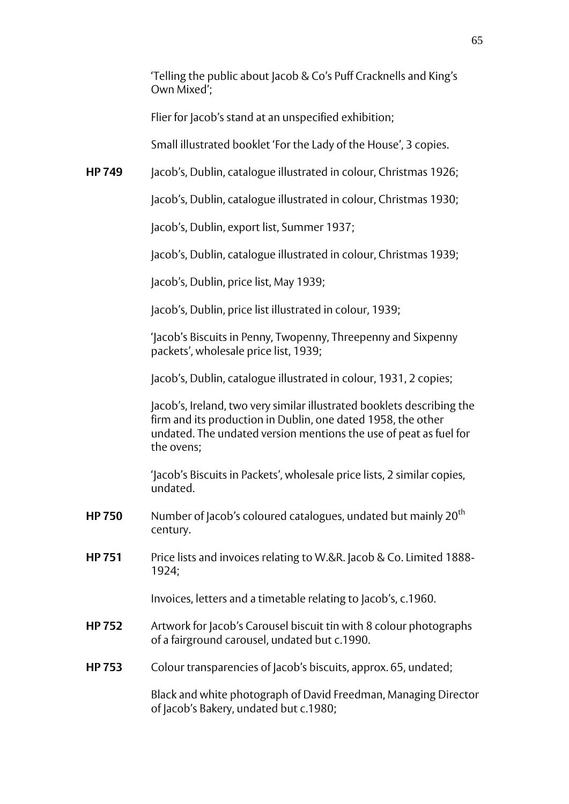|               | 'Telling the public about Jacob & Co's Puff Cracknells and King's<br>Own Mixed';                                                                                                                                          |
|---------------|---------------------------------------------------------------------------------------------------------------------------------------------------------------------------------------------------------------------------|
|               | Flier for Jacob's stand at an unspecified exhibition;                                                                                                                                                                     |
|               | Small illustrated booklet 'For the Lady of the House', 3 copies.                                                                                                                                                          |
| <b>HP 749</b> | Jacob's, Dublin, catalogue illustrated in colour, Christmas 1926;                                                                                                                                                         |
|               | Jacob's, Dublin, catalogue illustrated in colour, Christmas 1930;                                                                                                                                                         |
|               | Jacob's, Dublin, export list, Summer 1937;                                                                                                                                                                                |
|               | Jacob's, Dublin, catalogue illustrated in colour, Christmas 1939;                                                                                                                                                         |
|               | Jacob's, Dublin, price list, May 1939;                                                                                                                                                                                    |
|               | Jacob's, Dublin, price list illustrated in colour, 1939;                                                                                                                                                                  |
|               | 'Jacob's Biscuits in Penny, Twopenny, Threepenny and Sixpenny<br>packets', wholesale price list, 1939;                                                                                                                    |
|               | Jacob's, Dublin, catalogue illustrated in colour, 1931, 2 copies;                                                                                                                                                         |
|               | Jacob's, Ireland, two very similar illustrated booklets describing the<br>firm and its production in Dublin, one dated 1958, the other<br>undated. The undated version mentions the use of peat as fuel for<br>the ovens; |
|               | 'Jacob's Biscuits in Packets', wholesale price lists, 2 similar copies,<br>undated.                                                                                                                                       |
| <b>HP750</b>  | Number of Jacob's coloured catalogues, undated but mainly 20 <sup>th</sup><br>century.                                                                                                                                    |
| <b>HP751</b>  | Price lists and invoices relating to W.&R. Jacob & Co. Limited 1888-<br>1924;                                                                                                                                             |
|               | Invoices, letters and a timetable relating to Jacob's, c.1960.                                                                                                                                                            |
| <b>HP752</b>  | Artwork for Jacob's Carousel biscuit tin with 8 colour photographs<br>of a fairground carousel, undated but c.1990.                                                                                                       |
| <b>HP753</b>  | Colour transparencies of Jacob's biscuits, approx. 65, undated;                                                                                                                                                           |
|               | Black and white photograph of David Freedman, Managing Director<br>of Jacob's Bakery, undated but c.1980;                                                                                                                 |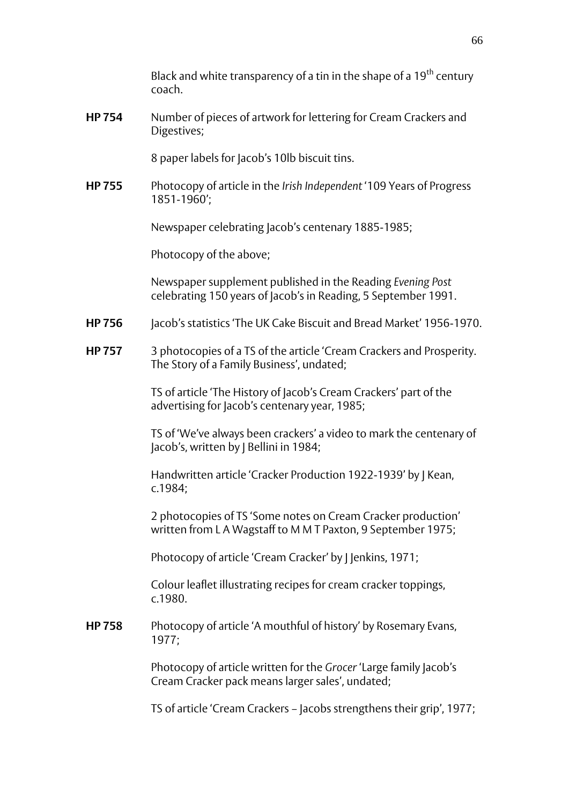Black and white transparency of a tin in the shape of a 19<sup>th</sup> century coach.

**HP 754** Number of pieces of artwork for lettering for Cream Crackers and Digestives;

8 paper labels for Jacob's 10lb biscuit tins.

**HP 755** Photocopy of article in the *Irish Independent* '109 Years of Progress 1851-1960';

Newspaper celebrating Jacob's centenary 1885-1985;

Photocopy of the above;

Newspaper supplement published in the Reading *Evening Post* celebrating 150 years of Jacob's in Reading, 5 September 1991.

- **HP 756** Jacob's statistics 'The UK Cake Biscuit and Bread Market' 1956-1970.
- **HP 757** 3 photocopies of a TS of the article 'Cream Crackers and Prosperity. The Story of a Family Business', undated;

TS of article 'The History of Jacob's Cream Crackers' part of the advertising for Jacob's centenary year, 1985;

TS of 'We've always been crackers' a video to mark the centenary of Jacob's, written by J Bellini in 1984;

Handwritten article 'Cracker Production 1922-1939' by J Kean, c.1984;

2 photocopies of TS 'Some notes on Cream Cracker production' written from L A Wagstaff to M M T Paxton, 9 September 1975;

Photocopy of article 'Cream Cracker' by | Jenkins, 1971;

Colour leaflet illustrating recipes for cream cracker toppings, c.1980.

**HP 758** Photocopy of article 'A mouthful of history' by Rosemary Evans, 1977;

> Photocopy of article written for the *Grocer* 'Large family Jacob's Cream Cracker pack means larger sales', undated;

TS of article 'Cream Crackers – Jacobs strengthens their grip', 1977;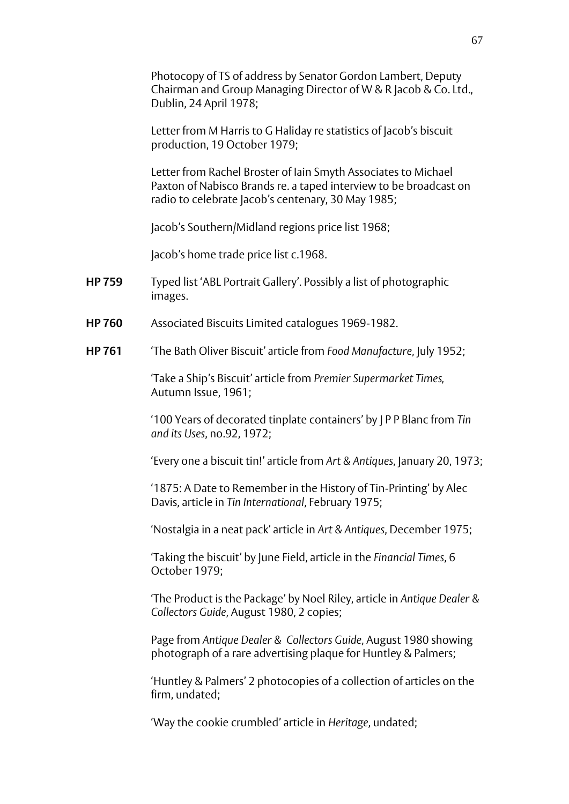Photocopy of TS of address by Senator Gordon Lambert, Deputy Chairman and Group Managing Director of W & R Jacob & Co. Ltd., Dublin, 24 April 1978;

Letter from M Harris to G Haliday re statistics of Jacob's biscuit production, 19 October 1979;

Letter from Rachel Broster of Iain Smyth Associates to Michael Paxton of Nabisco Brands re. a taped interview to be broadcast on radio to celebrate Jacob's centenary, 30 May 1985;

Jacob's Southern/Midland regions price list 1968;

Jacob's home trade price list c.1968.

- **HP 759** Typed list 'ABL Portrait Gallery'. Possibly a list of photographic images.
- **HP 760** Associated Biscuits Limited catalogues 1969-1982.
- **HP 761** 'The Bath Oliver Biscuit' article from *Food Manufacture*, July 1952;

'Take a Ship's Biscuit' article from *Premier Supermarket Times,* Autumn Issue, 1961;

'100 Years of decorated tinplate containers' by J P P Blanc from *Tin and its Uses*, no.92, 1972;

'Every one a biscuit tin!' article from *Art & Antiques*, January 20, 1973;

'1875: A Date to Remember in the History of Tin-Printing' by Alec Davis, article in *Tin International*, February 1975;

'Nostalgia in a neat pack' article in *Art & Antiques*, December 1975;

'Taking the biscuit' by June Field, article in the *Financial Times*, 6 October 1979;

'The Product is the Package' by Noel Riley, article in *Antique Dealer & Collectors Guide*, August 1980, 2 copies;

Page from *Antique Dealer & Collectors Guide*, August 1980 showing photograph of a rare advertising plaque for Huntley & Palmers;

'Huntley & Palmers' 2 photocopies of a collection of articles on the firm, undated;

'Way the cookie crumbled' article in *Heritage*, undated;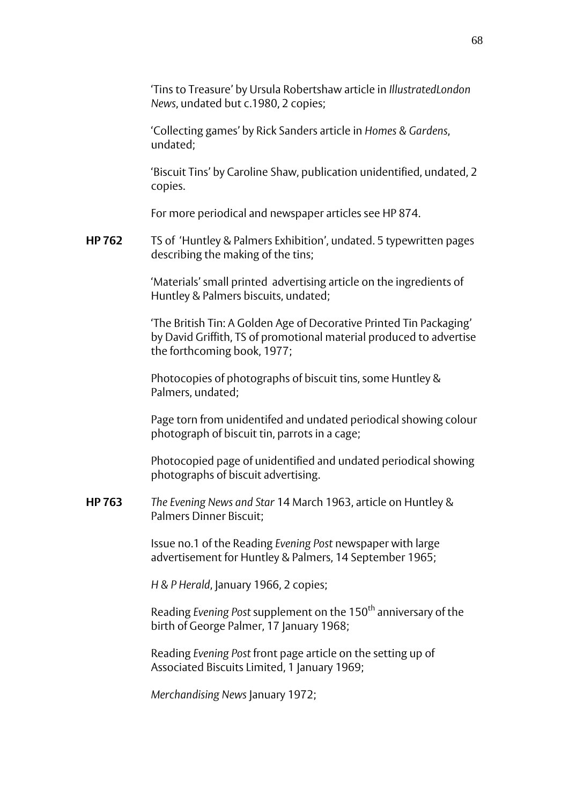'Tins to Treasure' by Ursula Robertshaw article in *IllustratedLondon News*, undated but c.1980, 2 copies;

'Collecting games' by Rick Sanders article in *Homes & Gardens*, undated;

'Biscuit Tins' by Caroline Shaw, publication unidentified, undated, 2 copies.

For more periodical and newspaper articles see HP 874.

**HP 762** TS of 'Huntley & Palmers Exhibition', undated. 5 typewritten pages describing the making of the tins;

> 'Materials' small printed advertising article on the ingredients of Huntley & Palmers biscuits, undated;

'The British Tin: A Golden Age of Decorative Printed Tin Packaging' by David Griffith, TS of promotional material produced to advertise the forthcoming book, 1977;

Photocopies of photographs of biscuit tins, some Huntley & Palmers, undated;

Page torn from unidentifed and undated periodical showing colour photograph of biscuit tin, parrots in a cage;

Photocopied page of unidentified and undated periodical showing photographs of biscuit advertising.

**HP 763** *The Evening News and Star* 14 March 1963, article on Huntley & Palmers Dinner Biscuit;

> Issue no.1 of the Reading *Evening Post* newspaper with large advertisement for Huntley & Palmers, 14 September 1965;

*H & P Herald*, January 1966, 2 copies;

Reading *Evening Post* supplement on the 150th anniversary of the birth of George Palmer, 17 January 1968;

Reading *Evening Post* front page article on the setting up of Associated Biscuits Limited, 1 January 1969;

*Merchandising News* January 1972;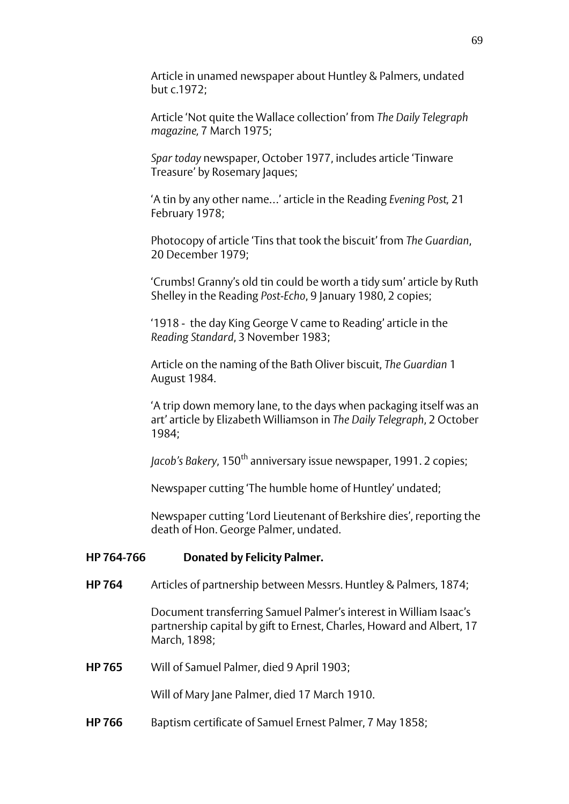Article in unamed newspaper about Huntley & Palmers, undated but c.1972;

Article 'Not quite the Wallace collection' from *The Daily Telegraph magazine,* 7 March 1975;

*Spar today* newspaper, October 1977, includes article 'Tinware Treasure' by Rosemary Jaques;

'A tin by any other name…' article in the Reading *Evening Post,* 21 February 1978;

Photocopy of article 'Tins that took the biscuit' from *The Guardian*, 20 December 1979;

'Crumbs! Granny's old tin could be worth a tidy sum' article by Ruth Shelley in the Reading *Post-Echo*, 9 January 1980, 2 copies;

'1918 - the day King George V came to Reading' article in the *Reading Standard*, 3 November 1983;

Article on the naming of the Bath Oliver biscuit, *The Guardian* 1 August 1984.

'A trip down memory lane, to the days when packaging itself was an art' article by Elizabeth Williamson in *The Daily Telegraph*, 2 October 1984;

*Jacob's Bakery*, 150<sup>th</sup> anniversary issue newspaper, 1991. 2 copies;

Newspaper cutting 'The humble home of Huntley' undated;

Newspaper cutting 'Lord Lieutenant of Berkshire dies', reporting the death of Hon. George Palmer, undated.

## **HP 764-766 Donated by Felicity Palmer.**

**HP 764** Articles of partnership between Messrs. Huntley & Palmers, 1874;

Document transferring Samuel Palmer's interest in William Isaac's partnership capital by gift to Ernest, Charles, Howard and Albert, 17 March, 1898;

**HP 765** Will of Samuel Palmer, died 9 April 1903;

Will of Mary Jane Palmer, died 17 March 1910.

**HP 766** Baptism certificate of Samuel Ernest Palmer, 7 May 1858;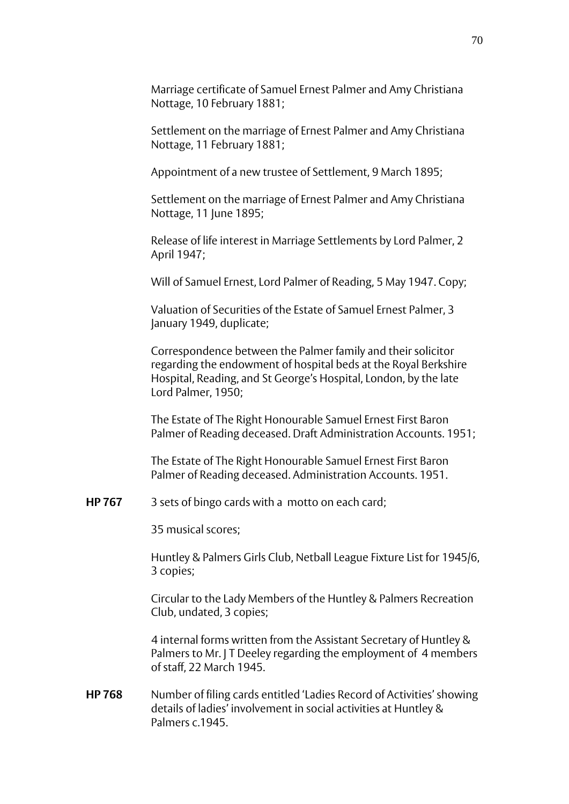Marriage certificate of Samuel Ernest Palmer and Amy Christiana Nottage, 10 February 1881;

Settlement on the marriage of Ernest Palmer and Amy Christiana Nottage, 11 February 1881;

Appointment of a new trustee of Settlement, 9 March 1895;

Settlement on the marriage of Ernest Palmer and Amy Christiana Nottage, 11 June 1895:

Release of life interest in Marriage Settlements by Lord Palmer, 2 April 1947;

Will of Samuel Ernest, Lord Palmer of Reading, 5 May 1947. Copy;

Valuation of Securities of the Estate of Samuel Ernest Palmer, 3 January 1949, duplicate;

Correspondence between the Palmer family and their solicitor regarding the endowment of hospital beds at the Royal Berkshire Hospital, Reading, and St George's Hospital, London, by the late Lord Palmer, 1950;

The Estate of The Right Honourable Samuel Ernest First Baron Palmer of Reading deceased. Draft Administration Accounts. 1951;

The Estate of The Right Honourable Samuel Ernest First Baron Palmer of Reading deceased. Administration Accounts. 1951.

**HP 767** 3 sets of bingo cards with a motto on each card;

35 musical scores;

Huntley & Palmers Girls Club, Netball League Fixture List for 1945/6, 3 copies;

Circular to the Lady Members of the Huntley & Palmers Recreation Club, undated, 3 copies;

4 internal forms written from the Assistant Secretary of Huntley & Palmers to Mr. I T Deeley regarding the employment of 4 members of staff, 22 March 1945.

**HP 768** Number of filing cards entitled 'Ladies Record of Activities' showing details of ladies' involvement in social activities at Huntley & Palmers c. 1945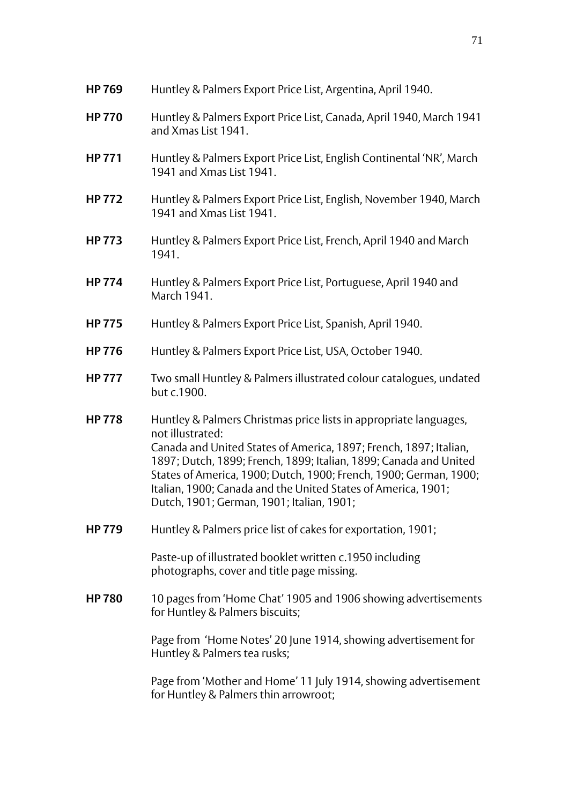| <b>HP 769</b> | Huntley & Palmers Export Price List, Argentina, April 1940.                                                                                                                                                                                                                                                                                                                                                        |
|---------------|--------------------------------------------------------------------------------------------------------------------------------------------------------------------------------------------------------------------------------------------------------------------------------------------------------------------------------------------------------------------------------------------------------------------|
| <b>HP 770</b> | Huntley & Palmers Export Price List, Canada, April 1940, March 1941<br>and Xmas List 1941.                                                                                                                                                                                                                                                                                                                         |
| <b>HP 771</b> | Huntley & Palmers Export Price List, English Continental 'NR', March<br>1941 and Xmas List 1941.                                                                                                                                                                                                                                                                                                                   |
| <b>HP 772</b> | Huntley & Palmers Export Price List, English, November 1940, March<br>1941 and Xmas List 1941.                                                                                                                                                                                                                                                                                                                     |
| <b>HP 773</b> | Huntley & Palmers Export Price List, French, April 1940 and March<br>1941.                                                                                                                                                                                                                                                                                                                                         |
| <b>HP774</b>  | Huntley & Palmers Export Price List, Portuguese, April 1940 and<br>March 1941.                                                                                                                                                                                                                                                                                                                                     |
| <b>HP 775</b> | Huntley & Palmers Export Price List, Spanish, April 1940.                                                                                                                                                                                                                                                                                                                                                          |
| <b>HP776</b>  | Huntley & Palmers Export Price List, USA, October 1940.                                                                                                                                                                                                                                                                                                                                                            |
| <b>HP 777</b> | Two small Huntley & Palmers illustrated colour catalogues, undated<br>but c.1900.                                                                                                                                                                                                                                                                                                                                  |
| <b>HP778</b>  | Huntley & Palmers Christmas price lists in appropriate languages,<br>not illustrated:<br>Canada and United States of America, 1897; French, 1897; Italian,<br>1897; Dutch, 1899; French, 1899; Italian, 1899; Canada and United<br>States of America, 1900; Dutch, 1900; French, 1900; German, 1900;<br>Italian, 1900; Canada and the United States of America, 1901;<br>Dutch, 1901; German, 1901; Italian, 1901; |
| <b>HP 779</b> | Huntley & Palmers price list of cakes for exportation, 1901;                                                                                                                                                                                                                                                                                                                                                       |
|               | Paste-up of illustrated booklet written c.1950 including<br>photographs, cover and title page missing.                                                                                                                                                                                                                                                                                                             |
| <b>HP 780</b> | 10 pages from 'Home Chat' 1905 and 1906 showing advertisements<br>for Huntley & Palmers biscuits;                                                                                                                                                                                                                                                                                                                  |
|               | Page from 'Home Notes' 20 June 1914, showing advertisement for<br>Huntley & Palmers tea rusks;                                                                                                                                                                                                                                                                                                                     |
|               | Page from 'Mother and Home' 11 July 1914, showing advertisement<br>for Huntley & Palmers thin arrowroot;                                                                                                                                                                                                                                                                                                           |
|               |                                                                                                                                                                                                                                                                                                                                                                                                                    |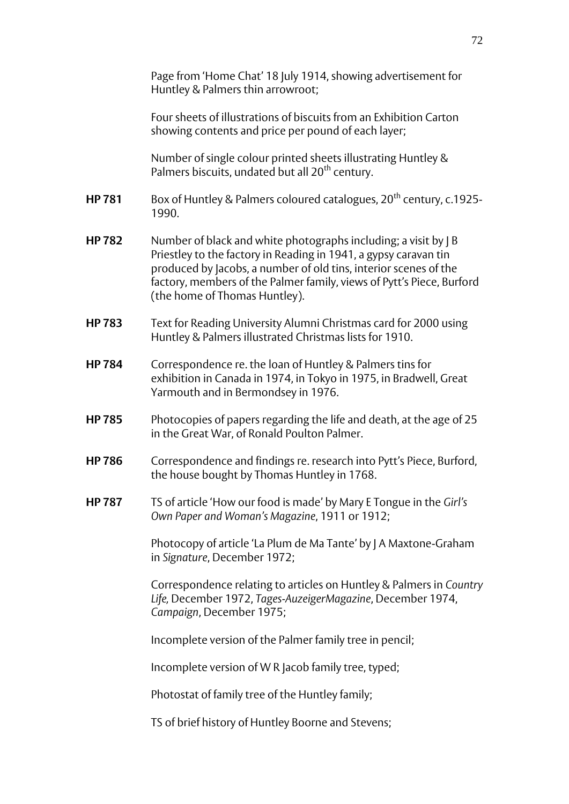Page from 'Home Chat' 18 July 1914, showing advertisement for Huntley & Palmers thin arrowroot;

Four sheets of illustrations of biscuits from an Exhibition Carton showing contents and price per pound of each layer;

Number of single colour printed sheets illustrating Huntley & Palmers biscuits, undated but all 20<sup>th</sup> century.

- **HP 781** Box of Huntley & Palmers coloured catalogues, 20<sup>th</sup> century, c.1925-1990.
- **HP 782** Number of black and white photographs including; a visit by J B Priestley to the factory in Reading in 1941, a gypsy caravan tin produced by Jacobs, a number of old tins, interior scenes of the factory, members of the Palmer family, views of Pytt's Piece, Burford (the home of Thomas Huntley).
- **HP 783** Text for Reading University Alumni Christmas card for 2000 using Huntley & Palmers illustrated Christmas lists for 1910.
- **HP 784** Correspondence re. the loan of Huntley & Palmers tins for exhibition in Canada in 1974, in Tokyo in 1975, in Bradwell, Great Yarmouth and in Bermondsey in 1976.
- **HP 785** Photocopies of papers regarding the life and death, at the age of 25 in the Great War, of Ronald Poulton Palmer.
- **HP 786** Correspondence and findings re. research into Pytt's Piece, Burford, the house bought by Thomas Huntley in 1768.
- **HP 787** TS of article 'How our food is made' by Mary E Tongue in the *Girl's Own Paper and Woman's Magazine*, 1911 or 1912;

Photocopy of article 'La Plum de Ma Tante' by J A Maxtone-Graham in *Signature*, December 1972;

Correspondence relating to articles on Huntley & Palmers in *Country Life,* December 1972, *Tages-AuzeigerMagazine*, December 1974, *Campaign*, December 1975;

Incomplete version of the Palmer family tree in pencil;

Incomplete version of W R Jacob family tree, typed;

Photostat of family tree of the Huntley family;

TS of brief history of Huntley Boorne and Stevens;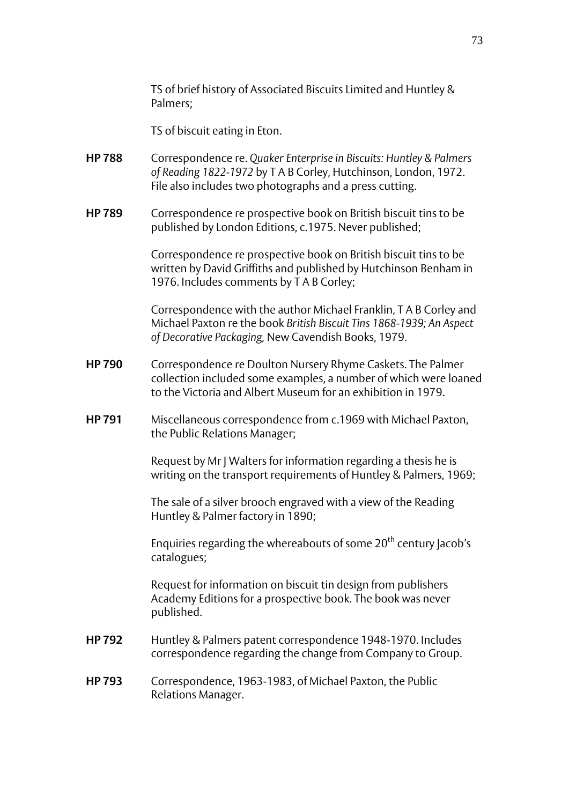TS of brief history of Associated Biscuits Limited and Huntley & Palmers;

TS of biscuit eating in Eton.

- **HP 788** Correspondence re. *Quaker Enterprise in Biscuits: Huntley & Palmers of Reading 1822-1972* by T A B Corley, Hutchinson, London, 1972. File also includes two photographs and a press cutting.
- **HP 789** Correspondence re prospective book on British biscuit tins to be published by London Editions, c.1975. Never published;

Correspondence re prospective book on British biscuit tins to be written by David Griffiths and published by Hutchinson Benham in 1976. Includes comments by T A B Corley;

Correspondence with the author Michael Franklin, T A B Corley and Michael Paxton re the book *British Biscuit Tins 1868-1939; An Aspect of Decorative Packaging,* New Cavendish Books, 1979.

- **HP 790** Correspondence re Doulton Nursery Rhyme Caskets. The Palmer collection included some examples, a number of which were loaned to the Victoria and Albert Museum for an exhibition in 1979.
- **HP 791** Miscellaneous correspondence from c.1969 with Michael Paxton, the Public Relations Manager;

Request by Mr J Walters for information regarding a thesis he is writing on the transport requirements of Huntley & Palmers, 1969;

The sale of a silver brooch engraved with a view of the Reading Huntley & Palmer factory in 1890;

Enquiries regarding the whereabouts of some 20<sup>th</sup> century Jacob's catalogues;

Request for information on biscuit tin design from publishers Academy Editions for a prospective book. The book was never published.

- **HP 792** Huntley & Palmers patent correspondence 1948-1970. Includes correspondence regarding the change from Company to Group.
- **HP 793** Correspondence, 1963-1983, of Michael Paxton, the Public Relations Manager.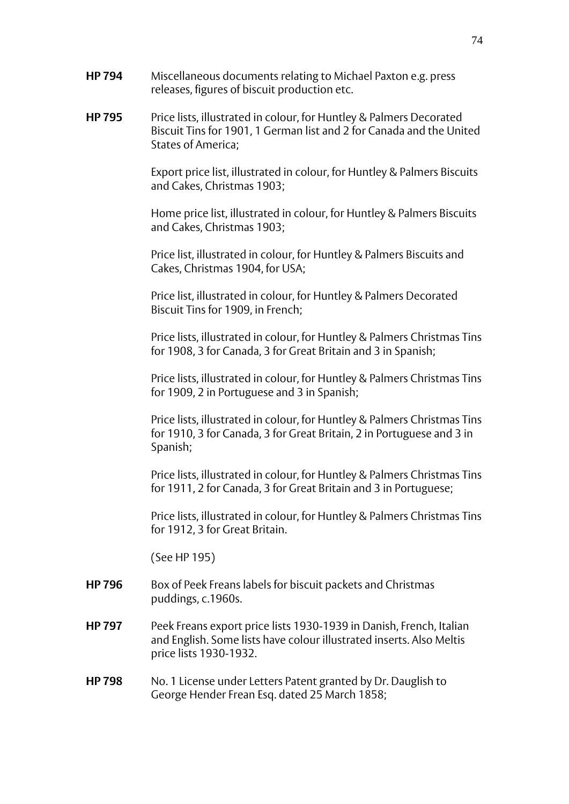- **HP 794** Miscellaneous documents relating to Michael Paxton e.g. press releases, figures of biscuit production etc.
- **HP 795** Price lists, illustrated in colour, for Huntley & Palmers Decorated Biscuit Tins for 1901, 1 German list and 2 for Canada and the United States of America;

Export price list, illustrated in colour, for Huntley & Palmers Biscuits and Cakes, Christmas 1903;

Home price list, illustrated in colour, for Huntley & Palmers Biscuits and Cakes, Christmas 1903;

Price list, illustrated in colour, for Huntley & Palmers Biscuits and Cakes, Christmas 1904, for USA;

Price list, illustrated in colour, for Huntley & Palmers Decorated Biscuit Tins for 1909, in French;

Price lists, illustrated in colour, for Huntley & Palmers Christmas Tins for 1908, 3 for Canada, 3 for Great Britain and 3 in Spanish;

Price lists, illustrated in colour, for Huntley & Palmers Christmas Tins for 1909, 2 in Portuguese and 3 in Spanish;

Price lists, illustrated in colour, for Huntley & Palmers Christmas Tins for 1910, 3 for Canada, 3 for Great Britain, 2 in Portuguese and 3 in Spanish;

 Price lists, illustrated in colour, for Huntley & Palmers Christmas Tins for 1911, 2 for Canada, 3 for Great Britain and 3 in Portuguese;

Price lists, illustrated in colour, for Huntley & Palmers Christmas Tins for 1912, 3 for Great Britain.

(See HP 195)

- **HP 796** Box of Peek Freans labels for biscuit packets and Christmas puddings, c.1960s.
- **HP 797** Peek Freans export price lists 1930-1939 in Danish, French, Italian and English. Some lists have colour illustrated inserts. Also Meltis price lists 1930-1932.
- **HP 798** No. 1 License under Letters Patent granted by Dr. Dauglish to George Hender Frean Esq. dated 25 March 1858;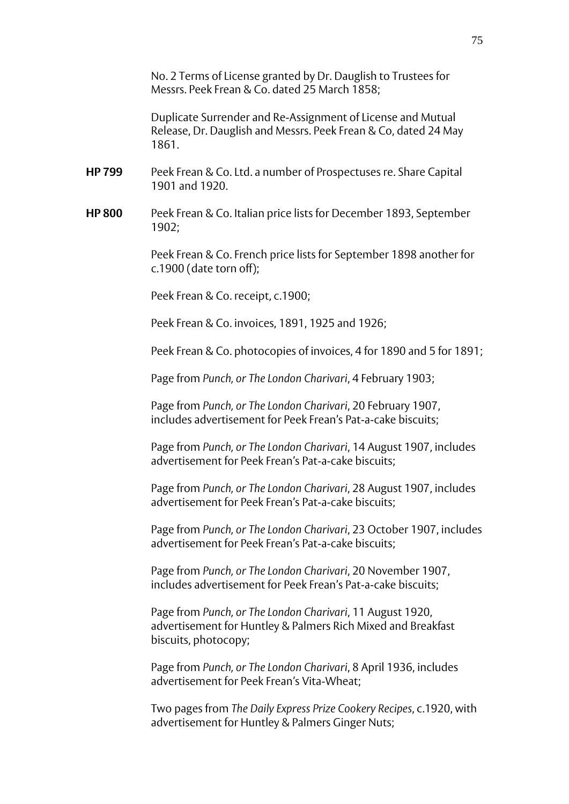No. 2 Terms of License granted by Dr. Dauglish to Trustees for Messrs. Peek Frean & Co. dated 25 March 1858;

Duplicate Surrender and Re-Assignment of License and Mutual Release, Dr. Dauglish and Messrs. Peek Frean & Co, dated 24 May 1861.

- **HP 799** Peek Frean & Co. Ltd. a number of Prospectuses re. Share Capital 1901 and 1920.
- **HP 800** Peek Frean & Co. Italian price lists for December 1893, September 1902;

Peek Frean & Co. French price lists for September 1898 another for c.1900 (date torn off);

Peek Frean & Co. receipt, c.1900;

Peek Frean & Co. invoices, 1891, 1925 and 1926;

Peek Frean & Co. photocopies of invoices, 4 for 1890 and 5 for 1891;

Page from *Punch, or The London Charivari*, 4 February 1903;

Page from *Punch, or The London Charivari*, 20 February 1907, includes advertisement for Peek Frean's Pat-a-cake biscuits;

Page from *Punch, or The London Charivari*, 14 August 1907, includes advertisement for Peek Frean's Pat-a-cake biscuits;

Page from *Punch, or The London Charivari*, 28 August 1907, includes advertisement for Peek Frean's Pat-a-cake biscuits;

Page from *Punch, or The London Charivari*, 23 October 1907, includes advertisement for Peek Frean's Pat-a-cake biscuits;

Page from *Punch, or The London Charivari*, 20 November 1907, includes advertisement for Peek Frean's Pat-a-cake biscuits;

Page from *Punch, or The London Charivari*, 11 August 1920, advertisement for Huntley & Palmers Rich Mixed and Breakfast biscuits, photocopy;

Page from *Punch, or The London Charivari*, 8 April 1936, includes advertisement for Peek Frean's Vita-Wheat;

Two pages from *The Daily Express Prize Cookery Recipes*, c.1920, with advertisement for Huntley & Palmers Ginger Nuts;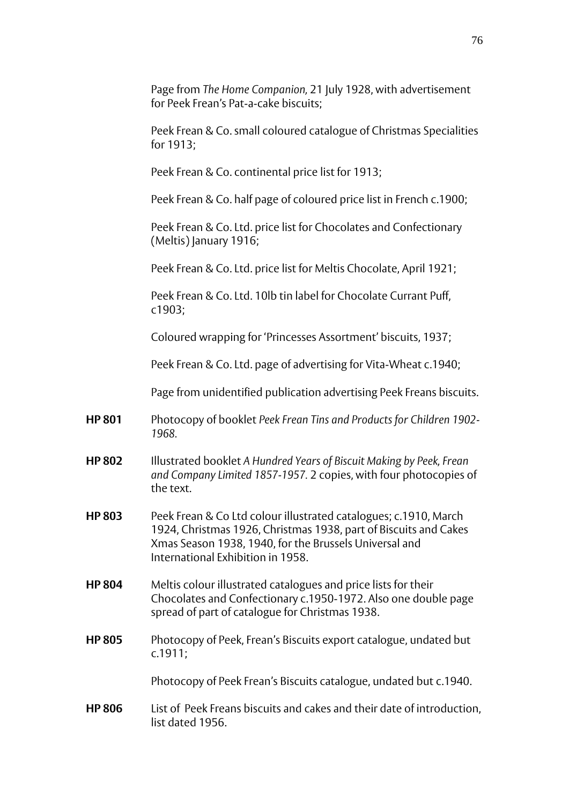Page from *The Home Companion,* 21 July 1928, with advertisement for Peek Frean's Pat-a-cake biscuits; Peek Frean & Co. small coloured catalogue of Christmas Specialities for 1913; Peek Frean & Co. continental price list for 1913; Peek Frean & Co. half page of coloured price list in French c.1900; Peek Frean & Co. Ltd. price list for Chocolates and Confectionary (Meltis) January 1916; Peek Frean & Co. Ltd. price list for Meltis Chocolate, April 1921; Peek Frean & Co. Ltd. 10lb tin label for Chocolate Currant Puff, c1903; Coloured wrapping for 'Princesses Assortment' biscuits, 1937; Peek Frean & Co. Ltd. page of advertising for Vita-Wheat c.1940; Page from unidentified publication advertising Peek Freans biscuits. **HP 801** Photocopy of booklet *Peek Frean Tins and Products for Children 1902- 1968.* **HP 802** Illustrated booklet *A Hundred Years of Biscuit Making by Peek, Frean and Company Limited 1857-1957.* 2 copies, with four photocopies of the text. **HP 803** Peek Frean & Co Ltd colour illustrated catalogues; c.1910, March 1924, Christmas 1926, Christmas 1938, part of Biscuits and Cakes Xmas Season 1938, 1940, for the Brussels Universal and International Exhibition in 1958. **HP 804** Meltis colour illustrated catalogues and price lists for their Chocolates and Confectionary c.1950-1972. Also one double page spread of part of catalogue for Christmas 1938. **HP 805** Photocopy of Peek, Frean's Biscuits export catalogue, undated but c.1911; Photocopy of Peek Frean's Biscuits catalogue, undated but c.1940. **HP 806** List of Peek Freans biscuits and cakes and their date of introduction, list dated 1956.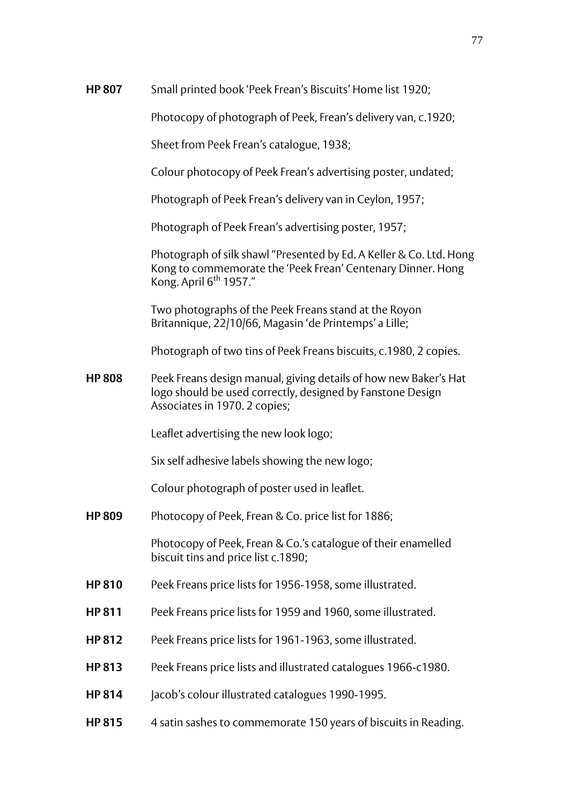Photocopy of photograph of Peek, Frean's delivery van, c.1920;

Sheet from Peek Frean's catalogue, 1938;

Colour photocopy of Peek Frean's advertising poster, undated;

Photograph of Peek Frean's delivery van in Ceylon, 1957;

Photograph of Peek Frean's advertising poster, 1957;

Photograph of silk shawl "Presented by Ed. A Keller & Co. Ltd. Hong Kong to commemorate the 'Peek Frean' Centenary Dinner. Hong Kong. April  $6<sup>th</sup>$  1957."

Two photographs of the Peek Freans stand at the Royon Britannique, 22/10/66, Magasin 'de Printemps' a Lille;

Photograph of two tins of Peek Freans biscuits, c.1980, 2 copies.

**HP 808** Peek Freans design manual, giving details of how new Baker's Hat logo should be used correctly, designed by Fanstone Design Associates in 1970. 2 copies;

Leaflet advertising the new look logo;

Six self adhesive labels showing the new logo;

Colour photograph of poster used in leaflet.

**HP 809** Photocopy of Peek, Frean & Co. price list for 1886;

Photocopy of Peek, Frean & Co.'s catalogue of their enamelled biscuit tins and price list c.1890;

- **HP 810** Peek Freans price lists for 1956-1958, some illustrated.
- **HP 811** Peek Freans price lists for 1959 and 1960, some illustrated.
- **HP 812** Peek Freans price lists for 1961-1963, some illustrated.
- **HP 813** Peek Freans price lists and illustrated catalogues 1966-c1980.
- **HP 814** Jacob's colour illustrated catalogues 1990-1995.
- **HP 815** 4 satin sashes to commemorate 150 years of biscuits in Reading.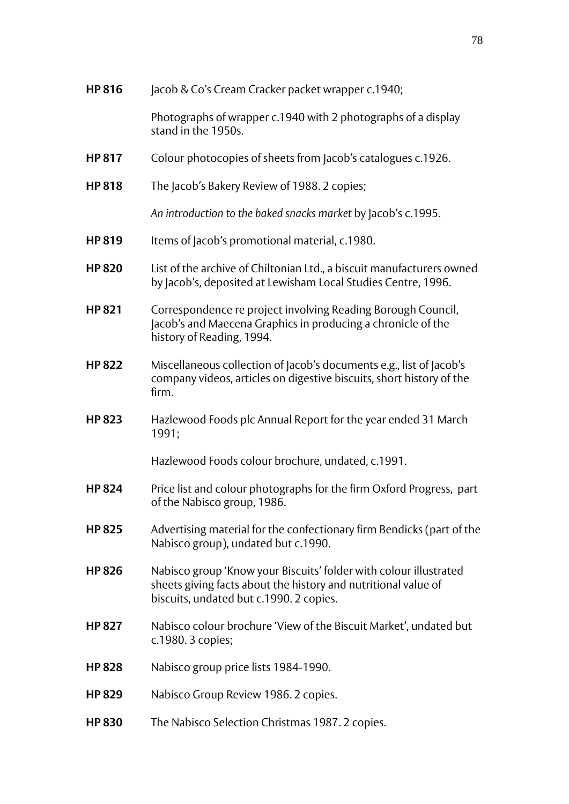| <b>HP816</b>  | Jacob & Co's Cream Cracker packet wrapper c.1940;                                                                                                                              |
|---------------|--------------------------------------------------------------------------------------------------------------------------------------------------------------------------------|
|               | Photographs of wrapper c.1940 with 2 photographs of a display<br>stand in the 1950s.                                                                                           |
| <b>HP 817</b> | Colour photocopies of sheets from Jacob's catalogues c.1926.                                                                                                                   |
| <b>HP 818</b> | The Jacob's Bakery Review of 1988. 2 copies;                                                                                                                                   |
|               | An introduction to the baked snacks market by Jacob's c.1995.                                                                                                                  |
| <b>HP 819</b> | Items of Jacob's promotional material, c.1980.                                                                                                                                 |
| <b>HP 820</b> | List of the archive of Chiltonian Ltd., a biscuit manufacturers owned<br>by Jacob's, deposited at Lewisham Local Studies Centre, 1996.                                         |
| <b>HP 821</b> | Correspondence re project involving Reading Borough Council,<br>Jacob's and Maecena Graphics in producing a chronicle of the<br>history of Reading, 1994.                      |
| <b>HP 822</b> | Miscellaneous collection of Jacob's documents e.g., list of Jacob's<br>company videos, articles on digestive biscuits, short history of the<br>firm.                           |
| <b>HP 823</b> | Hazlewood Foods plc Annual Report for the year ended 31 March<br>1991;                                                                                                         |
|               | Hazlewood Foods colour brochure, undated, c.1991.                                                                                                                              |
| <b>HP 824</b> | Price list and colour photographs for the firm Oxford Progress, part<br>of the Nabisco group, 1986.                                                                            |
| <b>HP 825</b> | Advertising material for the confectionary firm Bendicks (part of the<br>Nabisco group), undated but c.1990.                                                                   |
| <b>HP 826</b> | Nabisco group 'Know your Biscuits' folder with colour illustrated<br>sheets giving facts about the history and nutritional value of<br>biscuits, undated but c.1990. 2 copies. |
| <b>HP 827</b> | Nabisco colour brochure 'View of the Biscuit Market', undated but<br>c.1980. 3 copies;                                                                                         |
| <b>HP 828</b> | Nabisco group price lists 1984-1990.                                                                                                                                           |
| <b>HP 829</b> | Nabisco Group Review 1986. 2 copies.                                                                                                                                           |
| <b>HP 830</b> | The Nabisco Selection Christmas 1987. 2 copies.                                                                                                                                |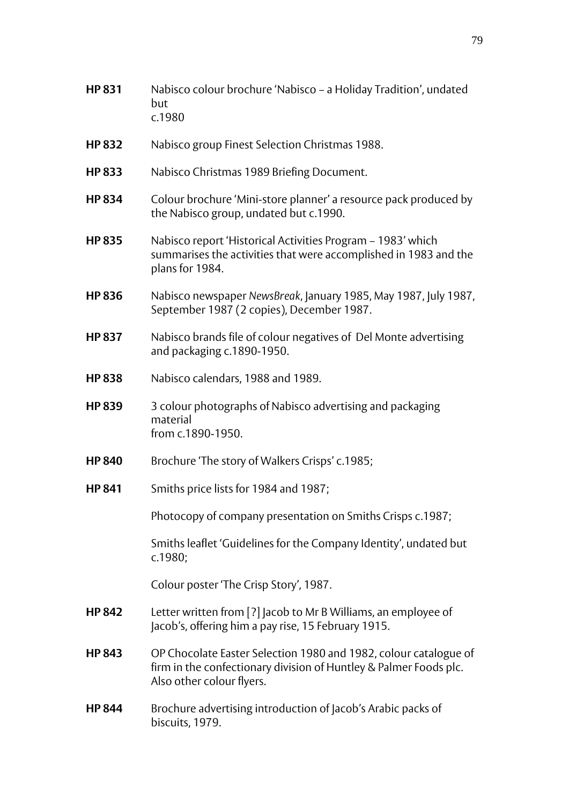- **HP 831** Nabisco colour brochure 'Nabisco a Holiday Tradition', undated but c.1980
- **HP 832** Nabisco group Finest Selection Christmas 1988.
- **HP 833** Nabisco Christmas 1989 Briefing Document.
- **HP 834** Colour brochure 'Mini-store planner' a resource pack produced by the Nabisco group, undated but c.1990.
- **HP 835** Nabisco report 'Historical Activities Program 1983' which summarises the activities that were accomplished in 1983 and the plans for 1984.
- **HP 836** Nabisco newspaper *NewsBreak*, January 1985, May 1987, July 1987, September 1987 (2 copies), December 1987.
- **HP 837** Nabisco brands file of colour negatives of Del Monte advertising and packaging c.1890-1950.
- **HP 838** Nabisco calendars, 1988 and 1989.
- **HP 839** 3 colour photographs of Nabisco advertising and packaging material from c.1890-1950.
- **HP 840** Brochure 'The story of Walkers Crisps' c.1985;
- **HP 841** Smiths price lists for 1984 and 1987;

Photocopy of company presentation on Smiths Crisps c.1987;

Smiths leaflet 'Guidelines for the Company Identity', undated but c.1980;

Colour poster 'The Crisp Story', 1987.

- **HP 842** Letter written from [?] Jacob to Mr B Williams, an employee of Jacob's, offering him a pay rise, 15 February 1915.
- **HP 843** OP Chocolate Easter Selection 1980 and 1982, colour catalogue of firm in the confectionary division of Huntley & Palmer Foods plc. Also other colour flyers.
- **HP 844** Brochure advertising introduction of Jacob's Arabic packs of biscuits, 1979.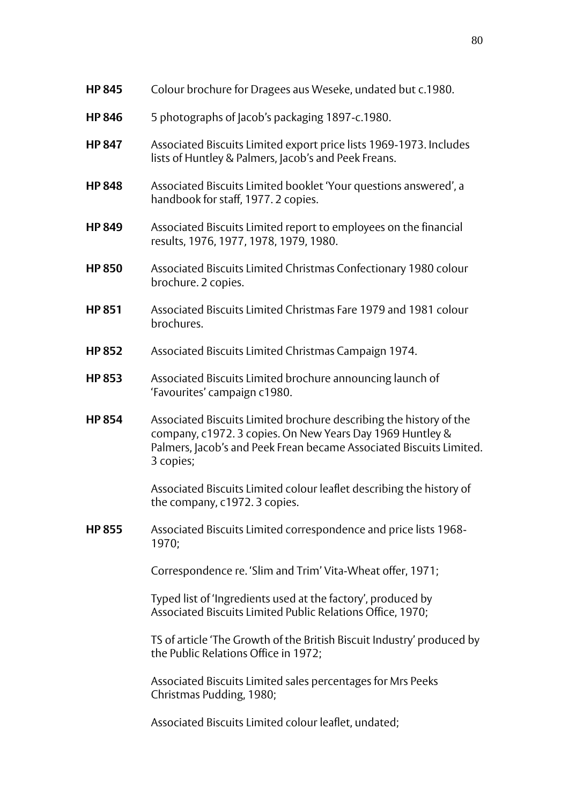| <b>HP 845</b> | Colour brochure for Dragees aus Weseke, undated but c.1980. |
|---------------|-------------------------------------------------------------|
|---------------|-------------------------------------------------------------|

- **HP 846** 5 photographs of Jacob's packaging 1897-c.1980.
- **HP 847** Associated Biscuits Limited export price lists 1969-1973. Includes lists of Huntley & Palmers, Jacob's and Peek Freans.
- **HP 848** Associated Biscuits Limited booklet 'Your questions answered', a handbook for staff, 1977. 2 copies.
- **HP 849** Associated Biscuits Limited report to employees on the financial results, 1976, 1977, 1978, 1979, 1980.
- **HP 850** Associated Biscuits Limited Christmas Confectionary 1980 colour brochure. 2 copies.
- **HP 851** Associated Biscuits Limited Christmas Fare 1979 and 1981 colour brochures.
- **HP 852** Associated Biscuits Limited Christmas Campaign 1974.
- **HP 853** Associated Biscuits Limited brochure announcing launch of 'Favourites' campaign c1980.
- **HP 854** Associated Biscuits Limited brochure describing the history of the company, c1972. 3 copies. On New Years Day 1969 Huntley & Palmers, Jacob's and Peek Frean became Associated Biscuits Limited. 3 copies;

Associated Biscuits Limited colour leaflet describing the history of the company, c1972. 3 copies.

**HP 855** Associated Biscuits Limited correspondence and price lists 1968- 1970;

Correspondence re. 'Slim and Trim' Vita-Wheat offer, 1971;

Typed list of 'Ingredients used at the factory', produced by Associated Biscuits Limited Public Relations Office, 1970;

TS of article 'The Growth of the British Biscuit Industry' produced by the Public Relations Office in 1972;

Associated Biscuits Limited sales percentages for Mrs Peeks Christmas Pudding, 1980;

Associated Biscuits Limited colour leaflet, undated;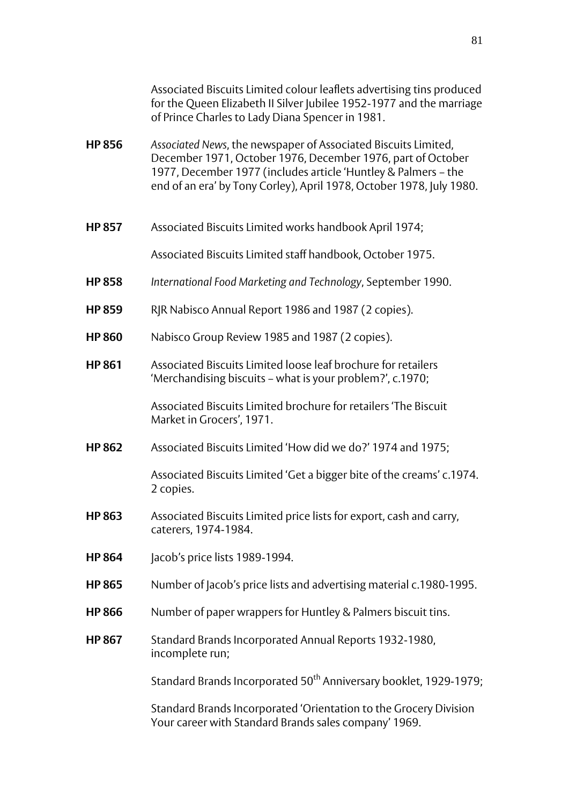|               | Associated Biscuits Limited colour leaflets advertising tins produced<br>for the Queen Elizabeth II Silver Jubilee 1952-1977 and the marriage<br>of Prince Charles to Lady Diana Spencer in 1981.                                                                       |
|---------------|-------------------------------------------------------------------------------------------------------------------------------------------------------------------------------------------------------------------------------------------------------------------------|
| <b>HP 856</b> | Associated News, the newspaper of Associated Biscuits Limited,<br>December 1971, October 1976, December 1976, part of October<br>1977, December 1977 (includes article 'Huntley & Palmers - the<br>end of an era' by Tony Corley), April 1978, October 1978, July 1980. |
| <b>HP 857</b> | Associated Biscuits Limited works handbook April 1974;                                                                                                                                                                                                                  |
|               | Associated Biscuits Limited staff handbook, October 1975.                                                                                                                                                                                                               |
| <b>HP 858</b> | International Food Marketing and Technology, September 1990.                                                                                                                                                                                                            |
| <b>HP 859</b> | RJR Nabisco Annual Report 1986 and 1987 (2 copies).                                                                                                                                                                                                                     |
| <b>HP 860</b> | Nabisco Group Review 1985 and 1987 (2 copies).                                                                                                                                                                                                                          |
| <b>HP 861</b> | Associated Biscuits Limited loose leaf brochure for retailers<br>'Merchandising biscuits – what is your problem?', c.1970;                                                                                                                                              |
|               | Associated Biscuits Limited brochure for retailers 'The Biscuit<br>Market in Grocers', 1971.                                                                                                                                                                            |
| <b>HP 862</b> | Associated Biscuits Limited 'How did we do?' 1974 and 1975;                                                                                                                                                                                                             |
|               | Associated Biscuits Limited 'Get a bigger bite of the creams' c.1974.<br>2 copies.                                                                                                                                                                                      |
| <b>HP 863</b> | Associated Biscuits Limited price lists for export, cash and carry,<br>caterers, 1974-1984.                                                                                                                                                                             |
| <b>HP 864</b> | Jacob's price lists 1989-1994.                                                                                                                                                                                                                                          |
| <b>HP 865</b> | Number of Jacob's price lists and advertising material c.1980-1995.                                                                                                                                                                                                     |
| <b>HP 866</b> | Number of paper wrappers for Huntley & Palmers biscuit tins.                                                                                                                                                                                                            |
| <b>HP 867</b> | Standard Brands Incorporated Annual Reports 1932-1980,<br>incomplete run;                                                                                                                                                                                               |
|               | Standard Brands Incorporated 50 <sup>th</sup> Anniversary booklet, 1929-1979;                                                                                                                                                                                           |
|               | Standard Brands Incorporated 'Orientation to the Grocery Division<br>Your career with Standard Brands sales company' 1969.                                                                                                                                              |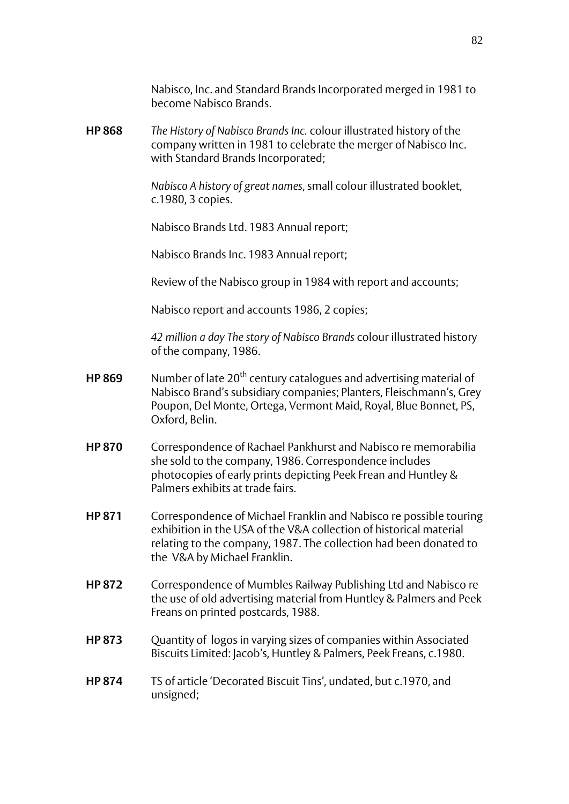Nabisco, Inc. and Standard Brands Incorporated merged in 1981 to become Nabisco Brands.

**HP 868** *The History of Nabisco Brands Inc.* colour illustrated history of the company written in 1981 to celebrate the merger of Nabisco Inc. with Standard Brands Incorporated;

> *Nabisco A history of great names*, small colour illustrated booklet, c.1980, 3 copies.

Nabisco Brands Ltd. 1983 Annual report;

Nabisco Brands Inc. 1983 Annual report;

Review of the Nabisco group in 1984 with report and accounts;

Nabisco report and accounts 1986, 2 copies;

*42 million a day The story of Nabisco Brands* colour illustrated history of the company, 1986.

- **HP 869** Number of late 20<sup>th</sup> century catalogues and advertising material of Nabisco Brand's subsidiary companies; Planters, Fleischmann's, Grey Poupon, Del Monte, Ortega, Vermont Maid, Royal, Blue Bonnet, PS, Oxford, Belin.
- **HP 870** Correspondence of Rachael Pankhurst and Nabisco re memorabilia she sold to the company, 1986. Correspondence includes photocopies of early prints depicting Peek Frean and Huntley & Palmers exhibits at trade fairs.
- **HP 871** Correspondence of Michael Franklin and Nabisco re possible touring exhibition in the USA of the V&A collection of historical material relating to the company, 1987. The collection had been donated to the V&A by Michael Franklin.
- **HP 872** Correspondence of Mumbles Railway Publishing Ltd and Nabisco re the use of old advertising material from Huntley & Palmers and Peek Freans on printed postcards, 1988.
- **HP 873** Quantity of logos in varying sizes of companies within Associated Biscuits Limited: Jacob's, Huntley & Palmers, Peek Freans, c.1980.
- **HP 874** TS of article 'Decorated Biscuit Tins', undated, but c.1970, and unsigned;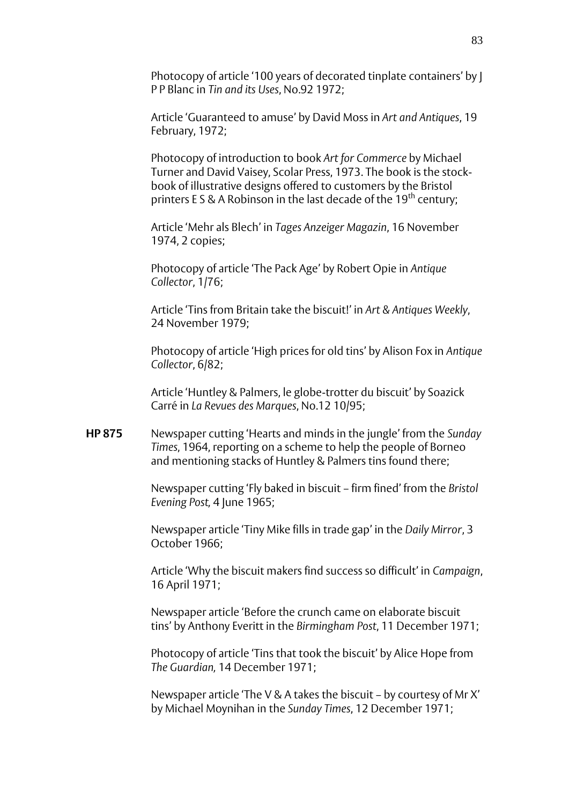Photocopy of article '100 years of decorated tinplate containers' by J P P Blanc in *Tin and its Uses*, No.92 1972;

Article 'Guaranteed to amuse' by David Moss in *Art and Antiques*, 19 February, 1972;

Photocopy of introduction to book *Art for Commerce* by Michael Turner and David Vaisey, Scolar Press, 1973. The book is the stockbook of illustrative designs offered to customers by the Bristol printers E S & A Robinson in the last decade of the  $19<sup>th</sup>$  century;

Article 'Mehr als Blech' in *Tages Anzeiger Magazin*, 16 November 1974, 2 copies;

Photocopy of article 'The Pack Age' by Robert Opie in *Antique Collector*, 1/76;

Article 'Tins from Britain take the biscuit!' in *Art & Antiques Weekly*, 24 November 1979;

Photocopy of article 'High prices for old tins' by Alison Fox in *Antique Collector*, 6/82;

Article 'Huntley & Palmers, le globe-trotter du biscuit' by Soazick Carré in *La Revues des Marques*, No.12 10/95;

**HP 875** Newspaper cutting 'Hearts and minds in the jungle' from the *Sunday Times*, 1964, reporting on a scheme to help the people of Borneo and mentioning stacks of Huntley & Palmers tins found there;

> Newspaper cutting 'Fly baked in biscuit – firm fined' from the *Bristol Evening Post,* 4 June 1965;

Newspaper article 'Tiny Mike fills in trade gap' in the *Daily Mirror*, 3 October 1966;

Article 'Why the biscuit makers find success so difficult' in *Campaign*, 16 April 1971;

Newspaper article 'Before the crunch came on elaborate biscuit tins' by Anthony Everitt in the *Birmingham Post*, 11 December 1971;

Photocopy of article 'Tins that took the biscuit' by Alice Hope from *The Guardian,* 14 December 1971;

Newspaper article 'The V & A takes the biscuit – by courtesy of Mr X' by Michael Moynihan in the *Sunday Times*, 12 December 1971;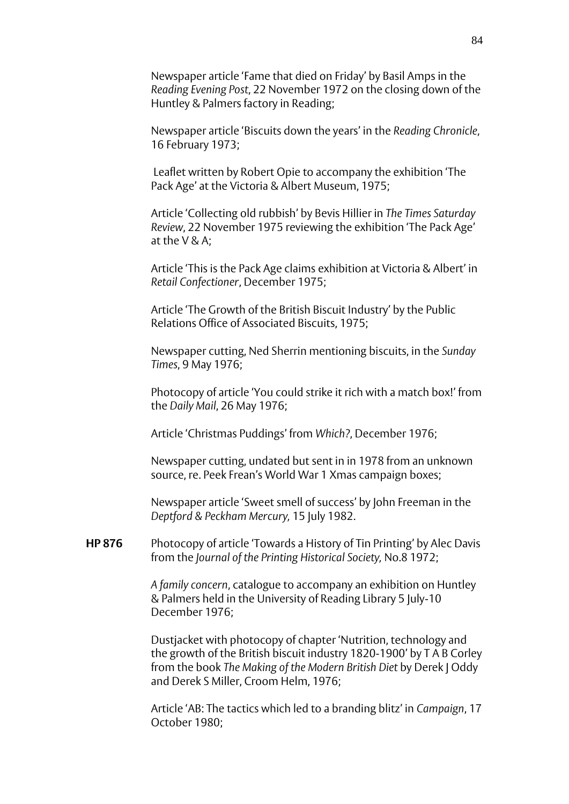Newspaper article 'Fame that died on Friday' by Basil Amps in the *Reading Evening Post*, 22 November 1972 on the closing down of the Huntley & Palmers factory in Reading;

Newspaper article 'Biscuits down the years' in the *Reading Chronicle*, 16 February 1973;

Leaflet written by Robert Opie to accompany the exhibition 'The Pack Age' at the Victoria & Albert Museum, 1975;

Article 'Collecting old rubbish' by Bevis Hillier in *The Times Saturday Review*, 22 November 1975 reviewing the exhibition 'The Pack Age' at the V & A;

Article 'This is the Pack Age claims exhibition at Victoria & Albert' in *Retail Confectioner*, December 1975;

Article 'The Growth of the British Biscuit Industry' by the Public Relations Office of Associated Biscuits, 1975;

Newspaper cutting, Ned Sherrin mentioning biscuits, in the *Sunday Times*, 9 May 1976;

Photocopy of article 'You could strike it rich with a match box!' from the *Daily Mail*, 26 May 1976;

Article 'Christmas Puddings' from *Which?*, December 1976;

Newspaper cutting, undated but sent in in 1978 from an unknown source, re. Peek Frean's World War 1 Xmas campaign boxes;

Newspaper article 'Sweet smell of success' by John Freeman in the *Deptford & Peckham Mercury,* 15 July 1982.

**HP 876** Photocopy of article 'Towards a History of Tin Printing' by Alec Davis from the *Journal of the Printing Historical Society,* No.8 1972;

> *A family concern*, catalogue to accompany an exhibition on Huntley & Palmers held in the University of Reading Library 5 July-10 December 1976;

Dustjacket with photocopy of chapter 'Nutrition, technology and the growth of the British biscuit industry 1820-1900' by T A B Corley from the book *The Making of the Modern British Diet* by Derek J Oddy and Derek S Miller, Croom Helm, 1976;

Article 'AB: The tactics which led to a branding blitz' in *Campaign*, 17 October 1980;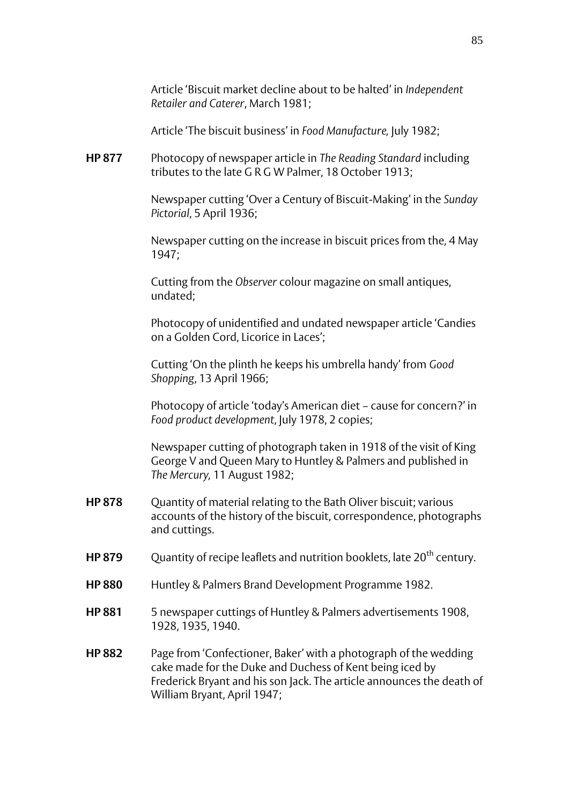Article 'Biscuit market decline about to be halted' in *Independent Retailer and Caterer*, March 1981;

Article 'The biscuit business' in *Food Manufacture,* July 1982;

**HP 877** Photocopy of newspaper article in *The Reading Standard* including tributes to the late G R G W Palmer, 18 October 1913;

> Newspaper cutting 'Over a Century of Biscuit-Making' in the *Sunday Pictorial*, 5 April 1936;

> Newspaper cutting on the increase in biscuit prices from the*,* 4 May 1947;

Cutting from the *Observer* colour magazine on small antiques, undated;

Photocopy of unidentified and undated newspaper article 'Candies on a Golden Cord, Licorice in Laces';

Cutting 'On the plinth he keeps his umbrella handy' from *Good Shopping*, 13 April 1966;

Photocopy of article 'today's American diet – cause for concern?' in *Food product development*, July 1978, 2 copies;

Newspaper cutting of photograph taken in 1918 of the visit of King George V and Queen Mary to Huntley & Palmers and published in *The Mercury,* 11 August 1982;

- **HP 878** Ouantity of material relating to the Bath Oliver biscuit; various accounts of the history of the biscuit, correspondence, photographs and cuttings.
- **HP 879** Ouantity of recipe leaflets and nutrition booklets, late 20<sup>th</sup> century.
- **HP 880** Huntley & Palmers Brand Development Programme 1982.
- **HP 881** 5 newspaper cuttings of Huntley & Palmers advertisements 1908, 1928, 1935, 1940.
- **HP 882** Page from 'Confectioner, Baker' with a photograph of the wedding cake made for the Duke and Duchess of Kent being iced by Frederick Bryant and his son Jack. The article announces the death of William Bryant, April 1947;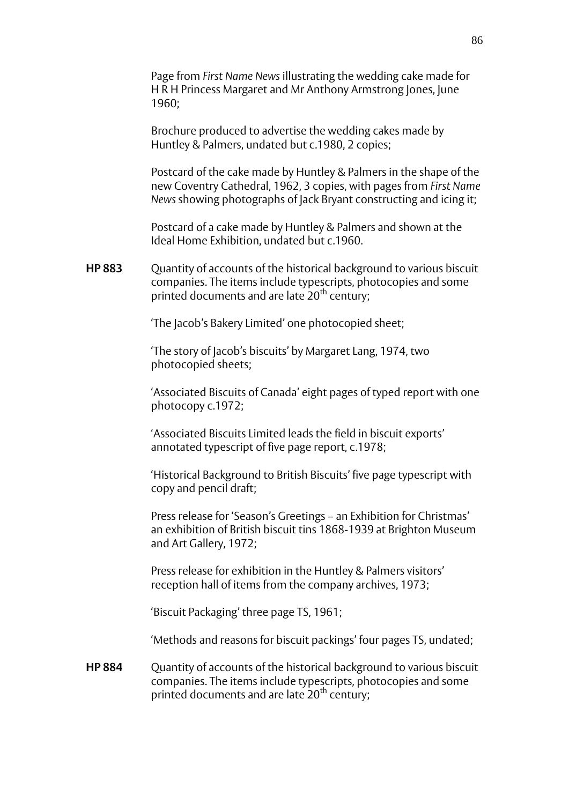Page from *First Name News* illustrating the wedding cake made for H R H Princess Margaret and Mr Anthony Armstrong Jones, June 1960;

Brochure produced to advertise the wedding cakes made by Huntley & Palmers, undated but c.1980, 2 copies;

Postcard of the cake made by Huntley & Palmers in the shape of the new Coventry Cathedral, 1962, 3 copies, with pages from *First Name News* showing photographs of Jack Bryant constructing and icing it;

Postcard of a cake made by Huntley & Palmers and shown at the Ideal Home Exhibition, undated but c.1960.

**HP 883** Quantity of accounts of the historical background to various biscuit companies. The items include typescripts, photocopies and some printed documents and are late 20<sup>th</sup> century;

'The Jacob's Bakery Limited' one photocopied sheet;

'The story of Jacob's biscuits' by Margaret Lang, 1974, two photocopied sheets;

'Associated Biscuits of Canada' eight pages of typed report with one photocopy c.1972;

'Associated Biscuits Limited leads the field in biscuit exports' annotated typescript of five page report, c.1978;

'Historical Background to British Biscuits' five page typescript with copy and pencil draft;

Press release for 'Season's Greetings – an Exhibition for Christmas' an exhibition of British biscuit tins 1868-1939 at Brighton Museum and Art Gallery, 1972;

Press release for exhibition in the Huntley & Palmers visitors' reception hall of items from the company archives, 1973;

'Biscuit Packaging' three page TS, 1961;

'Methods and reasons for biscuit packings' four pages TS, undated;

**HP 884** Quantity of accounts of the historical background to various biscuit companies. The items include typescripts, photocopies and some printed documents and are late 20<sup>th</sup> century;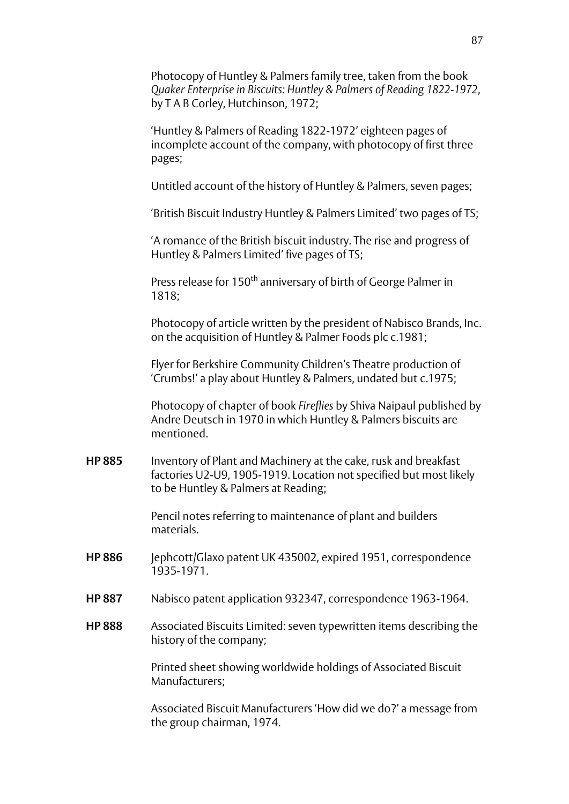Photocopy of Huntley & Palmers family tree, taken from the book *Quaker Enterprise in Biscuits: Huntley & Palmers of Reading 1822-1972*, by T A B Corley, Hutchinson, 1972;

'Huntley & Palmers of Reading 1822-1972' eighteen pages of incomplete account of the company, with photocopy of first three pages;

Untitled account of the history of Huntley & Palmers, seven pages;

'British Biscuit Industry Huntley & Palmers Limited' two pages of TS;

'A romance of the British biscuit industry. The rise and progress of Huntley & Palmers Limited' five pages of TS;

Press release for 150<sup>th</sup> anniversary of birth of George Palmer in 1818;

Photocopy of article written by the president of Nabisco Brands, Inc. on the acquisition of Huntley & Palmer Foods plc c.1981;

Flyer for Berkshire Community Children's Theatre production of 'Crumbs!' a play about Huntley & Palmers, undated but c.1975;

Photocopy of chapter of book *Fireflies* by Shiva Naipaul published by Andre Deutsch in 1970 in which Huntley & Palmers biscuits are mentioned.

**HP 885** Inventory of Plant and Machinery at the cake, rusk and breakfast factories U2-U9, 1905-1919. Location not specified but most likely to be Huntley & Palmers at Reading;

> Pencil notes referring to maintenance of plant and builders materials.

- **HP 886** Jephcott/Glaxo patent UK 435002, expired 1951, correspondence 1935-1971.
- **HP 887** Nabisco patent application 932347, correspondence 1963-1964.
- **HP 888** Associated Biscuits Limited: seven typewritten items describing the history of the company;

Printed sheet showing worldwide holdings of Associated Biscuit Manufacturers;

Associated Biscuit Manufacturers 'How did we do?' a message from the group chairman, 1974.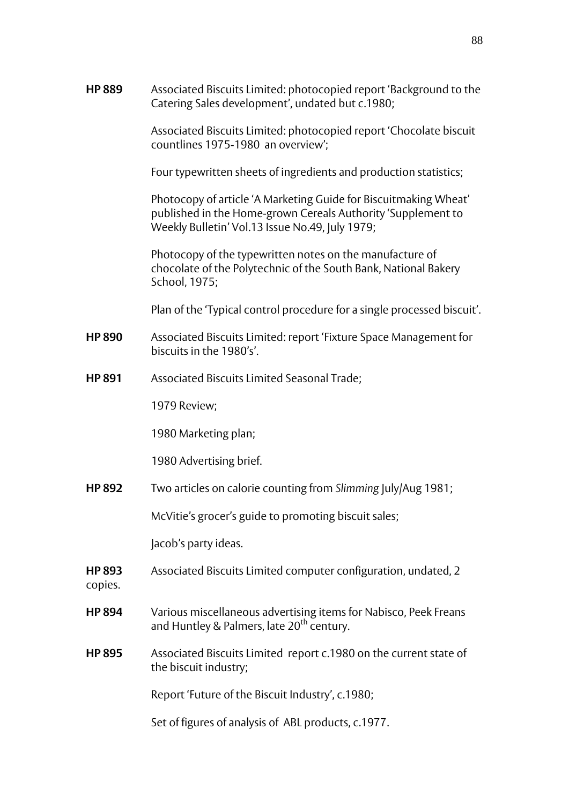**HP 889** Associated Biscuits Limited: photocopied report 'Background to the Catering Sales development', undated but c.1980;

> Associated Biscuits Limited: photocopied report 'Chocolate biscuit countlines 1975-1980 an overview';

Four typewritten sheets of ingredients and production statistics;

Photocopy of article 'A Marketing Guide for Biscuitmaking Wheat' published in the Home-grown Cereals Authority 'Supplement to Weekly Bulletin' Vol.13 Issue No.49, July 1979;

Photocopy of the typewritten notes on the manufacture of chocolate of the Polytechnic of the South Bank, National Bakery School, 1975;

Plan of the 'Typical control procedure for a single processed biscuit'.

- **HP 890** Associated Biscuits Limited: report 'Fixture Space Management for biscuits in the 1980's'.
- **HP 891** Associated Biscuits Limited Seasonal Trade;

1979 Review;

1980 Marketing plan;

1980 Advertising brief.

**HP 892** Two articles on calorie counting from *Slimming* July/Aug 1981;

McVitie's grocer's guide to promoting biscuit sales;

Jacob's party ideas.

**HP 893** Associated Biscuits Limited computer configuration, undated, 2

copies.

- **HP 894** Various miscellaneous advertising items for Nabisco, Peek Freans and Huntley & Palmers, late  $20<sup>th</sup>$  century.
- **HP 895** Associated Biscuits Limited report c.1980 on the current state of the biscuit industry;

Report 'Future of the Biscuit Industry', c.1980;

Set of figures of analysis of ABL products, c.1977.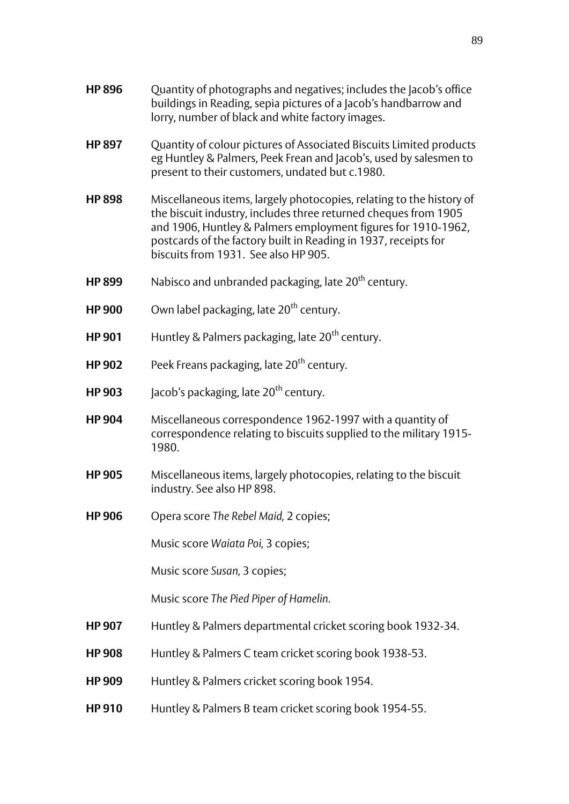| <b>HP 896</b> | Quantity of photographs and negatives; includes the Jacob's office<br>buildings in Reading, sepia pictures of a Jacob's handbarrow and<br>lorry, number of black and white factory images.                                                                                                                          |
|---------------|---------------------------------------------------------------------------------------------------------------------------------------------------------------------------------------------------------------------------------------------------------------------------------------------------------------------|
| <b>HP 897</b> | Quantity of colour pictures of Associated Biscuits Limited products<br>eg Huntley & Palmers, Peek Frean and Jacob's, used by salesmen to<br>present to their customers, undated but c.1980.                                                                                                                         |
| <b>HP 898</b> | Miscellaneous items, largely photocopies, relating to the history of<br>the biscuit industry, includes three returned cheques from 1905<br>and 1906, Huntley & Palmers employment figures for 1910-1962,<br>postcards of the factory built in Reading in 1937, receipts for<br>biscuits from 1931. See also HP 905. |
| <b>HP 899</b> | Nabisco and unbranded packaging, late 20 <sup>th</sup> century.                                                                                                                                                                                                                                                     |
| <b>HP 900</b> | Own label packaging, late 20 <sup>th</sup> century.                                                                                                                                                                                                                                                                 |
| <b>HP 901</b> | Huntley & Palmers packaging, late 20 <sup>th</sup> century.                                                                                                                                                                                                                                                         |
| <b>HP 902</b> | Peek Freans packaging, late 20 <sup>th</sup> century.                                                                                                                                                                                                                                                               |
| <b>HP 903</b> | Jacob's packaging, late 20 <sup>th</sup> century.                                                                                                                                                                                                                                                                   |
| <b>HP 904</b> | Miscellaneous correspondence 1962-1997 with a quantity of<br>correspondence relating to biscuits supplied to the military 1915-<br>1980.                                                                                                                                                                            |
| <b>HP 905</b> | Miscellaneous items, largely photocopies, relating to the biscuit<br>industry. See also HP 898.                                                                                                                                                                                                                     |
| <b>HP 906</b> | Opera score The Rebel Maid, 2 copies;                                                                                                                                                                                                                                                                               |
|               | Music score Waiata Poi, 3 copies;                                                                                                                                                                                                                                                                                   |
|               | Music score Susan, 3 copies;                                                                                                                                                                                                                                                                                        |
|               | Music score The Pied Piper of Hamelin.                                                                                                                                                                                                                                                                              |
| <b>HP 907</b> | Huntley & Palmers departmental cricket scoring book 1932-34.                                                                                                                                                                                                                                                        |
| <b>HP 908</b> | Huntley & Palmers C team cricket scoring book 1938-53.                                                                                                                                                                                                                                                              |
| <b>HP 909</b> | Huntley & Palmers cricket scoring book 1954.                                                                                                                                                                                                                                                                        |

**HP 910** Huntley & Palmers B team cricket scoring book 1954-55.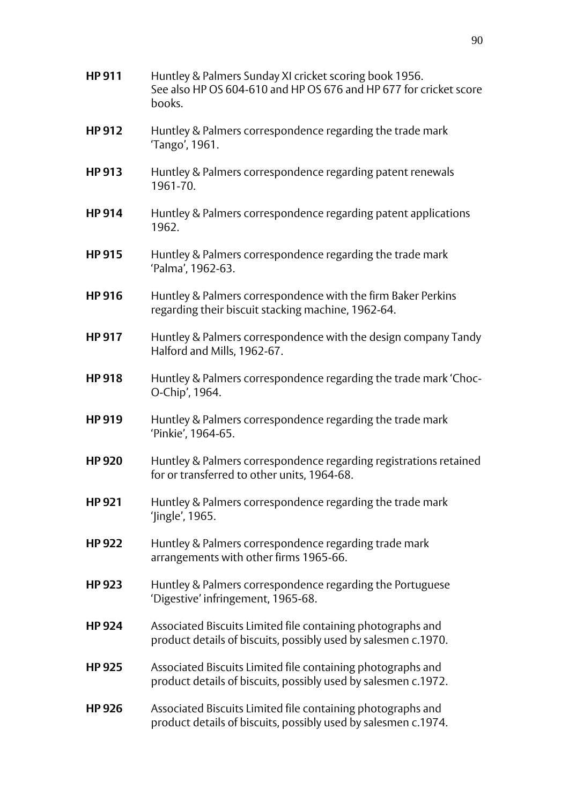**HP 912** Huntley & Palmers correspondence regarding the trade mark 'Tango', 1961. **HP 913** Huntley & Palmers correspondence regarding patent renewals 1961-70. **HP 914** Huntley & Palmers correspondence regarding patent applications 1962. **HP 915** Huntley & Palmers correspondence regarding the trade mark 'Palma', 1962-63. **HP 916** Huntley & Palmers correspondence with the firm Baker Perkins regarding their biscuit stacking machine, 1962-64. **HP 917** Huntley & Palmers correspondence with the design company Tandy Halford and Mills, 1962-67. **HP 918** Huntley & Palmers correspondence regarding the trade mark 'Choc-O-Chip', 1964. **HP 919** Huntley & Palmers correspondence regarding the trade mark 'Pinkie', 1964-65. **HP 920** Huntley & Palmers correspondence regarding registrations retained for or transferred to other units, 1964-68. **HP 921** Huntley & Palmers correspondence regarding the trade mark 'Jingle', 1965. **HP 922** Huntley & Palmers correspondence regarding trade mark arrangements with other firms 1965-66. **HP 923** Huntley & Palmers correspondence regarding the Portuguese 'Digestive' infringement, 1965-68. **HP 924** Associated Biscuits Limited file containing photographs and product details of biscuits, possibly used by salesmen c.1970. **HP 925** Associated Biscuits Limited file containing photographs and product details of biscuits, possibly used by salesmen c.1972. **HP 926** Associated Biscuits Limited file containing photographs and product details of biscuits, possibly used by salesmen c.1974.

**HP 911** Huntley & Palmers Sunday XI cricket scoring book 1956.

books.

See also HP OS 604-610 and HP OS 676 and HP 677 for cricket score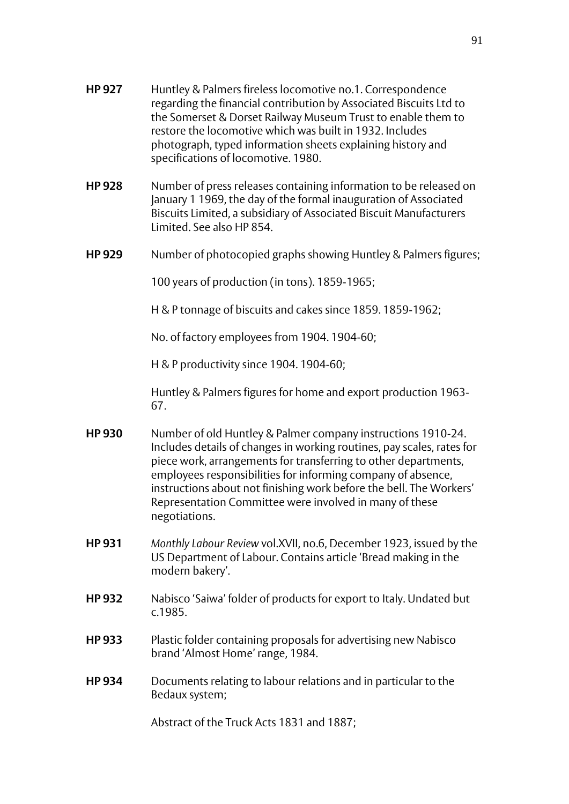- **HP 927** Huntley & Palmers fireless locomotive no.1. Correspondence regarding the financial contribution by Associated Biscuits Ltd to the Somerset & Dorset Railway Museum Trust to enable them to restore the locomotive which was built in 1932. Includes photograph, typed information sheets explaining history and specifications of locomotive. 1980.
- **HP 928** Number of press releases containing information to be released on January 1 1969, the day of the formal inauguration of Associated Biscuits Limited, a subsidiary of Associated Biscuit Manufacturers Limited. See also HP 854.
- **HP 929** Number of photocopied graphs showing Huntley & Palmers figures;

100 years of production (in tons). 1859-1965;

H & P tonnage of biscuits and cakes since 1859. 1859-1962;

No. of factory employees from 1904. 1904-60;

H & P productivity since 1904. 1904-60;

Huntley & Palmers figures for home and export production 1963- 67.

- **HP 930** Number of old Huntley & Palmer company instructions 1910-24. Includes details of changes in working routines, pay scales, rates for piece work, arrangements for transferring to other departments, employees responsibilities for informing company of absence, instructions about not finishing work before the bell. The Workers' Representation Committee were involved in many of these negotiations.
- **HP 931** *Monthly Labour Review* vol.XVII, no.6, December 1923, issued by the US Department of Labour. Contains article 'Bread making in the modern bakery'.
- **HP 932** Nabisco 'Saiwa' folder of products for export to Italy. Undated but c.1985.
- **HP 933** Plastic folder containing proposals for advertising new Nabisco brand 'Almost Home' range, 1984.
- **HP 934** Documents relating to labour relations and in particular to the Bedaux system;

Abstract of the Truck Acts 1831 and 1887;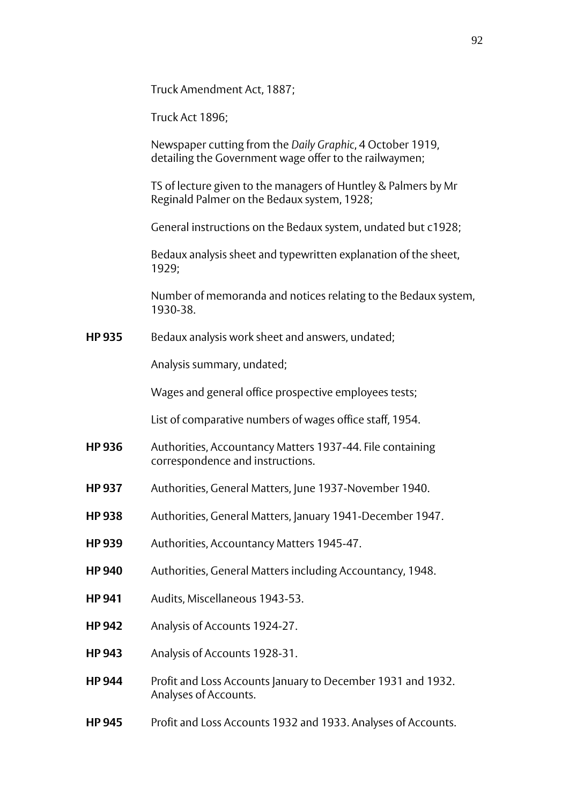Truck Amendment Act, 1887;

Truck Act 1896;

Newspaper cutting from the *Daily Graphic*, 4 October 1919, detailing the Government wage offer to the railwaymen;

TS of lecture given to the managers of Huntley & Palmers by Mr Reginald Palmer on the Bedaux system, 1928;

General instructions on the Bedaux system, undated but c1928;

Bedaux analysis sheet and typewritten explanation of the sheet, 1929;

Number of memoranda and notices relating to the Bedaux system, 1930-38.

**HP 935** Bedaux analysis work sheet and answers, undated;

Analysis summary, undated;

Wages and general office prospective employees tests;

List of comparative numbers of wages office staff, 1954.

- **HP 936** Authorities, Accountancy Matters 1937-44. File containing correspondence and instructions.
- **HP 937** Authorities, General Matters, June 1937-November 1940.
- **HP 938** Authorities, General Matters, January 1941-December 1947.
- **HP 939** Authorities, Accountancy Matters 1945-47.
- **HP 940** Authorities, General Matters including Accountancy, 1948.
- **HP 941** Audits, Miscellaneous 1943-53.
- **HP 942** Analysis of Accounts 1924-27.
- **HP 943** Analysis of Accounts 1928-31.
- **HP 944** Profit and Loss Accounts January to December 1931 and 1932. Analyses of Accounts.
- **HP 945** Profit and Loss Accounts 1932 and 1933. Analyses of Accounts.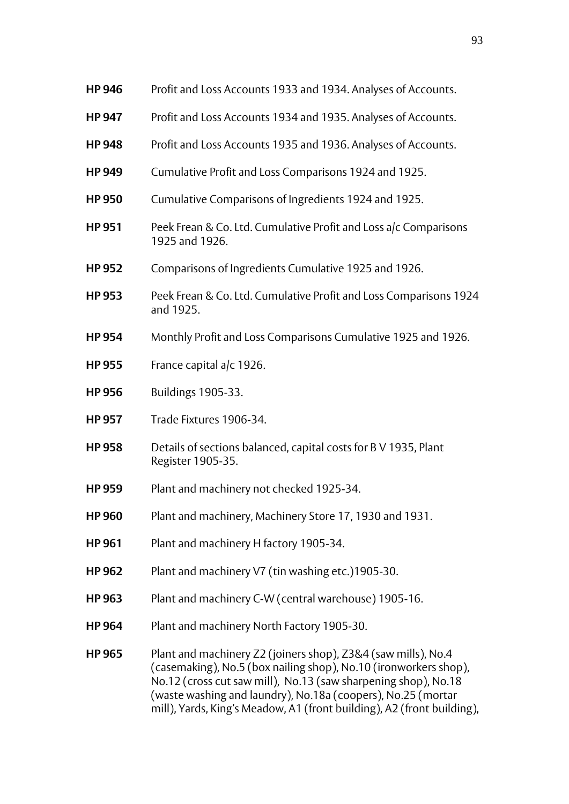| <b>HP 946</b> | Profit and Loss Accounts 1933 and 1934. Analyses of Accounts.                                                                                                                                                                                                                                                                                 |
|---------------|-----------------------------------------------------------------------------------------------------------------------------------------------------------------------------------------------------------------------------------------------------------------------------------------------------------------------------------------------|
| <b>HP 947</b> | Profit and Loss Accounts 1934 and 1935. Analyses of Accounts.                                                                                                                                                                                                                                                                                 |
| <b>HP 948</b> | Profit and Loss Accounts 1935 and 1936. Analyses of Accounts.                                                                                                                                                                                                                                                                                 |
| <b>HP 949</b> | Cumulative Profit and Loss Comparisons 1924 and 1925.                                                                                                                                                                                                                                                                                         |
| <b>HP 950</b> | Cumulative Comparisons of Ingredients 1924 and 1925.                                                                                                                                                                                                                                                                                          |
| <b>HP 951</b> | Peek Frean & Co. Ltd. Cumulative Profit and Loss a/c Comparisons<br>1925 and 1926.                                                                                                                                                                                                                                                            |
| <b>HP 952</b> | Comparisons of Ingredients Cumulative 1925 and 1926.                                                                                                                                                                                                                                                                                          |
| <b>HP 953</b> | Peek Frean & Co. Ltd. Cumulative Profit and Loss Comparisons 1924<br>and 1925.                                                                                                                                                                                                                                                                |
| <b>HP 954</b> | Monthly Profit and Loss Comparisons Cumulative 1925 and 1926.                                                                                                                                                                                                                                                                                 |
| <b>HP 955</b> | France capital a/c 1926.                                                                                                                                                                                                                                                                                                                      |
| <b>HP 956</b> | <b>Buildings 1905-33.</b>                                                                                                                                                                                                                                                                                                                     |
| <b>HP 957</b> | Trade Fixtures 1906-34.                                                                                                                                                                                                                                                                                                                       |
| <b>HP 958</b> | Details of sections balanced, capital costs for B V 1935, Plant<br>Register 1905-35.                                                                                                                                                                                                                                                          |
| <b>HP 959</b> | Plant and machinery not checked 1925-34.                                                                                                                                                                                                                                                                                                      |
| <b>HP 960</b> | Plant and machinery, Machinery Store 17, 1930 and 1931.                                                                                                                                                                                                                                                                                       |
| <b>HP 961</b> | Plant and machinery H factory 1905-34.                                                                                                                                                                                                                                                                                                        |
| <b>HP 962</b> | Plant and machinery V7 (tin washing etc.)1905-30.                                                                                                                                                                                                                                                                                             |
| <b>HP 963</b> | Plant and machinery C-W (central warehouse) 1905-16.                                                                                                                                                                                                                                                                                          |
| <b>HP 964</b> | Plant and machinery North Factory 1905-30.                                                                                                                                                                                                                                                                                                    |
| <b>HP 965</b> | Plant and machinery Z2 (joiners shop), Z3&4 (saw mills), No.4<br>(casemaking), No.5 (box nailing shop), No.10 (ironworkers shop),<br>No.12 (cross cut saw mill), No.13 (saw sharpening shop), No.18<br>(waste washing and laundry), No.18a (coopers), No.25 (mortar<br>mill), Yards, King's Meadow, A1 (front building), A2 (front building), |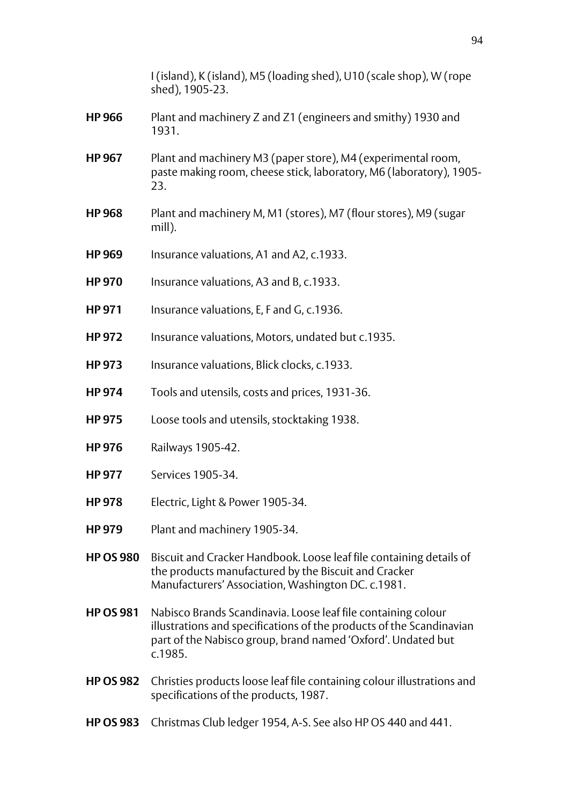|                  | I (island), K (island), M5 (loading shed), U10 (scale shop), W (rope<br>shed), 1905-23.                                                                                                                          |
|------------------|------------------------------------------------------------------------------------------------------------------------------------------------------------------------------------------------------------------|
| <b>HP 966</b>    | Plant and machinery Z and Z1 (engineers and smithy) 1930 and<br>1931.                                                                                                                                            |
| <b>HP 967</b>    | Plant and machinery M3 (paper store), M4 (experimental room,<br>paste making room, cheese stick, laboratory, M6 (laboratory), 1905-<br>23.                                                                       |
| <b>HP 968</b>    | Plant and machinery M, M1 (stores), M7 (flour stores), M9 (sugar<br>mill).                                                                                                                                       |
| <b>HP 969</b>    | Insurance valuations, A1 and A2, c.1933.                                                                                                                                                                         |
| <b>HP 970</b>    | Insurance valuations, A3 and B, c.1933.                                                                                                                                                                          |
| <b>HP 971</b>    | Insurance valuations, E, F and G, c.1936.                                                                                                                                                                        |
| <b>HP 972</b>    | Insurance valuations, Motors, undated but c.1935.                                                                                                                                                                |
| <b>HP 973</b>    | Insurance valuations, Blick clocks, c.1933.                                                                                                                                                                      |
| <b>HP 974</b>    | Tools and utensils, costs and prices, 1931-36.                                                                                                                                                                   |
| <b>HP 975</b>    | Loose tools and utensils, stocktaking 1938.                                                                                                                                                                      |
| <b>HP 976</b>    | Railways 1905-42.                                                                                                                                                                                                |
| <b>HP 977</b>    | Services 1905-34.                                                                                                                                                                                                |
| <b>HP 978</b>    | Electric, Light & Power 1905-34.                                                                                                                                                                                 |
| <b>HP 979</b>    | Plant and machinery 1905-34.                                                                                                                                                                                     |
| <b>HP OS 980</b> | Biscuit and Cracker Handbook. Loose leaf file containing details of<br>the products manufactured by the Biscuit and Cracker<br>Manufacturers' Association, Washington DC. c.1981.                                |
| <b>HP OS 981</b> | Nabisco Brands Scandinavia. Loose leaf file containing colour<br>illustrations and specifications of the products of the Scandinavian<br>part of the Nabisco group, brand named 'Oxford'. Undated but<br>c.1985. |
| <b>HP OS 982</b> | Christies products loose leaf file containing colour illustrations and<br>specifications of the products, 1987.                                                                                                  |
| <b>HP OS 983</b> | Christmas Club ledger 1954, A-S. See also HP OS 440 and 441.                                                                                                                                                     |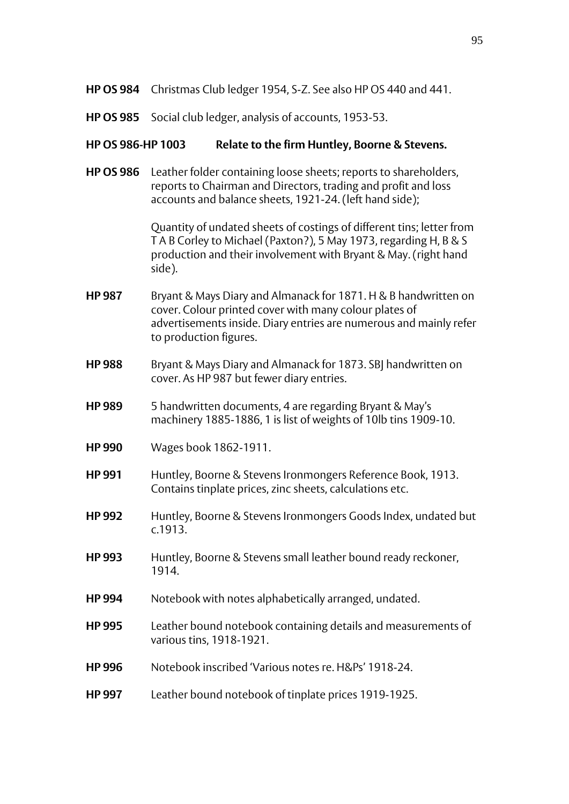- **HP OS 984** Christmas Club ledger 1954, S-Z. See also HP OS 440 and 441.
- **HP OS 985** Social club ledger, analysis of accounts, 1953-53.

## **HP OS 986-HP 1003 Relate to the firm Huntley, Boorne & Stevens.**

**HP OS 986** Leather folder containing loose sheets; reports to shareholders, reports to Chairman and Directors, trading and profit and loss accounts and balance sheets, 1921-24. (left hand side);

> Quantity of undated sheets of costings of different tins; letter from T A B Corley to Michael (Paxton?), 5 May 1973, regarding H, B & S production and their involvement with Bryant & May. (right hand side).

- **HP 987** Bryant & Mays Diary and Almanack for 1871. H & B handwritten on cover. Colour printed cover with many colour plates of advertisements inside. Diary entries are numerous and mainly refer to production figures.
- **HP 988** Bryant & Mays Diary and Almanack for 1873. SBJ handwritten on cover. As HP 987 but fewer diary entries.
- **HP 989** 5 handwritten documents, 4 are regarding Bryant & May's machinery 1885-1886, 1 is list of weights of 10lb tins 1909-10.
- **HP 990** Wages book 1862-1911.
- **HP 991** Huntley, Boorne & Stevens Ironmongers Reference Book, 1913. Contains tinplate prices, zinc sheets, calculations etc.
- **HP 992** Huntley, Boorne & Stevens Ironmongers Goods Index, undated but c.1913.
- **HP 993** Huntley, Boorne & Stevens small leather bound ready reckoner, 1914.
- **HP 994** Notebook with notes alphabetically arranged, undated.
- **HP 995** Leather bound notebook containing details and measurements of various tins, 1918-1921.
- **HP 996** Notebook inscribed 'Various notes re. H&Ps' 1918-24.
- **HP 997** Leather bound notebook of tinplate prices 1919-1925.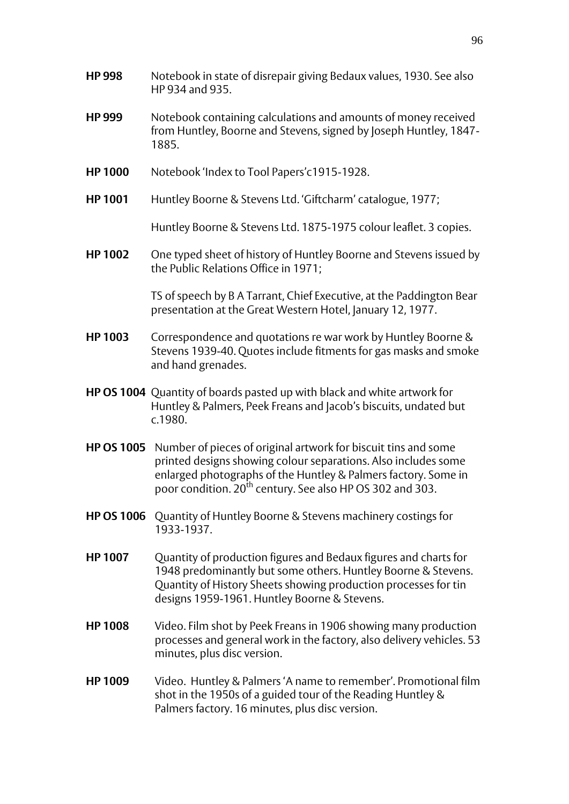- **HP 998** Notebook in state of disrepair giving Bedaux values, 1930. See also HP 934 and 935.
- **HP 999** Notebook containing calculations and amounts of money received from Huntley, Boorne and Stevens, signed by Joseph Huntley, 1847- 1885.
- **HP 1000** Notebook 'Index to Tool Papers'c1915-1928.
- **HP 1001** Huntley Boorne & Stevens Ltd. 'Giftcharm' catalogue, 1977;

Huntley Boorne & Stevens Ltd. 1875-1975 colour leaflet. 3 copies.

**HP 1002** One typed sheet of history of Huntley Boorne and Stevens issued by the Public Relations Office in 1971;

> TS of speech by B A Tarrant, Chief Executive, at the Paddington Bear presentation at the Great Western Hotel, January 12, 1977.

- **HP 1003** Correspondence and quotations re war work by Huntley Boorne & Stevens 1939-40. Quotes include fitments for gas masks and smoke and hand grenades.
- **HP OS 1004** Quantity of boards pasted up with black and white artwork for Huntley & Palmers, Peek Freans and Jacob's biscuits, undated but c.1980.
- **HP OS 1005** Number of pieces of original artwork for biscuit tins and some printed designs showing colour separations. Also includes some enlarged photographs of the Huntley & Palmers factory. Some in poor condition. 20th century. See also HP OS 302 and 303.
- **HP OS 1006** Quantity of Huntley Boorne & Stevens machinery costings for 1933-1937.
- **HP 1007** Quantity of production figures and Bedaux figures and charts for 1948 predominantly but some others. Huntley Boorne & Stevens. Quantity of History Sheets showing production processes for tin designs 1959-1961. Huntley Boorne & Stevens.
- **HP 1008** Video. Film shot by Peek Freans in 1906 showing many production processes and general work in the factory, also delivery vehicles. 53 minutes, plus disc version.
- **HP 1009** Video. Huntley & Palmers 'A name to remember'. Promotional film shot in the 1950s of a guided tour of the Reading Huntley & Palmers factory. 16 minutes, plus disc version.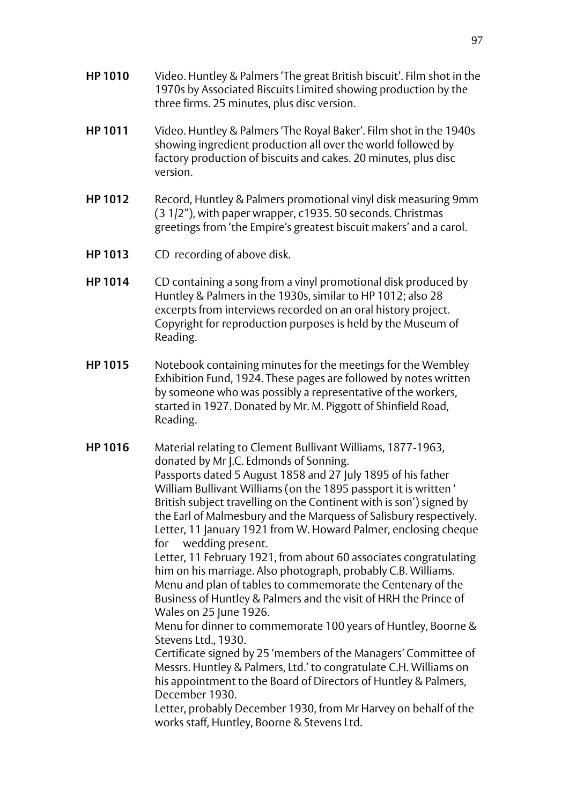- **HP 1010** Video. Huntley & Palmers 'The great British biscuit'. Film shot in the 1970s by Associated Biscuits Limited showing production by the three firms. 25 minutes, plus disc version.
- **HP 1011** Video. Huntley & Palmers 'The Royal Baker'. Film shot in the 1940s showing ingredient production all over the world followed by factory production of biscuits and cakes. 20 minutes, plus disc version.
- **HP 1012** Record, Huntley & Palmers promotional vinyl disk measuring 9mm (3 1/2"), with paper wrapper, c1935. 50 seconds. Christmas greetings from 'the Empire's greatest biscuit makers' and a carol.
- **HP 1013** CD recording of above disk.
- **HP 1014** CD containing a song from a vinyl promotional disk produced by Huntley & Palmers in the 1930s, similar to HP 1012; also 28 excerpts from interviews recorded on an oral history project. Copyright for reproduction purposes is held by the Museum of Reading.
- **HP 1015** Notebook containing minutes for the meetings for the Wembley Exhibition Fund, 1924. These pages are followed by notes written by someone who was possibly a representative of the workers, started in 1927. Donated by Mr. M. Piggott of Shinfield Road, Reading.
- **HP 1016** Material relating to Clement Bullivant Williams, 1877-1963, donated by Mr J.C. Edmonds of Sonning. Passports dated 5 August 1858 and 27 July 1895 of his father William Bullivant Williams (on the 1895 passport it is written ' British subject travelling on the Continent with is son') signed by the Earl of Malmesbury and the Marquess of Salisbury respectively. Letter, 11 January 1921 from W. Howard Palmer, enclosing cheque for wedding present. Letter, 11 February 1921, from about 60 associates congratulating him on his marriage. Also photograph, probably C.B. Williams. Menu and plan of tables to commemorate the Centenary of the Business of Huntley & Palmers and the visit of HRH the Prince of

Wales on 25 June 1926.

Menu for dinner to commemorate 100 years of Huntley, Boorne & Stevens Ltd., 1930.

Certificate signed by 25 'members of the Managers' Committee of Messrs. Huntley & Palmers, Ltd.' to congratulate C.H. Williams on his appointment to the Board of Directors of Huntley & Palmers, December 1930.

Letter, probably December 1930, from Mr Harvey on behalf of the works staff, Huntley, Boorne & Stevens Ltd.